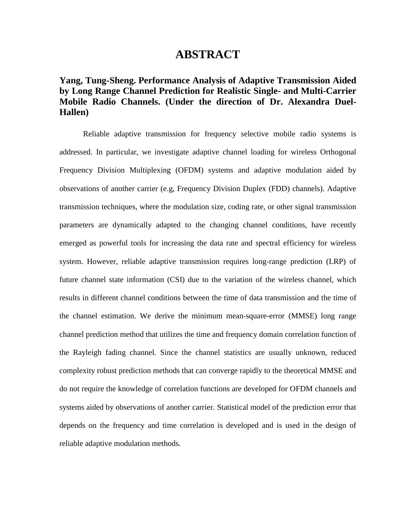## **ABSTRACT**

## **Yang, Tung-Sheng. Performance Analysis of Adaptive Transmission Aided by Long Range Channel Prediction for Realistic Single- and Multi-Carrier Mobile Radio Channels. (Under the direction of Dr. Alexandra Duel-Hallen)**

Reliable adaptive transmission for frequency selective mobile radio systems is addressed. In particular, we investigate adaptive channel loading for wireless Orthogonal Frequency Division Multiplexing (OFDM) systems and adaptive modulation aided by observations of another carrier (e.g, Frequency Division Duplex (FDD) channels). Adaptive transmission techniques, where the modulation size, coding rate, or other signal transmission parameters are dynamically adapted to the changing channel conditions, have recently emerged as powerful tools for increasing the data rate and spectral efficiency for wireless system. However, reliable adaptive transmission requires long-range prediction (LRP) of future channel state information (CSI) due to the variation of the wireless channel, which results in different channel conditions between the time of data transmission and the time of the channel estimation. We derive the minimum mean-square-error (MMSE) long range channel prediction method that utilizes the time and frequency domain correlation function of the Rayleigh fading channel. Since the channel statistics are usually unknown, reduced complexity robust prediction methods that can converge rapidly to the theoretical MMSE and do not require the knowledge of correlation functions are developed for OFDM channels and systems aided by observations of another carrier. Statistical model of the prediction error that depends on the frequency and time correlation is developed and is used in the design of reliable adaptive modulation methods.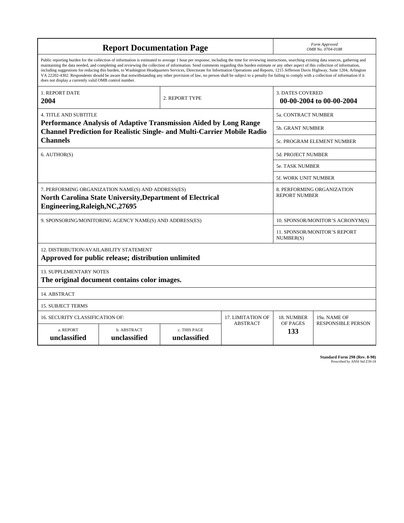| <b>Report Documentation Page</b>                                                                                                                                                                                                                                                                                                                                                                                                                                                                                                                                                                                                                                                                                                                                                                                                                                   |                                              |                              | Form Approved<br>OMB No. 0704-0188                 |                                  |                                           |
|--------------------------------------------------------------------------------------------------------------------------------------------------------------------------------------------------------------------------------------------------------------------------------------------------------------------------------------------------------------------------------------------------------------------------------------------------------------------------------------------------------------------------------------------------------------------------------------------------------------------------------------------------------------------------------------------------------------------------------------------------------------------------------------------------------------------------------------------------------------------|----------------------------------------------|------------------------------|----------------------------------------------------|----------------------------------|-------------------------------------------|
| Public reporting burden for the collection of information is estimated to average 1 hour per response, including the time for reviewing instructions, searching existing data sources, gathering and<br>maintaining the data needed, and completing and reviewing the collection of information. Send comments regarding this burden estimate or any other aspect of this collection of information,<br>including suggestions for reducing this burden, to Washington Headquarters Services, Directorate for Information Operations and Reports, 1215 Jefferson Davis Highway, Suite 1204, Arlington<br>VA 22202-4302. Respondents should be aware that notwithstanding any other provision of law, no person shall be subject to a penalty for failing to comply with a collection of information if it<br>does not display a currently valid OMB control number. |                                              |                              |                                                    |                                  |                                           |
| 1. REPORT DATE<br>2004                                                                                                                                                                                                                                                                                                                                                                                                                                                                                                                                                                                                                                                                                                                                                                                                                                             |                                              | 2. REPORT TYPE               |                                                    | <b>3. DATES COVERED</b>          | 00-00-2004 to 00-00-2004                  |
| <b>4. TITLE AND SUBTITLE</b>                                                                                                                                                                                                                                                                                                                                                                                                                                                                                                                                                                                                                                                                                                                                                                                                                                       |                                              |                              | 5a. CONTRACT NUMBER                                |                                  |                                           |
| Performance Analysis of Adaptive Transmission Aided by Long Range<br><b>Channel Prediction for Realistic Single- and Multi-Carrier Mobile Radio</b>                                                                                                                                                                                                                                                                                                                                                                                                                                                                                                                                                                                                                                                                                                                |                                              |                              | <b>5b. GRANT NUMBER</b>                            |                                  |                                           |
| <b>Channels</b>                                                                                                                                                                                                                                                                                                                                                                                                                                                                                                                                                                                                                                                                                                                                                                                                                                                    |                                              |                              | <b>5c. PROGRAM ELEMENT NUMBER</b>                  |                                  |                                           |
| 6. AUTHOR(S)                                                                                                                                                                                                                                                                                                                                                                                                                                                                                                                                                                                                                                                                                                                                                                                                                                                       |                                              |                              | 5d. PROJECT NUMBER                                 |                                  |                                           |
|                                                                                                                                                                                                                                                                                                                                                                                                                                                                                                                                                                                                                                                                                                                                                                                                                                                                    |                                              |                              | <b>5e. TASK NUMBER</b>                             |                                  |                                           |
|                                                                                                                                                                                                                                                                                                                                                                                                                                                                                                                                                                                                                                                                                                                                                                                                                                                                    |                                              |                              | 5f. WORK UNIT NUMBER                               |                                  |                                           |
| 7. PERFORMING ORGANIZATION NAME(S) AND ADDRESS(ES)<br><b>North Carolina State University, Department of Electrical</b><br>Engineering, Raleigh, NC, 27695                                                                                                                                                                                                                                                                                                                                                                                                                                                                                                                                                                                                                                                                                                          |                                              |                              | 8. PERFORMING ORGANIZATION<br><b>REPORT NUMBER</b> |                                  |                                           |
| 9. SPONSORING/MONITORING AGENCY NAME(S) AND ADDRESS(ES)                                                                                                                                                                                                                                                                                                                                                                                                                                                                                                                                                                                                                                                                                                                                                                                                            |                                              |                              |                                                    | 10. SPONSOR/MONITOR'S ACRONYM(S) |                                           |
|                                                                                                                                                                                                                                                                                                                                                                                                                                                                                                                                                                                                                                                                                                                                                                                                                                                                    |                                              |                              | 11. SPONSOR/MONITOR'S REPORT<br>NUMBER(S)          |                                  |                                           |
| <b>12. DISTRIBUTION/AVAILABILITY STATEMENT</b><br>Approved for public release; distribution unlimited                                                                                                                                                                                                                                                                                                                                                                                                                                                                                                                                                                                                                                                                                                                                                              |                                              |                              |                                                    |                                  |                                           |
| <b>13. SUPPLEMENTARY NOTES</b>                                                                                                                                                                                                                                                                                                                                                                                                                                                                                                                                                                                                                                                                                                                                                                                                                                     | The original document contains color images. |                              |                                                    |                                  |                                           |
| 14. ABSTRACT                                                                                                                                                                                                                                                                                                                                                                                                                                                                                                                                                                                                                                                                                                                                                                                                                                                       |                                              |                              |                                                    |                                  |                                           |
| <b>15. SUBJECT TERMS</b>                                                                                                                                                                                                                                                                                                                                                                                                                                                                                                                                                                                                                                                                                                                                                                                                                                           |                                              |                              |                                                    |                                  |                                           |
| 16. SECURITY CLASSIFICATION OF:                                                                                                                                                                                                                                                                                                                                                                                                                                                                                                                                                                                                                                                                                                                                                                                                                                    |                                              |                              | 17. LIMITATION OF<br><b>ABSTRACT</b>               | 18. NUMBER<br>OF PAGES           | 19a. NAME OF<br><b>RESPONSIBLE PERSON</b> |
| a. REPORT<br>unclassified                                                                                                                                                                                                                                                                                                                                                                                                                                                                                                                                                                                                                                                                                                                                                                                                                                          | b. ABSTRACT<br>unclassified                  | c. THIS PAGE<br>unclassified |                                                    | 133                              |                                           |

**Standard Form 298 (Rev. 8-98)**<br>Prescribed by ANSI Std Z39-18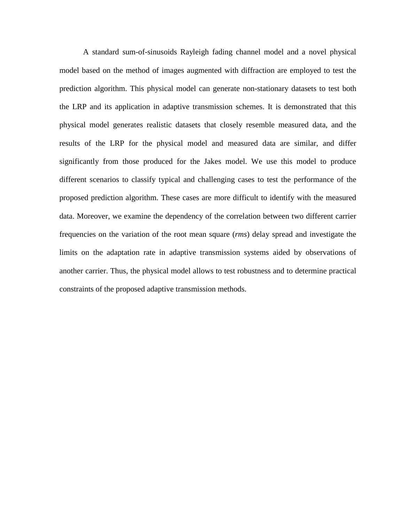A standard sum-of-sinusoids Rayleigh fading channel model and a novel physical model based on the method of images augmented with diffraction are employed to test the prediction algorithm. This physical model can generate non-stationary datasets to test both the LRP and its application in adaptive transmission schemes. It is demonstrated that this physical model generates realistic datasets that closely resemble measured data, and the results of the LRP for the physical model and measured data are similar, and differ significantly from those produced for the Jakes model. We use this model to produce different scenarios to classify typical and challenging cases to test the performance of the proposed prediction algorithm. These cases are more difficult to identify with the measured data. Moreover, we examine the dependency of the correlation between two different carrier frequencies on the variation of the root mean square (*rms*) delay spread and investigate the limits on the adaptation rate in adaptive transmission systems aided by observations of another carrier. Thus, the physical model allows to test robustness and to determine practical constraints of the proposed adaptive transmission methods.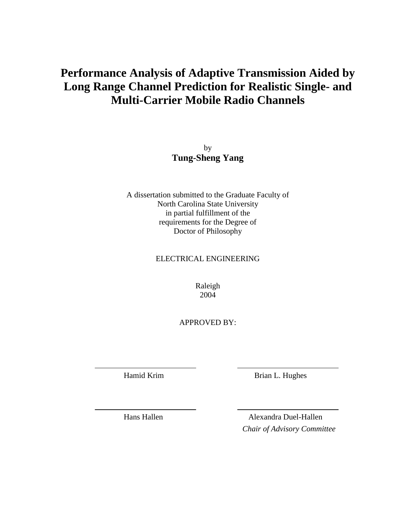# **Performance Analysis of Adaptive Transmission Aided by Long Range Channel Prediction for Realistic Single- and Multi-Carrier Mobile Radio Channels**

by **Tung-Sheng Yang**

A dissertation submitted to the Graduate Faculty of North Carolina State University in partial fulfillment of the requirements for the Degree of Doctor of Philosophy

ELECTRICAL ENGINEERING

Raleigh 2004

APPROVED BY:

Hamid Krim Brian L. Hughes

Hans Hallen Alexandra Duel-Hallen *Chair of Advisory Committee*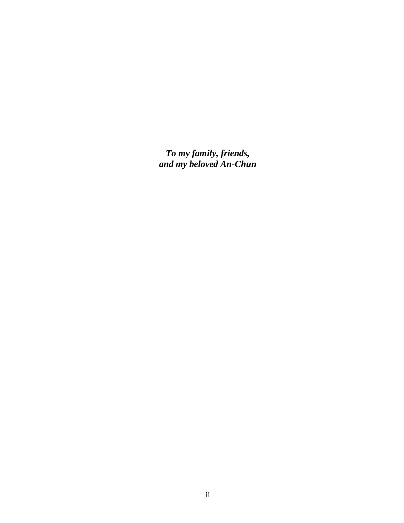*To my family, friends, and my beloved An-Chun*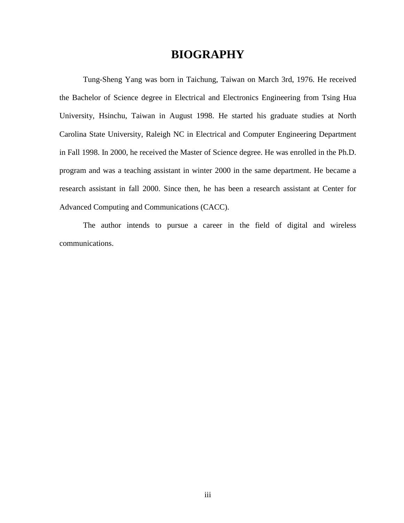## **BIOGRAPHY**

Tung-Sheng Yang was born in Taichung, Taiwan on March 3rd, 1976. He received the Bachelor of Science degree in Electrical and Electronics Engineering from Tsing Hua University, Hsinchu, Taiwan in August 1998. He started his graduate studies at North Carolina State University, Raleigh NC in Electrical and Computer Engineering Department in Fall 1998. In 2000, he received the Master of Science degree. He was enrolled in the Ph.D. program and was a teaching assistant in winter 2000 in the same department. He became a research assistant in fall 2000. Since then, he has been a research assistant at Center for Advanced Computing and Communications (CACC).

The author intends to pursue a career in the field of digital and wireless communications.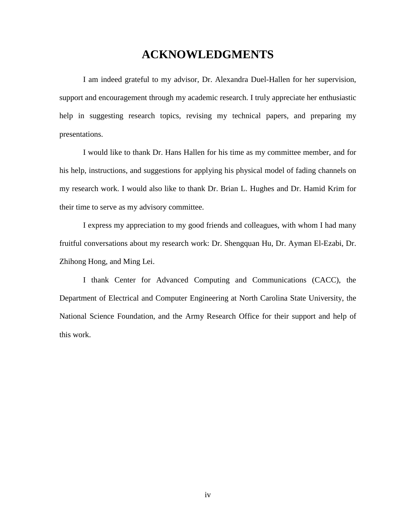# **ACKNOWLEDGMENTS**

I am indeed grateful to my advisor, Dr. Alexandra Duel-Hallen for her supervision, support and encouragement through my academic research. I truly appreciate her enthusiastic help in suggesting research topics, revising my technical papers, and preparing my presentations.

I would like to thank Dr. Hans Hallen for his time as my committee member, and for his help, instructions, and suggestions for applying his physical model of fading channels on my research work. I would also like to thank Dr. Brian L. Hughes and Dr. Hamid Krim for their time to serve as my advisory committee.

I express my appreciation to my good friends and colleagues, with whom I had many fruitful conversations about my research work: Dr. Shengquan Hu, Dr. Ayman El-Ezabi, Dr. Zhihong Hong, and Ming Lei.

I thank Center for Advanced Computing and Communications (CACC), the Department of Electrical and Computer Engineering at North Carolina State University, the National Science Foundation, and the Army Research Office for their support and help of this work.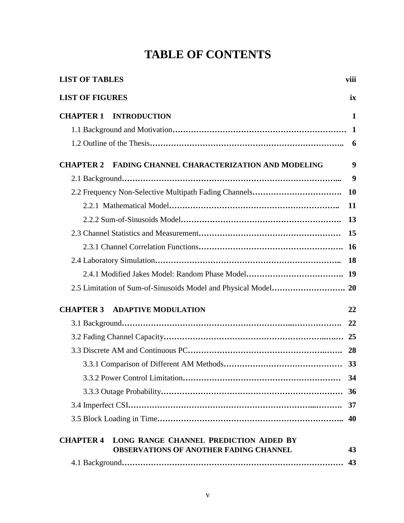# **TABLE OF CONTENTS**

| <b>LIST OF TABLES</b>  |                                                                                         | viii        |
|------------------------|-----------------------------------------------------------------------------------------|-------------|
| <b>LIST OF FIGURES</b> |                                                                                         | ix          |
| <b>CHAPTER 1</b>       | <b>INTRODUCTION</b>                                                                     | 1           |
|                        |                                                                                         | $\mathbf 1$ |
|                        |                                                                                         | 6           |
| <b>CHAPTER 2</b>       | FADING CHANNEL CHARACTERIZATION AND MODELING                                            | 9           |
|                        |                                                                                         | 9           |
|                        |                                                                                         | <b>10</b>   |
|                        |                                                                                         | 11          |
|                        |                                                                                         | 13          |
|                        |                                                                                         | 15          |
|                        |                                                                                         | <b>16</b>   |
|                        |                                                                                         | 18          |
|                        | 2.4.1 Modified Jakes Model: Random Phase Model                                          | 19          |
|                        |                                                                                         |             |
| <b>CHAPTER 3</b>       | <b>ADAPTIVE MODULATION</b>                                                              | 22          |
|                        |                                                                                         | 22          |
|                        |                                                                                         |             |
|                        |                                                                                         | 28          |
|                        |                                                                                         | 33          |
|                        |                                                                                         | 34          |
|                        |                                                                                         | 36          |
|                        |                                                                                         | 37          |
|                        |                                                                                         | 40          |
| <b>CHAPTER 4</b>       | LONG RANGE CHANNEL PREDICTION AIDED BY<br><b>OBSERVATIONS OF ANOTHER FADING CHANNEL</b> | 43          |
|                        |                                                                                         | 43          |
|                        |                                                                                         |             |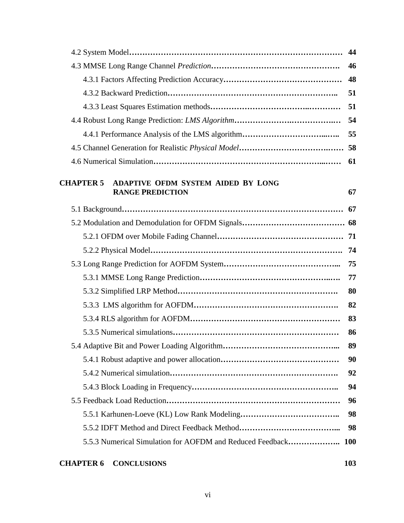|                                                               | 44         |
|---------------------------------------------------------------|------------|
|                                                               | 46         |
|                                                               | 48         |
|                                                               | 51         |
|                                                               | 51         |
|                                                               | 54         |
|                                                               | 55         |
|                                                               |            |
|                                                               | 61         |
| <b>CHAPTER 5</b><br><b>ADAPTIVE OFDM SYSTEM AIDED BY LONG</b> |            |
| <b>RANGE PREDICTION</b>                                       | 67         |
|                                                               | 67         |
|                                                               |            |
|                                                               |            |
|                                                               | 74         |
|                                                               | 75         |
|                                                               | 77         |
|                                                               | 80         |
|                                                               | 82         |
|                                                               | 83         |
|                                                               | 86         |
|                                                               | 89         |
|                                                               | 90         |
|                                                               | 92         |
|                                                               | 94         |
|                                                               | 96         |
|                                                               | 98         |
|                                                               | 98         |
| 5.5.3 Numerical Simulation for AOFDM and Reduced Feedback     | <b>100</b> |
|                                                               |            |

## **CHAPTER 6 CONCLUSIONS 103**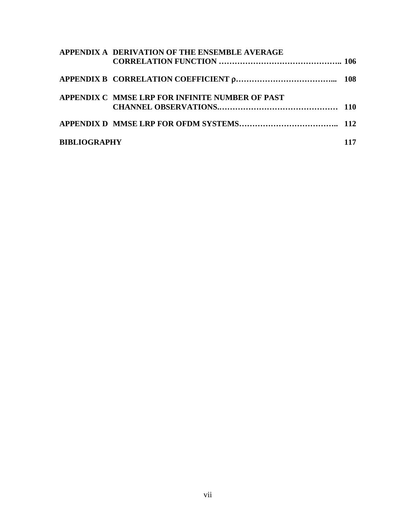|                     | APPENDIX A DERIVATION OF THE ENSEMBLE AVERAGE   |     |
|---------------------|-------------------------------------------------|-----|
|                     |                                                 |     |
|                     | APPENDIX C MMSE LRP FOR INFINITE NUMBER OF PAST |     |
|                     |                                                 |     |
| <b>BIBLIOGRAPHY</b> |                                                 | 117 |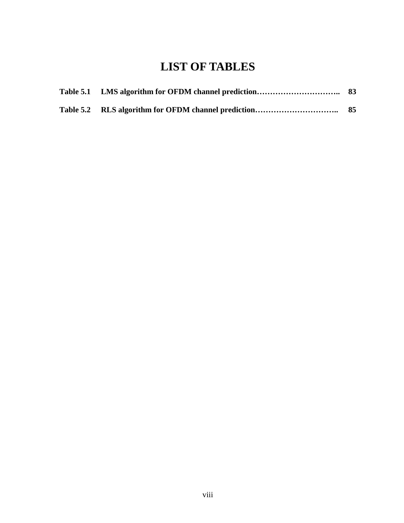# **LIST OF TABLES**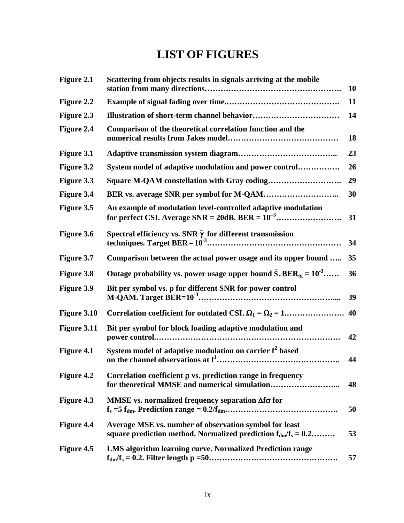# **LIST OF FIGURES**

| Figure 2.1        | Scattering from objects results in signals arriving at the mobile                                                            | 10 |
|-------------------|------------------------------------------------------------------------------------------------------------------------------|----|
| Figure 2.2        |                                                                                                                              | 11 |
| Figure 2.3        |                                                                                                                              | 14 |
| Figure 2.4        | Comparison of the theoretical correlation function and the                                                                   | 18 |
| Figure 3.1        |                                                                                                                              | 23 |
| <b>Figure 3.2</b> | System model of adaptive modulation and power control                                                                        | 26 |
| Figure 3.3        |                                                                                                                              | 29 |
| Figure 3.4        |                                                                                                                              | 30 |
| Figure 3.5        | An example of modulation level-controlled adaptive modulation                                                                | 31 |
| Figure 3.6        | Spectral efficiency vs. SNR $\bar{\gamma}$ for different transmission                                                        | 34 |
| Figure 3.7        | Comparison between the actual power usage and its upper bound                                                                | 35 |
| <b>Figure 3.8</b> | Outage probability vs. power usage upper bound $\bar{S}$ . BER <sub>tg</sub> = 10 <sup>-3</sup>                              | 36 |
| <b>Figure 3.9</b> | Bit per symbol vs. $\rho$ for different SNR for power control                                                                | 39 |
| Figure 3.10       | Correlation coefficient for outdated CSI. $\Omega_1 = \Omega_2 = 1$                                                          | 40 |
| Figure 3.11       | Bit per symbol for block loading adaptive modulation and                                                                     | 42 |
| Figure 4.1        | System model of adaptive modulation on carrier f <sup>2</sup> based                                                          | 44 |
| <b>Figure 4.2</b> | Correlation coefficient $\rho$ vs. prediction range in frequency<br>for theoretical MMSE and numerical simulation            | 48 |
| Figure 4.3        | MMSE vs. normalized frequency separation $\Delta f \sigma$ for                                                               | 50 |
| Figure 4.4        | Average MSE vs. number of observation symbol for least<br>square prediction method. Normalized prediction $f_{dm}/f_s = 0.2$ | 53 |
| Figure 4.5        | LMS algorithm learning curve. Normalized Prediction range                                                                    | 57 |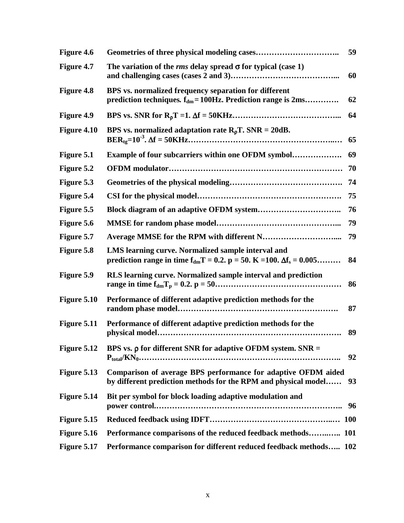| Figure 4.6        |                                                                                                                                              | 59 |
|-------------------|----------------------------------------------------------------------------------------------------------------------------------------------|----|
| Figure 4.7        | The variation of the <i>rms</i> delay spread $\sigma$ for typical (case 1)                                                                   | 60 |
| <b>Figure 4.8</b> | BPS vs. normalized frequency separation for different<br>prediction techniques. $f_{dm} = 100$ Hz. Prediction range is $2ms$                 | 62 |
| Figure 4.9        |                                                                                                                                              | 64 |
| Figure 4.10       | BPS vs. normalized adaptation rate $R_{\rho}T$ . SNR = 20dB.                                                                                 | 65 |
| Figure 5.1        | <b>Example of four subcarriers within one OFDM symbol</b>                                                                                    | 69 |
| Figure 5.2        |                                                                                                                                              | 70 |
| Figure 5.3        |                                                                                                                                              | 74 |
| Figure 5.4        |                                                                                                                                              | 75 |
| Figure 5.5        |                                                                                                                                              | 76 |
| Figure 5.6        |                                                                                                                                              | 79 |
| Figure 5.7        |                                                                                                                                              | 79 |
| Figure 5.8        | LMS learning curve. Normalized sample interval and<br>prediction range in time $f_{dm}T = 0.2$ . $p = 50$ . $K = 100$ . $\Delta f_s = 0.005$ | 84 |
| Figure 5.9        | RLS learning curve. Normalized sample interval and prediction                                                                                | 86 |
| Figure 5.10       | Performance of different adaptive prediction methods for the                                                                                 | 87 |
| Figure 5.11       | Performance of different adaptive prediction methods for the                                                                                 | 89 |
| Figure 5.12       | BPS vs. $\rho$ for different SNR for adaptive OFDM system. SNR =                                                                             | 92 |
| Figure 5.13       | Comparison of average BPS performance for adaptive OFDM aided<br>by different prediction methods for the RPM and physical model              | 93 |
| Figure 5.14       | Bit per symbol for block loading adaptive modulation and                                                                                     | 96 |
| Figure 5.15       |                                                                                                                                              |    |
| Figure 5.16       | Performance comparisons of the reduced feedback methods 101                                                                                  |    |
| Figure 5.17       | Performance comparison for different reduced feedback methods 102                                                                            |    |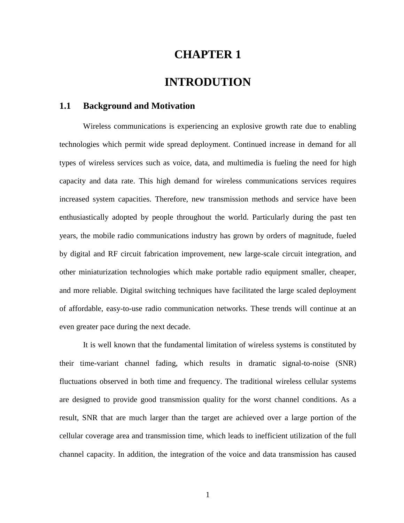## **CHAPTER 1**

## **INTRODUTION**

### **1.1 Background and Motivation**

Wireless communications is experiencing an explosive growth rate due to enabling technologies which permit wide spread deployment. Continued increase in demand for all types of wireless services such as voice, data, and multimedia is fueling the need for high capacity and data rate. This high demand for wireless communications services requires increased system capacities. Therefore, new transmission methods and service have been enthusiastically adopted by people throughout the world. Particularly during the past ten years, the mobile radio communications industry has grown by orders of magnitude, fueled by digital and RF circuit fabrication improvement, new large-scale circuit integration, and other miniaturization technologies which make portable radio equipment smaller, cheaper, and more reliable. Digital switching techniques have facilitated the large scaled deployment of affordable, easy-to-use radio communication networks. These trends will continue at an even greater pace during the next decade.

It is well known that the fundamental limitation of wireless systems is constituted by their time-variant channel fading, which results in dramatic signal-to-noise (SNR) fluctuations observed in both time and frequency. The traditional wireless cellular systems are designed to provide good transmission quality for the worst channel conditions. As a result, SNR that are much larger than the target are achieved over a large portion of the cellular coverage area and transmission time, which leads to inefficient utilization of the full channel capacity. In addition, the integration of the voice and data transmission has caused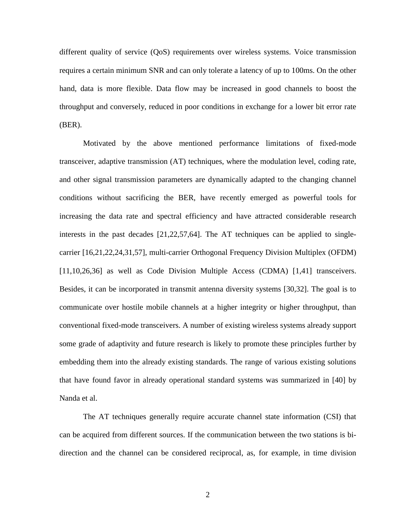different quality of service (QoS) requirements over wireless systems. Voice transmission requires a certain minimum SNR and can only tolerate a latency of up to 100ms. On the other hand, data is more flexible. Data flow may be increased in good channels to boost the throughput and conversely, reduced in poor conditions in exchange for a lower bit error rate (BER).

Motivated by the above mentioned performance limitations of fixed-mode transceiver, adaptive transmission (AT) techniques, where the modulation level, coding rate, and other signal transmission parameters are dynamically adapted to the changing channel conditions without sacrificing the BER, have recently emerged as powerful tools for increasing the data rate and spectral efficiency and have attracted considerable research interests in the past decades [21,22,57,64]. The AT techniques can be applied to singlecarrier [16,21,22,24,31,57], multi-carrier Orthogonal Frequency Division Multiplex (OFDM) [11,10,26,36] as well as Code Division Multiple Access (CDMA) [1,41] transceivers. Besides, it can be incorporated in transmit antenna diversity systems [30,32]. The goal is to communicate over hostile mobile channels at a higher integrity or higher throughput, than conventional fixed-mode transceivers. A number of existing wireless systems already support some grade of adaptivity and future research is likely to promote these principles further by embedding them into the already existing standards. The range of various existing solutions that have found favor in already operational standard systems was summarized in [40] by Nanda et al.

The AT techniques generally require accurate channel state information (CSI) that can be acquired from different sources. If the communication between the two stations is bidirection and the channel can be considered reciprocal, as, for example, in time division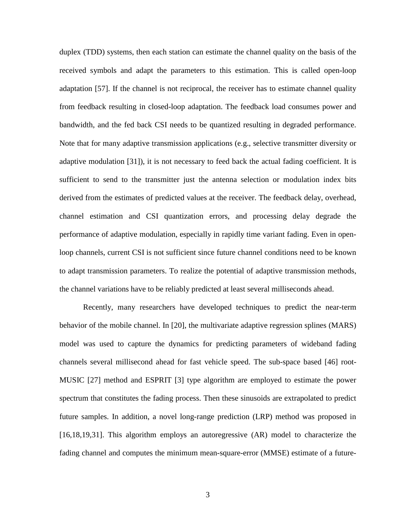duplex (TDD) systems, then each station can estimate the channel quality on the basis of the received symbols and adapt the parameters to this estimation. This is called open-loop adaptation [57]. If the channel is not reciprocal, the receiver has to estimate channel quality from feedback resulting in closed-loop adaptation. The feedback load consumes power and bandwidth, and the fed back CSI needs to be quantized resulting in degraded performance. Note that for many adaptive transmission applications (e.g., selective transmitter diversity or adaptive modulation [31]), it is not necessary to feed back the actual fading coefficient. It is sufficient to send to the transmitter just the antenna selection or modulation index bits derived from the estimates of predicted values at the receiver. The feedback delay, overhead, channel estimation and CSI quantization errors, and processing delay degrade the performance of adaptive modulation, especially in rapidly time variant fading. Even in openloop channels, current CSI is not sufficient since future channel conditions need to be known to adapt transmission parameters. To realize the potential of adaptive transmission methods, the channel variations have to be reliably predicted at least several milliseconds ahead.

Recently, many researchers have developed techniques to predict the near-term behavior of the mobile channel. In [20], the multivariate adaptive regression splines (MARS) model was used to capture the dynamics for predicting parameters of wideband fading channels several millisecond ahead for fast vehicle speed. The sub-space based [46] root-MUSIC [27] method and ESPRIT [3] type algorithm are employed to estimate the power spectrum that constitutes the fading process. Then these sinusoids are extrapolated to predict future samples. In addition, a novel long-range prediction (LRP) method was proposed in [16,18,19,31]. This algorithm employs an autoregressive (AR) model to characterize the fading channel and computes the minimum mean-square-error (MMSE) estimate of a future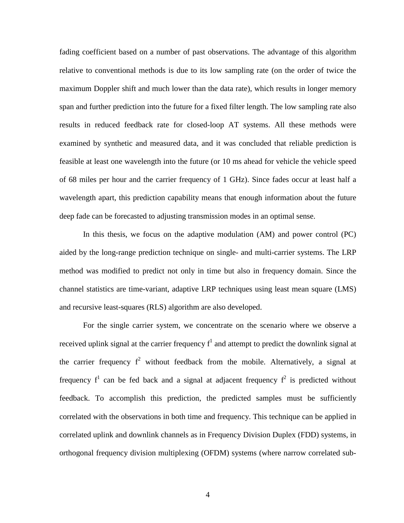fading coefficient based on a number of past observations. The advantage of this algorithm relative to conventional methods is due to its low sampling rate (on the order of twice the maximum Doppler shift and much lower than the data rate), which results in longer memory span and further prediction into the future for a fixed filter length. The low sampling rate also results in reduced feedback rate for closed-loop AT systems. All these methods were examined by synthetic and measured data, and it was concluded that reliable prediction is feasible at least one wavelength into the future (or 10 ms ahead for vehicle the vehicle speed of 68 miles per hour and the carrier frequency of 1 GHz). Since fades occur at least half a wavelength apart, this prediction capability means that enough information about the future deep fade can be forecasted to adjusting transmission modes in an optimal sense.

In this thesis, we focus on the adaptive modulation (AM) and power control (PC) aided by the long-range prediction technique on single- and multi-carrier systems. The LRP method was modified to predict not only in time but also in frequency domain. Since the channel statistics are time-variant, adaptive LRP techniques using least mean square (LMS) and recursive least-squares (RLS) algorithm are also developed.

For the single carrier system, we concentrate on the scenario where we observe a received uplink signal at the carrier frequency  $f<sup>1</sup>$  and attempt to predict the downlink signal at the carrier frequency  $f^2$  without feedback from the mobile. Alternatively, a signal at frequency  $f^1$  can be fed back and a signal at adjacent frequency  $f^2$  is predicted without feedback. To accomplish this prediction, the predicted samples must be sufficiently correlated with the observations in both time and frequency. This technique can be applied in correlated uplink and downlink channels as in Frequency Division Duplex (FDD) systems, in orthogonal frequency division multiplexing (OFDM) systems (where narrow correlated sub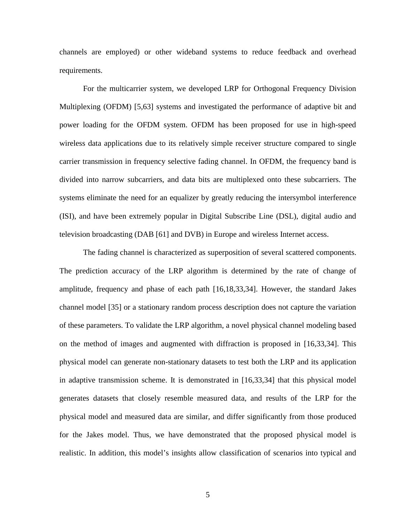channels are employed) or other wideband systems to reduce feedback and overhead requirements.

For the multicarrier system, we developed LRP for Orthogonal Frequency Division Multiplexing (OFDM) [5,63] systems and investigated the performance of adaptive bit and power loading for the OFDM system. OFDM has been proposed for use in high-speed wireless data applications due to its relatively simple receiver structure compared to single carrier transmission in frequency selective fading channel. In OFDM, the frequency band is divided into narrow subcarriers, and data bits are multiplexed onto these subcarriers. The systems eliminate the need for an equalizer by greatly reducing the intersymbol interference (ISI), and have been extremely popular in Digital Subscribe Line (DSL), digital audio and television broadcasting (DAB [61] and DVB) in Europe and wireless Internet access.

The fading channel is characterized as superposition of several scattered components. The prediction accuracy of the LRP algorithm is determined by the rate of change of amplitude, frequency and phase of each path [16,18,33,34]. However, the standard Jakes channel model [35] or a stationary random process description does not capture the variation of these parameters. To validate the LRP algorithm, a novel physical channel modeling based on the method of images and augmented with diffraction is proposed in [16,33,34]. This physical model can generate non-stationary datasets to test both the LRP and its application in adaptive transmission scheme. It is demonstrated in [16,33,34] that this physical model generates datasets that closely resemble measured data, and results of the LRP for the physical model and measured data are similar, and differ significantly from those produced for the Jakes model. Thus, we have demonstrated that the proposed physical model is realistic. In addition, this model's insights allow classification of scenarios into typical and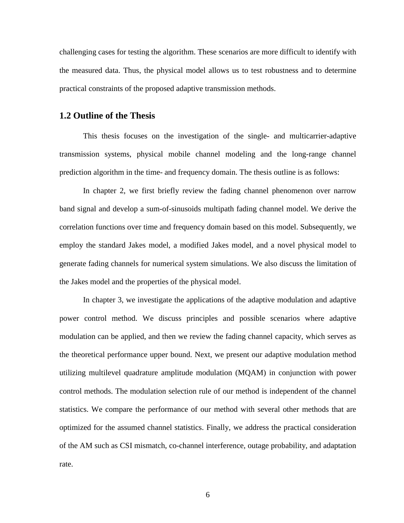challenging cases for testing the algorithm. These scenarios are more difficult to identify with the measured data. Thus, the physical model allows us to test robustness and to determine practical constraints of the proposed adaptive transmission methods.

### **1.2 Outline of the Thesis**

This thesis focuses on the investigation of the single- and multicarrier-adaptive transmission systems, physical mobile channel modeling and the long-range channel prediction algorithm in the time- and frequency domain. The thesis outline is as follows:

In chapter 2, we first briefly review the fading channel phenomenon over narrow band signal and develop a sum-of-sinusoids multipath fading channel model. We derive the correlation functions over time and frequency domain based on this model. Subsequently, we employ the standard Jakes model, a modified Jakes model, and a novel physical model to generate fading channels for numerical system simulations. We also discuss the limitation of the Jakes model and the properties of the physical model.

In chapter 3, we investigate the applications of the adaptive modulation and adaptive power control method. We discuss principles and possible scenarios where adaptive modulation can be applied, and then we review the fading channel capacity, which serves as the theoretical performance upper bound. Next, we present our adaptive modulation method utilizing multilevel quadrature amplitude modulation (MQAM) in conjunction with power control methods. The modulation selection rule of our method is independent of the channel statistics. We compare the performance of our method with several other methods that are optimized for the assumed channel statistics. Finally, we address the practical consideration of the AM such as CSI mismatch, co-channel interference, outage probability, and adaptation rate.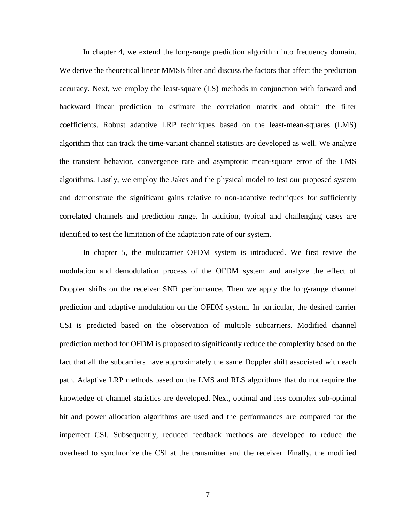In chapter 4, we extend the long-range prediction algorithm into frequency domain. We derive the theoretical linear MMSE filter and discuss the factors that affect the prediction accuracy. Next, we employ the least-square (LS) methods in conjunction with forward and backward linear prediction to estimate the correlation matrix and obtain the filter coefficients. Robust adaptive LRP techniques based on the least-mean-squares (LMS) algorithm that can track the time-variant channel statistics are developed as well. We analyze the transient behavior, convergence rate and asymptotic mean-square error of the LMS algorithms. Lastly, we employ the Jakes and the physical model to test our proposed system and demonstrate the significant gains relative to non-adaptive techniques for sufficiently correlated channels and prediction range. In addition, typical and challenging cases are identified to test the limitation of the adaptation rate of our system.

In chapter 5, the multicarrier OFDM system is introduced. We first revive the modulation and demodulation process of the OFDM system and analyze the effect of Doppler shifts on the receiver SNR performance. Then we apply the long-range channel prediction and adaptive modulation on the OFDM system. In particular, the desired carrier CSI is predicted based on the observation of multiple subcarriers. Modified channel prediction method for OFDM is proposed to significantly reduce the complexity based on the fact that all the subcarriers have approximately the same Doppler shift associated with each path. Adaptive LRP methods based on the LMS and RLS algorithms that do not require the knowledge of channel statistics are developed. Next, optimal and less complex sub-optimal bit and power allocation algorithms are used and the performances are compared for the imperfect CSI. Subsequently, reduced feedback methods are developed to reduce the overhead to synchronize the CSI at the transmitter and the receiver. Finally, the modified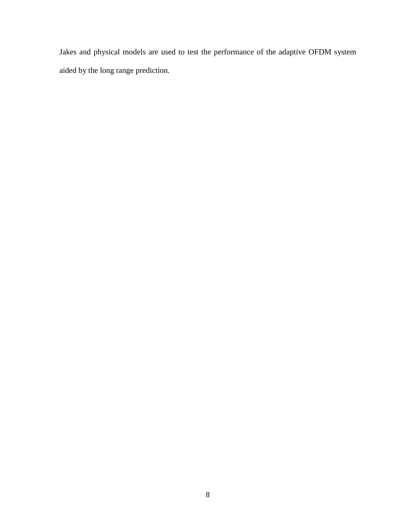Jakes and physical models are used to test the performance of the adaptive OFDM system aided by the long range prediction.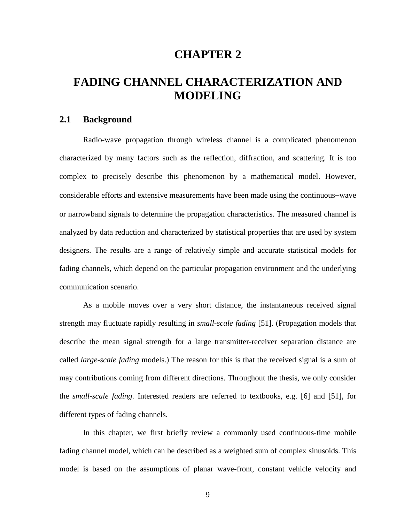## **CHAPTER 2**

# **FADING CHANNEL CHARACTERIZATION AND MODELING**

### **2.1 Background**

Radio-wave propagation through wireless channel is a complicated phenomenon characterized by many factors such as the reflection, diffraction, and scattering. It is too complex to precisely describe this phenomenon by a mathematical model. However, considerable efforts and extensive measurements have been made using the continuous−wave or narrowband signals to determine the propagation characteristics. The measured channel is analyzed by data reduction and characterized by statistical properties that are used by system designers. The results are a range of relatively simple and accurate statistical models for fading channels, which depend on the particular propagation environment and the underlying communication scenario.

As a mobile moves over a very short distance, the instantaneous received signal strength may fluctuate rapidly resulting in *small-scale fading* [51]. (Propagation models that describe the mean signal strength for a large transmitter-receiver separation distance are called *large-scale fading* models.) The reason for this is that the received signal is a sum of may contributions coming from different directions. Throughout the thesis, we only consider the *small-scale fading*. Interested readers are referred to textbooks, e.g. [6] and [51], for different types of fading channels.

In this chapter, we first briefly review a commonly used continuous-time mobile fading channel model, which can be described as a weighted sum of complex sinusoids. This model is based on the assumptions of planar wave-front, constant vehicle velocity and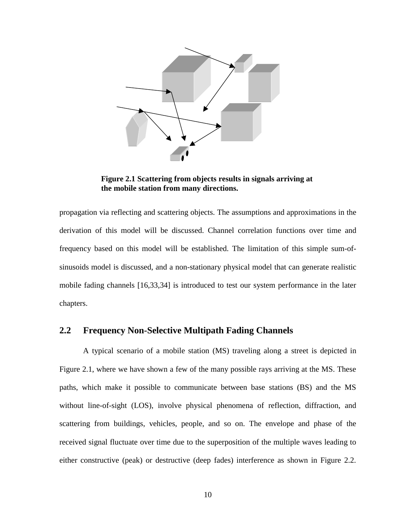

**Figure 2.1 Scattering from objects results in signals arriving at the mobile station from many directions.** 

propagation via reflecting and scattering objects. The assumptions and approximations in the derivation of this model will be discussed. Channel correlation functions over time and frequency based on this model will be established. The limitation of this simple sum-ofsinusoids model is discussed, and a non-stationary physical model that can generate realistic mobile fading channels [16,33,34] is introduced to test our system performance in the later chapters.

### **2.2 Frequency Non-Selective Multipath Fading Channels**

A typical scenario of a mobile station (MS) traveling along a street is depicted in Figure 2.1, where we have shown a few of the many possible rays arriving at the MS. These paths, which make it possible to communicate between base stations (BS) and the MS without line-of-sight (LOS), involve physical phenomena of reflection, diffraction, and scattering from buildings, vehicles, people, and so on. The envelope and phase of the received signal fluctuate over time due to the superposition of the multiple waves leading to either constructive (peak) or destructive (deep fades) interference as shown in Figure 2.2.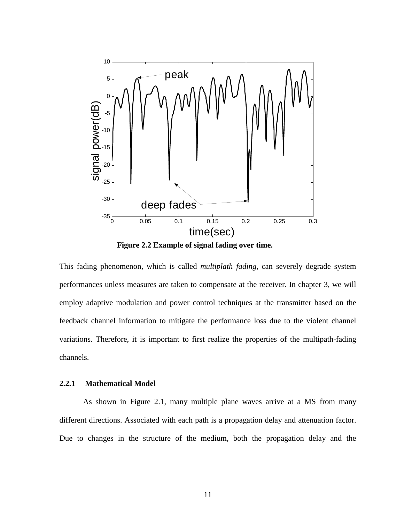

**Figure 2.2 Example of signal fading over time.** 

This fading phenomenon, which is called *multiplath fading*, can severely degrade system performances unless measures are taken to compensate at the receiver. In chapter 3, we will employ adaptive modulation and power control techniques at the transmitter based on the feedback channel information to mitigate the performance loss due to the violent channel variations. Therefore, it is important to first realize the properties of the multipath-fading channels.

### **2.2.1 Mathematical Model**

As shown in Figure 2.1, many multiple plane waves arrive at a MS from many different directions. Associated with each path is a propagation delay and attenuation factor. Due to changes in the structure of the medium, both the propagation delay and the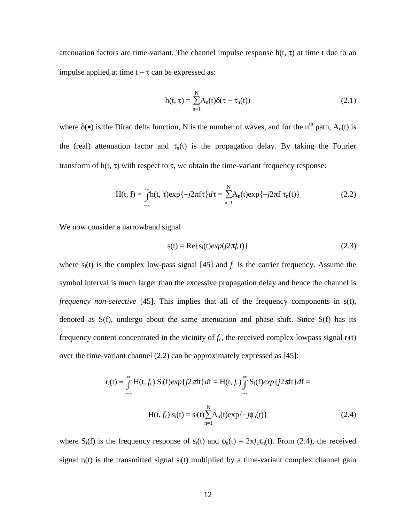attenuation factors are time-variant. The channel impulse response  $h(t, \tau)$  at time t due to an impulse applied at time  $t - \tau$  can be expressed as:

$$
h(t, \tau) = \sum_{n=1}^{N} A_n(t) \delta(\tau - \tau_n(t))
$$
\n(2.1)

where  $\delta(\bullet)$  is the Dirac delta function, N is the number of waves, and for the n<sup>th</sup> path, A<sub>n</sub>(t) is the (real) attenuation factor and  $\tau_n(t)$  is the propagation delay. By taking the Fourier transform of  $h(t, \tau)$  with respect to  $\tau$ , we obtain the time-variant frequency response:

$$
H(t, f) = \int_{-\infty}^{\infty} h(t, \tau) \exp\{-j2\pi f\tau\} d\tau = \sum_{n=1}^{N} A_n(t) \exp\{-j2\pi f\tau_n(t)\}
$$
(2.2)

We now consider a narrowband signal

$$
s(t) = \text{Re}\{s_1(t)exp(j2\pi f_c t)\}\tag{2.3}
$$

where  $s_i(t)$  is the complex low-pass signal [45] and  $f_c$  is the carrier frequency. Assume the symbol interval is much larger than the excessive propagation delay and hence the channel is *frequency non-selective* [45]. This implies that all of the frequency components in s(t), denoted as S(f), undergo about the same attenuation and phase shift. Since S(f) has its frequency content concentrated in the vicinity of  $f_c$ , the received complex lowpass signal  $r_l(t)$ over the time-variant channel (2.2) can be approximately expressed as [45]:

$$
r_l(t) \approx \int_{-\infty}^{\infty} H(t, f_c) S_l(f) exp\{j2\pi ft\} df = H(t, f_c) \int_{-\infty}^{\infty} S_l(f) exp\{j2\pi ft\} df =
$$
  
 
$$
H(t, f_c) S_l(t) = s_l(t) \sum_{n=1}^{N} A_n(t) exp\{-j\phi_n(t)\}
$$
(2.4)

where  $S_l(f)$  is the frequency response of  $s_l(t)$  and  $\phi_n(t) = 2\pi f_c \tau_n(t)$ . From (2.4), the received signal  $r_l(t)$  is the transmitted signal  $s_l(t)$  multiplied by a time-variant complex channel gain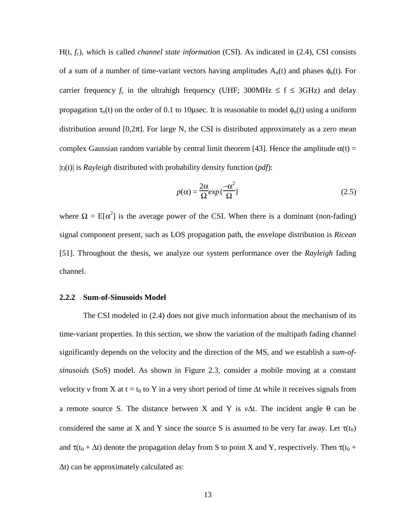H(t, *f<sub>c</sub>*), which is called *channel state information* (CSI). As indicated in (2.4), CSI consists of a sum of a number of time-variant vectors having amplitudes  $A_n(t)$  and phases  $\phi_n(t)$ . For carrier frequency  $f_c$  in the ultrahigh frequency (UHF; 300MHz  $\leq f \leq 3$ GHz) and delay propagation  $\tau_n(t)$  on the order of 0.1 to 10 µsec. It is reasonable to model  $\phi_n(t)$  using a uniform distribution around  $[0,2\pi]$ . For large N, the CSI is distributed approximately as a zero mean complex Gaussian random variable by central limit theorem [43]. Hence the amplitude  $\alpha(t)$  = |r*l*(t)| is *Rayleigh* distributed with probability density function (*pdf*):

$$
p(\alpha) = \frac{2\alpha}{\Omega} exp{\frac{-\alpha^2}{\Omega}}
$$
\n(2.5)

where  $\Omega = E[\alpha^2]$  is the average power of the CSI. When there is a dominant (non-fading) signal component present, such as LOS propagation path, the envelope distribution is *Ricean* [51]. Throughout the thesis, we analyze our system performance over the *Rayleigh* fading channel.

#### **2.2.2 Sum-of-Sinusoids Model**

The CSI modeled in (2.4) does not give much information about the mechanism of its time-variant properties. In this section, we show the variation of the multipath fading channel significantly depends on the velocity and the direction of the MS, and we establish a *sum-ofsinusoids* (SoS) model. As shown in Figure 2.3, consider a mobile moving at a constant velocity *v* from X at t = t<sub>0</sub> to Y in a very short period of time  $\Delta t$  while it receives signals from a remote source S. The distance between X and Y is *v*∆t. The incident angle θ can be considered the same at X and Y since the source S is assumed to be very far away. Let  $\tau(t_0)$ and  $\tau(t_0 + \Delta t)$  denote the propagation delay from S to point X and Y, respectively. Then  $\tau(t_0 +$ ∆t) can be approximately calculated as: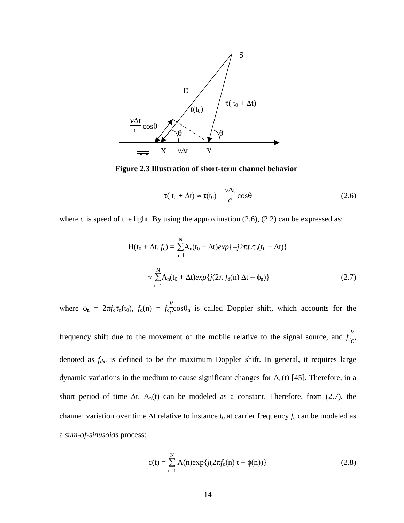

**Figure 2.3 Illustration of short-term channel behavior** 

$$
\tau(t_0 + \Delta t) \approx \tau(t_0) - \frac{v\Delta t}{c} \cos\theta \tag{2.6}
$$

where  $c$  is speed of the light. By using the approximation  $(2.6)$ ,  $(2.2)$  can be expressed as:

$$
H(t_0 + \Delta t, f_c) = \sum_{n=1}^{N} A_n(t_0 + \Delta t) exp\{-j2\pi f_c \tau_n(t_0 + \Delta t)\}\
$$
  

$$
\approx \sum_{n=1}^{N} A_n(t_0 + \Delta t) exp\{j(2\pi f_d(n) \Delta t - \phi_n)\}\
$$
 (2.7)

where  $\phi_n = 2\pi f_c \tau_n(t_0)$ ,  $f_d(n) = f_c$ *v*  $\frac{c}{c}$ cos $\theta_n$  is called Doppler shift, which accounts for the

frequency shift due to the movement of the mobile relative to the signal source, and *f*<sup>c</sup> *v*  $\frac{c}{c}$ denoted as *fdm* is defined to be the maximum Doppler shift. In general, it requires large dynamic variations in the medium to cause significant changes for  $A_n(t)$  [45]. Therefore, in a short period of time  $\Delta t$ , A<sub>n</sub>(t) can be modeled as a constant. Therefore, from (2.7), the channel variation over time ∆t relative to instance t<sub>0</sub> at carrier frequency *f*<sub>c</sub> can be modeled as a *sum-of-sinusoids* process:

$$
c(t) = \sum_{n=1}^{N} A(n) \exp\{j(2\pi f_d(n) t - \phi(n))\}
$$
 (2.8)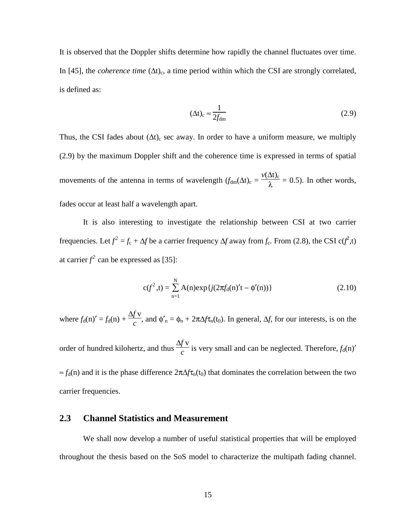It is observed that the Doppler shifts determine how rapidly the channel fluctuates over time. In [45], the *coherence time* (Δt)<sub>c</sub>, a time period within which the CSI are strongly correlated, is defined as:

$$
(\Delta t)_{\rm c} \approx \frac{1}{2f_{\rm dm}}\tag{2.9}
$$

Thus, the CSI fades about  $(\Delta t)_{c}$  sec away. In order to have a uniform measure, we multiply (2.9) by the maximum Doppler shift and the coherence time is expressed in terms of spatial movements of the antenna in terms of wavelength  $(f_{dm}(\Delta t)_{c} =$  $v(\Delta t)_c$  $\frac{\Delta V_{\text{C}}}{\lambda}$  = 0.5). In other words, fades occur at least half a wavelength apart.

It is also interesting to investigate the relationship between CSI at two carrier frequencies. Let  $f^2 = f_c + \Delta f$  be a carrier frequency  $\Delta f$  away from *f<sub>c</sub>*. From (2.8), the CSI c( $f^2$ ,t) at carrier  $f^2$  can be expressed as [35]:

$$
c(f^{2},t) = \sum_{n=1}^{N} A(n) \exp\{j(2\pi f_{d}(n)'t - \phi'(n))\}
$$
 (2.10)

where  $f_d(n)' = f_d(n) +$ ∆*f* v  $\frac{\partial f}{\partial c}$ , and  $\phi'_n = \phi_n + 2\pi \Delta f \tau_n(t_0)$ . In general,  $\Delta f$ , for our interests, is on the

order of hundred kilohertz, and thus ∆*f* v  $\frac{d}{c}$  is very small and can be neglected. Therefore,  $f_d(n)$ <sup>'</sup> ≈ *f*d(n) and it is the phase difference 2π∆*f*τn(t0) that dominates the correlation between the two carrier frequencies.

### **2.3 Channel Statistics and Measurement**

We shall now develop a number of useful statistical properties that will be employed throughout the thesis based on the SoS model to characterize the multipath fading channel.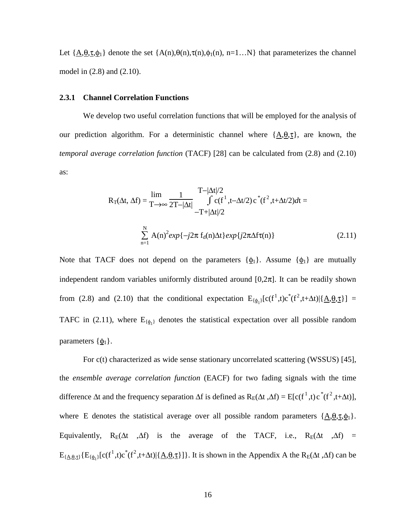Let  $\{\underline{A},\underline{\theta},\underline{\tau},\underline{\phi}_1\}$  denote the set  $\{A(n),\theta(n),\tau(n),\phi_1(n), n=1...N\}$  that parameterizes the channel model in (2.8) and (2.10).

#### **2.3.1 Channel Correlation Functions**

We develop two useful correlation functions that will be employed for the analysis of our prediction algorithm. For a deterministic channel where  ${A, \theta, \tau}$ , are known, the *temporal average correlation function* (TACF) [28] can be calculated from (2.8) and (2.10) as:

$$
R_{T}(\Delta t, \Delta f) = \lim_{T \to \infty} \frac{1}{2T - |\Delta t|} \int_{-T + |\Delta t|/2}^{T - |\Delta t|/2} f(c(f^1, t - \Delta t/2) c^*(f^2, t + \Delta t/2) dt = -T + |\Delta t|/2
$$

$$
\sum_{n=1}^{N} A(n)^2 exp{-j2\pi f_d(n)\Delta t} exp{j2\pi \Delta f(\pi)}
$$
(2.11)

Note that TACF does not depend on the parameters  $\{\phi_1\}$ . Assume  $\{\phi_1\}$  are mutually independent random variables uniformly distributed around  $[0,2\pi]$ . It can be readily shown from (2.8) and (2.10) that the conditional expectation  $E_{\{\phi_1\}}[c(f^1,t)c^*(f^2,t+\Delta t)|{\underline{A},\theta,\underline{\tau}}] =$ TAFC in (2.11), where  $E_{\{\phi_1\}}$  denotes the statistical expectation over all possible random parameters  $\{\phi_1\}$ .

For c(t) characterized as wide sense stationary uncorrelated scattering (WSSUS) [45], the *ensemble average correlation function* (EACF) for two fading signals with the time difference  $\Delta t$  and the frequency separation  $\Delta f$  is defined as  $R_E(\Delta t, \Delta f) = E[c(f^1, t)c^*(f^2, t+\Delta t)],$ where E denotes the statistical average over all possible random parameters  $\{\underline{A}, \underline{\theta}, \underline{\tau}, \underline{\phi}_1\}$ . Equivalently, R<sub>E</sub>( $\Delta t$ ,  $\Delta f$ ) is the average of the TACF, i.e., R<sub>E</sub>( $\Delta t$ ,  $\Delta f$ ) =  $E_{\{\underline{A},\underline{\theta},\underline{\tau}\}}\{E_{\{\underline{\phi}_1\}}[c(f^1,t)c^*(f^2,t+\Delta t)|\{\underline{A},\underline{\theta},\underline{\tau}\}]\}\.$  It is shown in the Appendix A the R<sub>E</sub>( $\Delta t$ , $\Delta f$ ) can be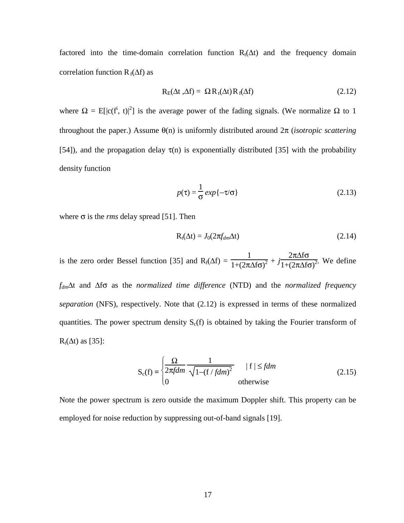factored into the time-domain correlation function  $R_t(\Delta t)$  and the frequency domain correlation function  $R_f(\Delta f)$  as

$$
R_{E}(\Delta t, \Delta f) = \Omega R_{t}(\Delta t) R_{f}(\Delta f)
$$
\n(2.12)

where  $\Omega = E[|c(f^i, t)|^2]$  is the average power of the fading signals. (We normalize  $\Omega$  to 1 throughout the paper.) Assume θ(n) is uniformly distributed around 2π (*isotropic scattering* [54]), and the propagation delay  $\tau(n)$  is exponentially distributed [35] with the probability density function

$$
p(\tau) = \frac{1}{\sigma} \exp\{-\tau/\sigma\}
$$
 (2.13)

where  $\sigma$  is the *rms* delay spread [51]. Then

$$
R_t(\Delta t) = J_0(2\pi f_{dm}\Delta t) \tag{2.14}
$$

is the zero order Bessel function [35] and  $R_f(\Delta f) =$ 1  $\frac{1}{1+(2\pi\Delta f\sigma)^2}+j$ 2π∆fσ  $\frac{2\pi\Delta f\sigma}{1+(2\pi\Delta f\sigma)^2}$ . We define

*fdm*∆t and ∆fσ as the *normalized time difference* (NTD) and the *normalized frequency separation* (NFS), respectively. Note that (2.12) is expressed in terms of these normalized quantities. The power spectrum density  $S_c(f)$  is obtained by taking the Fourier transform of  $R_t(\Delta t)$  as [35]:

$$
S_c(f) = \begin{cases} \frac{\Omega}{2\pi f dm} \frac{1}{\sqrt{1 - (f / f dm)^2}} & |f| \leq f dm\\ 0 & \text{otherwise} \end{cases} \tag{2.15}
$$

Note the power spectrum is zero outside the maximum Doppler shift. This property can be employed for noise reduction by suppressing out-of-band signals [19].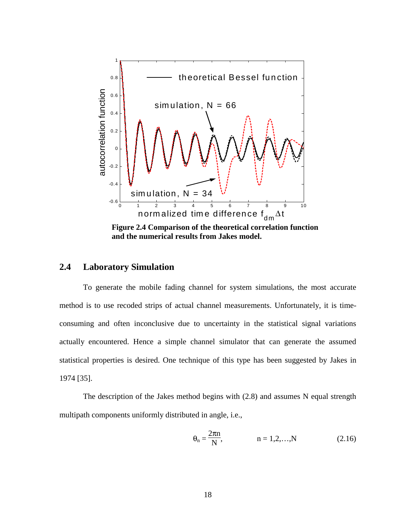

**Figure 2.4 Comparison of the theoretical correlation function and the numerical results from Jakes model.** 

### **2.4 Laboratory Simulation**

To generate the mobile fading channel for system simulations, the most accurate method is to use recoded strips of actual channel measurements. Unfortunately, it is timeconsuming and often inconclusive due to uncertainty in the statistical signal variations actually encountered. Hence a simple channel simulator that can generate the assumed statistical properties is desired. One technique of this type has been suggested by Jakes in 1974 [35].

The description of the Jakes method begins with (2.8) and assumes N equal strength multipath components uniformly distributed in angle, i.e.,

$$
\theta_n = \frac{2\pi n}{N}, \qquad n = 1, 2, ..., N \qquad (2.16)
$$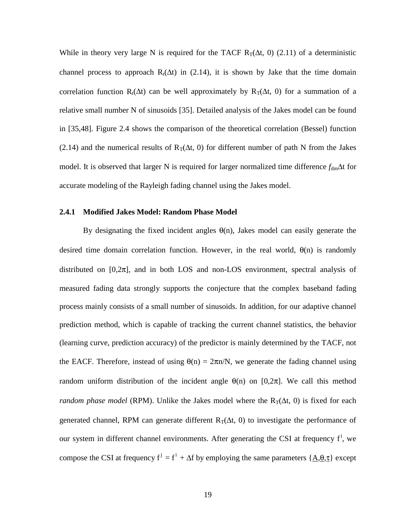While in theory very large N is required for the TACF R<sub>T</sub>( $\Delta t$ , 0) (2.11) of a deterministic channel process to approach R<sub>t</sub>( $\Delta t$ ) in (2.14), it is shown by Jake that the time domain correlation function R<sub>t</sub>( $\Delta t$ ) can be well approximately by R<sub>T</sub>( $\Delta t$ , 0) for a summation of a relative small number N of sinusoids [35]. Detailed analysis of the Jakes model can be found in [35,48]. Figure 2.4 shows the comparison of the theoretical correlation (Bessel) function (2.14) and the numerical results of  $R_T(\Delta t, 0)$  for different number of path N from the Jakes model. It is observed that larger N is required for larger normalized time difference *f*<sub>dm</sub>∆t for accurate modeling of the Rayleigh fading channel using the Jakes model.

### **2.4.1 Modified Jakes Model: Random Phase Model**

By designating the fixed incident angles  $\theta(n)$ , Jakes model can easily generate the desired time domain correlation function. However, in the real world,  $\theta(n)$  is randomly distributed on  $[0,2\pi]$ , and in both LOS and non-LOS environment, spectral analysis of measured fading data strongly supports the conjecture that the complex baseband fading process mainly consists of a small number of sinusoids. In addition, for our adaptive channel prediction method, which is capable of tracking the current channel statistics, the behavior (learning curve, prediction accuracy) of the predictor is mainly determined by the TACF, not the EACF. Therefore, instead of using  $\theta(n) = 2\pi n/N$ , we generate the fading channel using random uniform distribution of the incident angle  $\theta(n)$  on [0,2 $\pi$ ]. We call this method *random phase model* (RPM). Unlike the Jakes model where the  $R_T(\Delta t, 0)$  is fixed for each generated channel, RPM can generate different  $R_T(\Delta t, 0)$  to investigate the performance of our system in different channel environments. After generating the CSI at frequency f<sup>i</sup>, we compose the CSI at frequency  $f^j = f^i + \Delta f$  by employing the same parameters  $\{\underline{A}, \underline{\theta}, \underline{\tau}\}$  except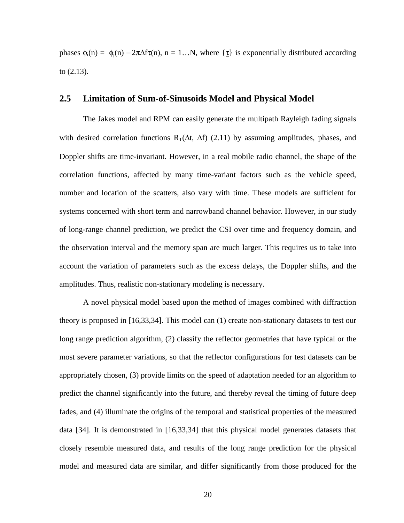phases  $\phi_i(n) = \phi_i(n) - 2\pi\Delta f\tau(n)$ ,  $n = 1...N$ , where  $\{\tau\}$  is exponentially distributed according to (2.13).

### **2.5 Limitation of Sum-of-Sinusoids Model and Physical Model**

The Jakes model and RPM can easily generate the multipath Rayleigh fading signals with desired correlation functions R<sub>T</sub>( $\Delta t$ ,  $\Delta f$ ) (2.11) by assuming amplitudes, phases, and Doppler shifts are time-invariant. However, in a real mobile radio channel, the shape of the correlation functions, affected by many time-variant factors such as the vehicle speed, number and location of the scatters, also vary with time. These models are sufficient for systems concerned with short term and narrowband channel behavior. However, in our study of long-range channel prediction, we predict the CSI over time and frequency domain, and the observation interval and the memory span are much larger. This requires us to take into account the variation of parameters such as the excess delays, the Doppler shifts, and the amplitudes. Thus, realistic non-stationary modeling is necessary.

A novel physical model based upon the method of images combined with diffraction theory is proposed in [16,33,34]. This model can (1) create non-stationary datasets to test our long range prediction algorithm, (2) classify the reflector geometries that have typical or the most severe parameter variations, so that the reflector configurations for test datasets can be appropriately chosen, (3) provide limits on the speed of adaptation needed for an algorithm to predict the channel significantly into the future, and thereby reveal the timing of future deep fades, and (4) illuminate the origins of the temporal and statistical properties of the measured data [34]. It is demonstrated in [16,33,34] that this physical model generates datasets that closely resemble measured data, and results of the long range prediction for the physical model and measured data are similar, and differ significantly from those produced for the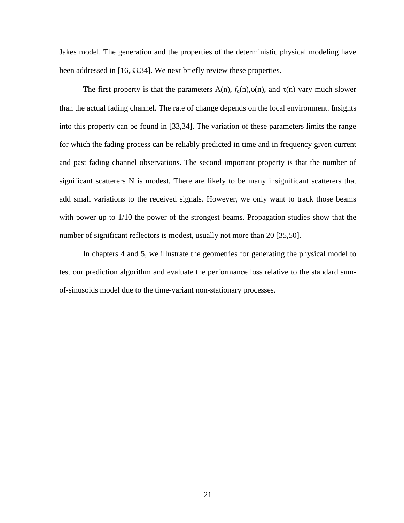Jakes model. The generation and the properties of the deterministic physical modeling have been addressed in [16,33,34]. We next briefly review these properties.

The first property is that the parameters  $A(n)$ ,  $f_d(n), \phi(n)$ , and  $\tau(n)$  vary much slower than the actual fading channel. The rate of change depends on the local environment. Insights into this property can be found in [33,34]. The variation of these parameters limits the range for which the fading process can be reliably predicted in time and in frequency given current and past fading channel observations. The second important property is that the number of significant scatterers N is modest. There are likely to be many insignificant scatterers that add small variations to the received signals. However, we only want to track those beams with power up to 1/10 the power of the strongest beams. Propagation studies show that the number of significant reflectors is modest, usually not more than 20 [35,50].

In chapters 4 and 5, we illustrate the geometries for generating the physical model to test our prediction algorithm and evaluate the performance loss relative to the standard sumof-sinusoids model due to the time-variant non-stationary processes.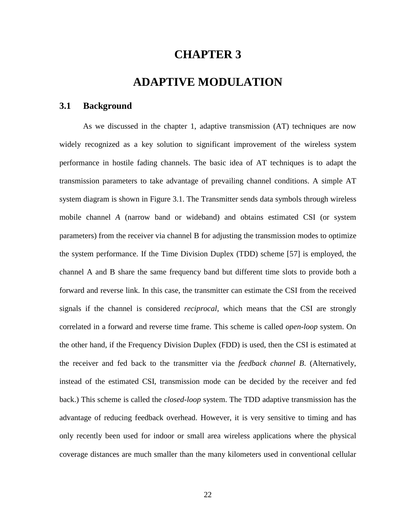## **CHAPTER 3**

## **ADAPTIVE MODULATION**

### **3.1 Background**

As we discussed in the chapter 1, adaptive transmission (AT) techniques are now widely recognized as a key solution to significant improvement of the wireless system performance in hostile fading channels. The basic idea of AT techniques is to adapt the transmission parameters to take advantage of prevailing channel conditions. A simple AT system diagram is shown in Figure 3.1. The Transmitter sends data symbols through wireless mobile channel *A* (narrow band or wideband) and obtains estimated CSI (or system parameters) from the receiver via channel B for adjusting the transmission modes to optimize the system performance. If the Time Division Duplex (TDD) scheme [57] is employed, the channel A and B share the same frequency band but different time slots to provide both a forward and reverse link. In this case, the transmitter can estimate the CSI from the received signals if the channel is considered *reciprocal*, which means that the CSI are strongly correlated in a forward and reverse time frame. This scheme is called *open-loop* system. On the other hand, if the Frequency Division Duplex (FDD) is used, then the CSI is estimated at the receiver and fed back to the transmitter via the *feedback channel B*. (Alternatively, instead of the estimated CSI, transmission mode can be decided by the receiver and fed back.) This scheme is called the *closed-loop* system. The TDD adaptive transmission has the advantage of reducing feedback overhead. However, it is very sensitive to timing and has only recently been used for indoor or small area wireless applications where the physical coverage distances are much smaller than the many kilometers used in conventional cellular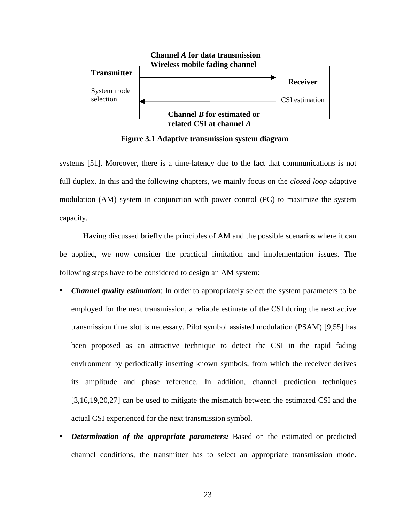

**Figure 3.1 Adaptive transmission system diagram** 

systems [51]. Moreover, there is a time-latency due to the fact that communications is not full duplex. In this and the following chapters, we mainly focus on the *closed loop* adaptive modulation (AM) system in conjunction with power control (PC) to maximize the system capacity.

Having discussed briefly the principles of AM and the possible scenarios where it can be applied, we now consider the practical limitation and implementation issues. The following steps have to be considered to design an AM system:

- *Channel quality estimation*: In order to appropriately select the system parameters to be employed for the next transmission, a reliable estimate of the CSI during the next active transmission time slot is necessary. Pilot symbol assisted modulation (PSAM) [9,55] has been proposed as an attractive technique to detect the CSI in the rapid fading environment by periodically inserting known symbols, from which the receiver derives its amplitude and phase reference. In addition, channel prediction techniques [3,16,19,20,27] can be used to mitigate the mismatch between the estimated CSI and the actual CSI experienced for the next transmission symbol.
- *Determination of the appropriate parameters:* Based on the estimated or predicted channel conditions, the transmitter has to select an appropriate transmission mode.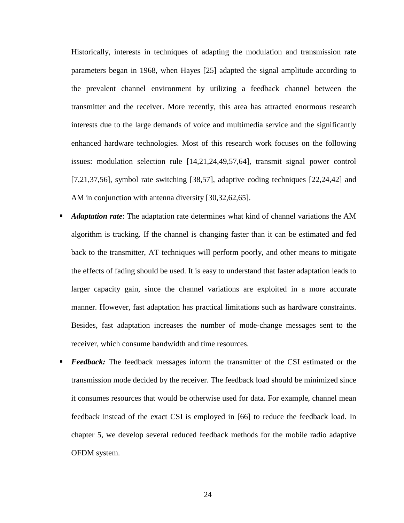Historically, interests in techniques of adapting the modulation and transmission rate parameters began in 1968, when Hayes [25] adapted the signal amplitude according to the prevalent channel environment by utilizing a feedback channel between the transmitter and the receiver. More recently, this area has attracted enormous research interests due to the large demands of voice and multimedia service and the significantly enhanced hardware technologies. Most of this research work focuses on the following issues: modulation selection rule [14,21,24,49,57,64], transmit signal power control [7,21,37,56], symbol rate switching [38,57], adaptive coding techniques [22,24,42] and AM in conjunction with antenna diversity [30,32,62,65].

- *Adaptation rate*: The adaptation rate determines what kind of channel variations the AM algorithm is tracking. If the channel is changing faster than it can be estimated and fed back to the transmitter, AT techniques will perform poorly, and other means to mitigate the effects of fading should be used. It is easy to understand that faster adaptation leads to larger capacity gain, since the channel variations are exploited in a more accurate manner. However, fast adaptation has practical limitations such as hardware constraints. Besides, fast adaptation increases the number of mode-change messages sent to the receiver, which consume bandwidth and time resources.
- *Feedback:* The feedback messages inform the transmitter of the CSI estimated or the transmission mode decided by the receiver. The feedback load should be minimized since it consumes resources that would be otherwise used for data. For example, channel mean feedback instead of the exact CSI is employed in [66] to reduce the feedback load. In chapter 5, we develop several reduced feedback methods for the mobile radio adaptive OFDM system.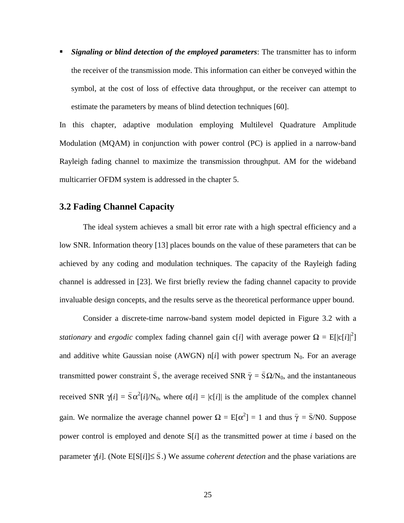*Signaling or blind detection of the employed parameters*: The transmitter has to inform the receiver of the transmission mode. This information can either be conveyed within the symbol, at the cost of loss of effective data throughput, or the receiver can attempt to estimate the parameters by means of blind detection techniques [60].

In this chapter, adaptive modulation employing Multilevel Quadrature Amplitude Modulation (MQAM) in conjunction with power control (PC) is applied in a narrow-band Rayleigh fading channel to maximize the transmission throughput. AM for the wideband multicarrier OFDM system is addressed in the chapter 5.

# **3.2 Fading Channel Capacity**

The ideal system achieves a small bit error rate with a high spectral efficiency and a low SNR. Information theory [13] places bounds on the value of these parameters that can be achieved by any coding and modulation techniques. The capacity of the Rayleigh fading channel is addressed in [23]. We first briefly review the fading channel capacity to provide invaluable design concepts, and the results serve as the theoretical performance upper bound.

Consider a discrete-time narrow-band system model depicted in Figure 3.2 with a *stationary* and *ergodic* complex fading channel gain c[*i*] with average power  $\Omega = E[|c[i]|^2]$ and additive white Gaussian noise (AWGN)  $n[i]$  with power spectrum  $N_0$ . For an average transmitted power constraint  $\bar{S}$ , the average received SNR  $\bar{\gamma} = \bar{S} \Omega/N_0$ , and the instantaneous received SNR  $\gamma[i] = \bar{S} \alpha^2[i]/N_0$ , where  $\alpha[i] = |c[i]|$  is the amplitude of the complex channel gain. We normalize the average channel power  $\Omega = E[\alpha^2] = 1$  and thus  $\bar{\gamma} = \bar{S}/N0$ . Suppose power control is employed and denote S[*i*] as the transmitted power at time *i* based on the parameter  $\gamma[i]$ . (Note E[S[*i*]]≤  $\overline{S}$ .) We assume *coherent detection* and the phase variations are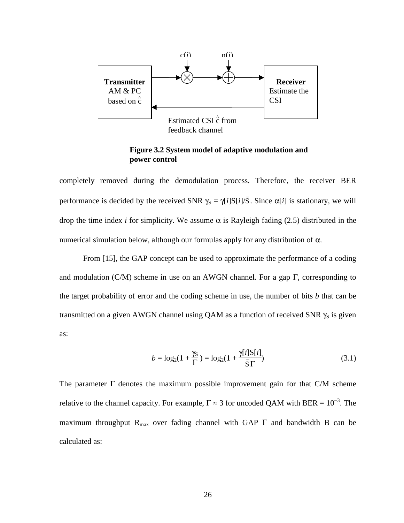

feedback channel

**Figure 3.2 System model of adaptive modulation and power control** 

completely removed during the demodulation process. Therefore, the receiver BER performance is decided by the received SNR  $\gamma_s = \gamma[i] S[i]/\overline{S}$ . Since  $\alpha[i]$  is stationary, we will drop the time index *i* for simplicity. We assume  $\alpha$  is Rayleigh fading (2.5) distributed in the numerical simulation below, although our formulas apply for any distribution of  $\alpha$ .

From [15], the GAP concept can be used to approximate the performance of a coding and modulation (C/M) scheme in use on an AWGN channel. For a gap  $\Gamma$ , corresponding to the target probability of error and the coding scheme in use, the number of bits *b* that can be transmitted on a given AWGN channel using QAM as a function of received SNR  $\gamma_s$  is given as:

$$
b = \log_2(1 + \frac{\gamma_S}{\Gamma}) = \log_2(1 + \frac{\gamma[i]S[i]}{\bar{S}\Gamma})
$$
\n(3.1)

The parameter  $\Gamma$  denotes the maximum possible improvement gain for that C/M scheme relative to the channel capacity. For example,  $\Gamma \approx 3$  for uncoded QAM with BER =  $10^{-3}$ . The maximum throughput  $R_{\text{max}}$  over fading channel with GAP  $\Gamma$  and bandwidth B can be calculated as: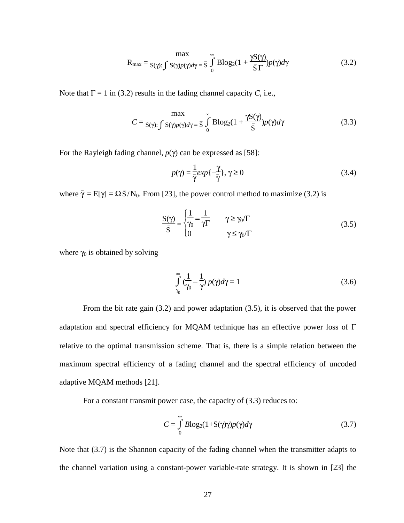$$
R_{\text{max}} = \frac{\max}{S(\gamma) : \int S(\gamma)p(\gamma)d\gamma} = \bar{s} \int_{0}^{\infty} B\log_2(1 + \frac{\gamma S(\gamma)}{\bar{s} \Gamma})p(\gamma)d\gamma
$$
(3.2)

Note that  $\Gamma = 1$  in (3.2) results in the fading channel capacity *C*, i.e.,

$$
C = \max_{S(\gamma): \int S(\gamma)p(\gamma)d\gamma = \overline{S}} \int_{0}^{\infty} B\log_2(1 + \frac{\gamma S(\gamma)}{\overline{S}})p(\gamma)d\gamma
$$
(3.3)

For the Rayleigh fading channel, *p*(γ) can be expressed as [58]:

$$
p(\gamma) = \frac{1}{\gamma} \exp\left\{-\frac{\gamma}{\gamma}\right\}, \gamma \ge 0
$$
\n(3.4)

where  $\bar{\gamma} = E[\gamma] = \Omega \bar{S}/N_0$ . From [23], the power control method to maximize (3.2) is

$$
\frac{S(\gamma)}{\bar{S}} = \begin{cases} \frac{1}{\gamma_0} - \frac{1}{\gamma \Gamma} & \gamma \ge \gamma_0/\Gamma \\ 0 & \gamma \le \gamma_0/\Gamma \end{cases}
$$
(3.5)

where  $\gamma_0$  is obtained by solving

$$
\int_{\gamma_0}^{\infty} \left(\frac{1}{\gamma_0} - \frac{1}{\gamma}\right) p(\gamma) d\gamma = 1
$$
\n(3.6)

From the bit rate gain (3.2) and power adaptation (3.5), it is observed that the power adaptation and spectral efficiency for MQAM technique has an effective power loss of  $\Gamma$ relative to the optimal transmission scheme. That is, there is a simple relation between the maximum spectral efficiency of a fading channel and the spectral efficiency of uncoded adaptive MQAM methods [21].

For a constant transmit power case, the capacity of (3.3) reduces to:

$$
C = \int_{0}^{\infty} B \log_2(1 + S(\gamma)\gamma)p(\gamma)d\gamma
$$
 (3.7)

Note that (3.7) is the Shannon capacity of the fading channel when the transmitter adapts to the channel variation using a constant-power variable-rate strategy. It is shown in [23] the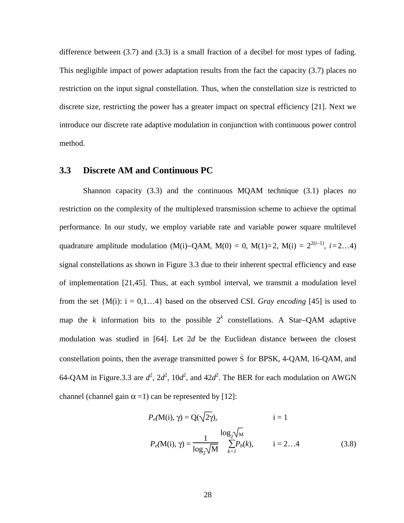difference between (3.7) and (3.3) is a small fraction of a decibel for most types of fading. This negligible impact of power adaptation results from the fact the capacity (3.7) places no restriction on the input signal constellation. Thus, when the constellation size is restricted to discrete size, restricting the power has a greater impact on spectral efficiency [21]. Next we introduce our discrete rate adaptive modulation in conjunction with continuous power control method.

### **3.3 Discrete AM and Continuous PC**

Shannon capacity (3.3) and the continuous MQAM technique (3.1) places no restriction on the complexity of the multiplexed transmission scheme to achieve the optimal performance. In our study, we employ variable rate and variable power square multilevel quadrature amplitude modulation (M(i)–QAM, M(0) = 0, M(1)=2, M(i) =  $2^{2(i-1)}$ , *i*=2...4) signal constellations as shown in Figure 3.3 due to their inherent spectral efficiency and ease of implementation [21,45]. Thus, at each symbol interval, we transmit a modulation level from the set  ${M(i): i = 0,1...4}$  based on the observed CSI. *Gray encoding* [45] is used to map the *k* information bits to the possible  $2^k$  constellations. A Star-QAM adaptive modulation was studied in [64]. Let 2*d* be the Euclidean distance between the closest constellation points, then the average transmitted power  $\bar{S}$  for BPSK, 4-QAM, 16-QAM, and 64-QAM in Figure.3.3 are  $d^2$ ,  $2d^2$ ,  $10d^2$ , and  $42d^2$ . The BER for each modulation on AWGN channel (channel gain  $\alpha$  =1) can be represented by [12]:

$$
P_e(\mathbf{M}(i), \gamma) = Q(\sqrt{2\gamma}), \qquad i = 1
$$
  

$$
P_e(\mathbf{M}(i), \gamma) = \frac{1}{\log_2 \sqrt{\mathbf{M}}} \sum_{k=1}^{\log_2 \sqrt{\mathbf{M}}} P_b(k), \qquad i = 2...4
$$
 (3.8)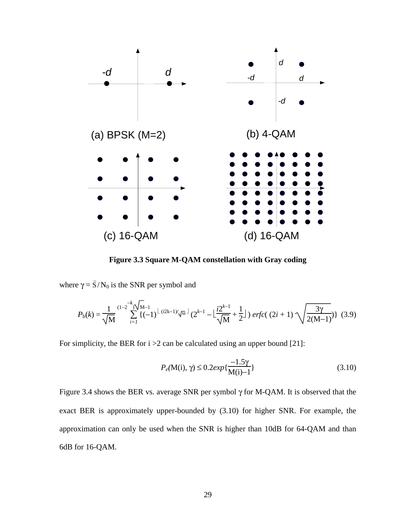

**Figure 3.3 Square M-QAM constellation with Gray coding** 

where  $\gamma = \bar{S}/N_0$  is the SNR per symbol and

$$
P_{\rm b}(k) = \frac{1}{\sqrt{M}} \sum_{i=1}^{(1-2)} \sum_{j=1}^{k} \{(-1)^{\lfloor (i2k-1)/\sqrt{M} \rfloor} (2^{k-1} - \lfloor \frac{i2^{k-1}}{\sqrt{M}} + \frac{1}{2} \rfloor) \, \text{erfc}((2i+1)\sqrt{\frac{3\gamma}{2(M-1)}}) \} \tag{3.9}
$$

For simplicity, the BER for  $i > 2$  can be calculated using an upper bound [21]:

$$
P_e(\mathbf{M(i)}, \gamma) \le 0.2 \exp\{\frac{-1.5\gamma}{\mathbf{M(i)} - 1}\}\tag{3.10}
$$

Figure 3.4 shows the BER vs. average SNR per symbol γ for M-QAM. It is observed that the exact BER is approximately upper-bounded by (3.10) for higher SNR. For example, the approximation can only be used when the SNR is higher than 10dB for 64-QAM and than 6dB for 16-QAM.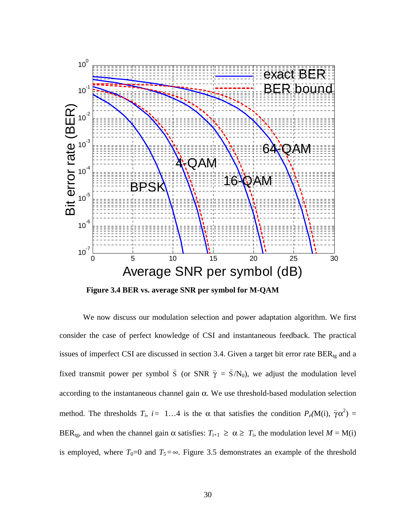

**Figure 3.4 BER vs. average SNR per symbol for M-QAM** 

We now discuss our modulation selection and power adaptation algorithm. We first consider the case of perfect knowledge of CSI and instantaneous feedback. The practical issues of imperfect CSI are discussed in section 3.4. Given a target bit error rate  $BER_{tg}$  and a fixed transmit power per symbol  $\overline{S}$  (or SNR  $\overline{\gamma} = \overline{S}/N_0$ ), we adjust the modulation level according to the instantaneous channel gain α. We use threshold-based modulation selection method. The thresholds  $T_i$ ,  $i = 1...4$  is the  $\alpha$  that satisfies the condition  $P_e(M(i), \bar{\gamma}\alpha^2) =$ BER<sub>tg</sub>, and when the channel gain α satisfies:  $T_{i+1} \geq \alpha \geq T_i$ , the modulation level  $M = M(i)$ is employed, where  $T_0=0$  and  $T_5=\infty$ . Figure 3.5 demonstrates an example of the threshold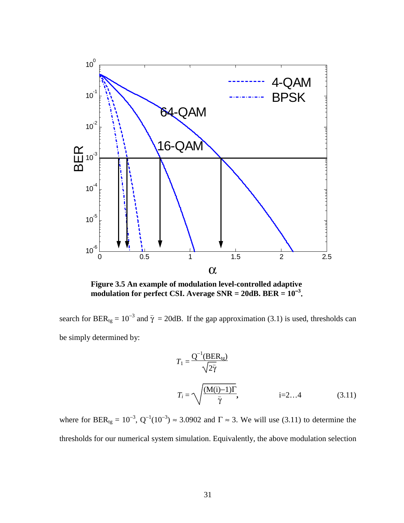

**Figure 3.5 An example of modulation level-controlled adaptive modulation for perfect CSI. Average**  $SNR = 20dB$ **.**  $BER = 10^{-3}$ **.** 

search for BER<sub>tg</sub> = 10<sup>-3</sup> and  $\bar{\gamma}$  = 20dB. If the gap approximation (3.1) is used, thresholds can be simply determined by:

$$
T_1 = \frac{Q^{-1}(BER_{tg})}{\sqrt{2\bar{\gamma}}}
$$
  
\n
$$
T_i = \sqrt{\frac{(M(i)-1)\Gamma}{\bar{\gamma}}}, \qquad i=2...4
$$
 (3.11)

where for BER<sub>tg</sub> =  $10^{-3}$ ,  $Q^{-1}(10^{-3}) \approx 3.0902$  and  $\Gamma \approx 3$ . We will use (3.11) to determine the thresholds for our numerical system simulation. Equivalently, the above modulation selection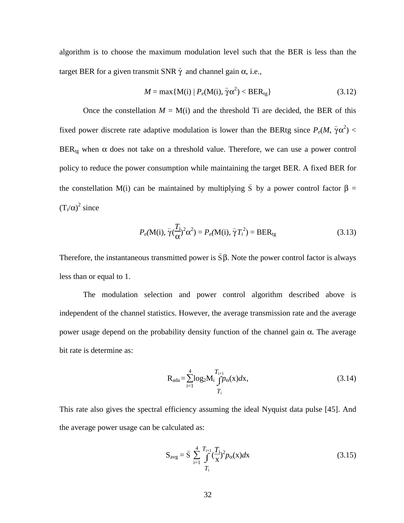algorithm is to choose the maximum modulation level such that the BER is less than the target BER for a given transmit SNR  $\bar{\gamma}$  and channel gain α, i.e.,

$$
M = \max\{M(i) | P_e(M(i), \overline{\gamma}\alpha^2) < BER_{tg}\}\tag{3.12}
$$

Once the constellation  $M = M(i)$  and the threshold Ti are decided, the BER of this fixed power discrete rate adaptive modulation is lower than the BERtg since  $P_e(M, \bar{\gamma}\alpha^2)$  <  $BER_{te}$  when  $\alpha$  does not take on a threshold value. Therefore, we can use a power control policy to reduce the power consumption while maintaining the target BER. A fixed BER for the constellation M(i) can be maintained by multiplying  $\bar{S}$  by a power control factor  $\beta =$  $(T_i/\alpha)^2$  since

$$
P_e(\mathbf{M}(i), \overline{\gamma}(\frac{T_i}{\alpha})^2 \alpha^2) = P_e(\mathbf{M}(i), \overline{\gamma}T_i^2) = \text{BER}_{tg}
$$
\n(3.13)

Therefore, the instantaneous transmitted power is  $\bar{S}\beta$ . Note the power control factor is always less than or equal to 1.

The modulation selection and power control algorithm described above is independent of the channel statistics. However, the average transmission rate and the average power usage depend on the probability density function of the channel gain  $α$ . The average bit rate is determine as:

$$
R_{ada} = \sum_{i=1}^{4} \log_2 M_i \frac{T_{i+1}}{\int P_{\alpha}(x) dx},
$$
\n(3.14)

This rate also gives the spectral efficiency assuming the ideal Nyquist data pulse [45]. And the average power usage can be calculated as:

$$
S_{avg} = \bar{S} \sum_{i=1}^{4} \int_{T_i}^{T_{i+1}} (\frac{T_i}{x})^2 p_{\alpha}(x) dx
$$
\n(3.15)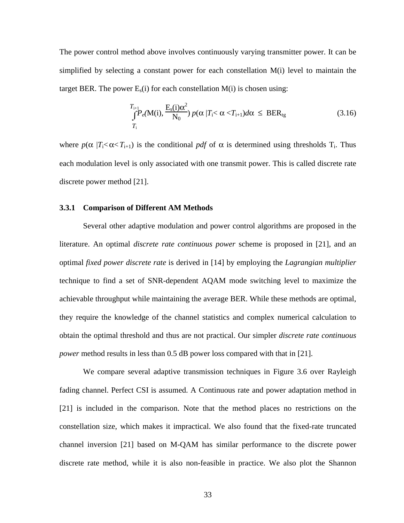The power control method above involves continuously varying transmitter power. It can be simplified by selecting a constant power for each constellation M(i) level to maintain the target BER. The power  $E_s(i)$  for each constellation  $M(i)$  is chosen using:

$$
\int_{T_{\rm i}}^{T_{\rm i+1}} P_e(\mathbf{M}(\mathbf{i}), \frac{\mathbf{E}_s(\mathbf{i})\alpha^2}{\mathbf{N}_0}) p(\alpha | T_{\rm i} < \alpha < T_{\rm i+1}) d\alpha \leq \text{BER}_{\rm tg} \tag{3.16}
$$

where  $p(\alpha | T_i < \alpha < T_{i+1})$  is the conditional pdf of  $\alpha$  is determined using thresholds  $T_i$ . Thus each modulation level is only associated with one transmit power. This is called discrete rate discrete power method [21].

#### **3.3.1 Comparison of Different AM Methods**

Several other adaptive modulation and power control algorithms are proposed in the literature. An optimal *discrete rate continuous power* scheme is proposed in [21], and an optimal *fixed power discrete rate* is derived in [14] by employing the *Lagrangian multiplier* technique to find a set of SNR-dependent AQAM mode switching level to maximize the achievable throughput while maintaining the average BER. While these methods are optimal, they require the knowledge of the channel statistics and complex numerical calculation to obtain the optimal threshold and thus are not practical. Our simpler *discrete rate continuous power* method results in less than 0.5 dB power loss compared with that in [21].

We compare several adaptive transmission techniques in Figure 3.6 over Rayleigh fading channel. Perfect CSI is assumed. A Continuous rate and power adaptation method in [21] is included in the comparison. Note that the method places no restrictions on the constellation size, which makes it impractical. We also found that the fixed-rate truncated channel inversion [21] based on M-QAM has similar performance to the discrete power discrete rate method, while it is also non-feasible in practice. We also plot the Shannon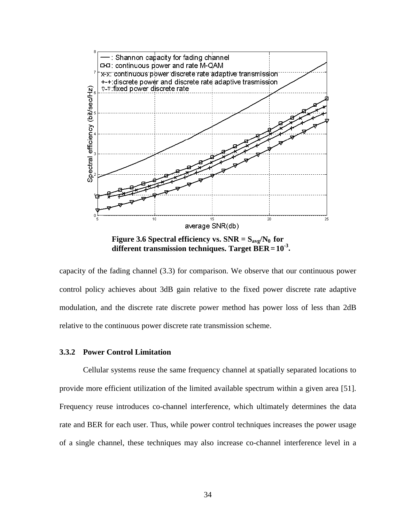

**Figure 3.6 Spectral efficiency vs. SNR =**  $S_{\text{avg}}/N_0$  **for different transmission techniques. Target BER= 10-3.** 

capacity of the fading channel (3.3) for comparison. We observe that our continuous power control policy achieves about 3dB gain relative to the fixed power discrete rate adaptive modulation, and the discrete rate discrete power method has power loss of less than 2dB relative to the continuous power discrete rate transmission scheme.

### **3.3.2 Power Control Limitation**

Cellular systems reuse the same frequency channel at spatially separated locations to provide more efficient utilization of the limited available spectrum within a given area [51]. Frequency reuse introduces co-channel interference, which ultimately determines the data rate and BER for each user. Thus, while power control techniques increases the power usage of a single channel, these techniques may also increase co-channel interference level in a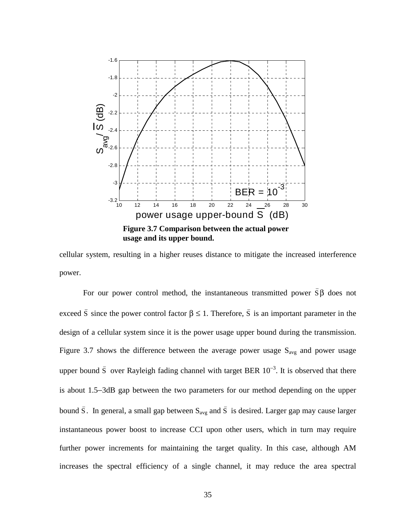

cellular system, resulting in a higher reuses distance to mitigate the increased interference power.

For our power control method, the instantaneous transmitted power  $\bar{s} \beta$  does not exceed  $\bar{S}$  since the power control factor  $\beta \leq 1$ . Therefore,  $\bar{S}$  is an important parameter in the design of a cellular system since it is the power usage upper bound during the transmission. Figure 3.7 shows the difference between the average power usage  $S_{avg}$  and power usage upper bound  $\bar{S}$  over Rayleigh fading channel with target BER  $10^{-3}$ . It is observed that there is about 1.5−3dB gap between the two parameters for our method depending on the upper bound  $\bar{S}$ . In general, a small gap between  $S_{avg}$  and  $\bar{S}$  is desired. Larger gap may cause larger instantaneous power boost to increase CCI upon other users, which in turn may require further power increments for maintaining the target quality. In this case, although AM increases the spectral efficiency of a single channel, it may reduce the area spectral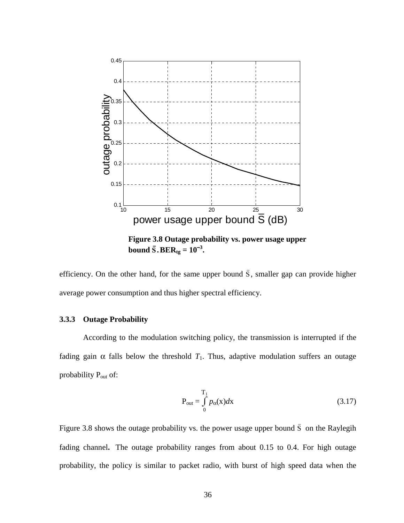

**Figure 3.8 Outage probability vs. power usage upper bound**  $\bar{S} \cdot BER_{tg} = 10^{-3}$ **.** 

efficiency. On the other hand, for the same upper bound  $\overline{S}$ , smaller gap can provide higher average power consumption and thus higher spectral efficiency.

### **3.3.3 Outage Probability**

According to the modulation switching policy, the transmission is interrupted if the fading gain  $\alpha$  falls below the threshold  $T_1$ . Thus, adaptive modulation suffers an outage probability  $P_{out}$  of:

$$
P_{out} = \int_{0}^{T_1} p_{\alpha}(x) dx
$$
 (3.17)

Figure 3.8 shows the outage probability vs. the power usage upper bound  $\overline{S}$  on the Raylegih fading channel**.** The outage probability ranges from about 0.15 to 0.4. For high outage probability, the policy is similar to packet radio, with burst of high speed data when the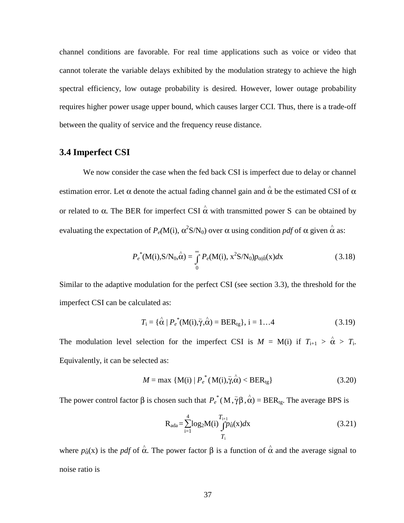channel conditions are favorable. For real time applications such as voice or video that cannot tolerate the variable delays exhibited by the modulation strategy to achieve the high spectral efficiency, low outage probability is desired. However, lower outage probability requires higher power usage upper bound, which causes larger CCI. Thus, there is a trade-off between the quality of service and the frequency reuse distance.

## **3.4 Imperfect CSI**

We now consider the case when the fed back CSI is imperfect due to delay or channel estimation error. Let  $\alpha$  denote the actual fading channel gain and  $\hat{\alpha}$  be the estimated CSI of  $\alpha$ or related to  $\alpha$ . The BER for imperfect CSI  $\hat{\alpha}$  with transmitted power S can be obtained by evaluating the expectation of  $P_e(M(i), \alpha^2 S/N_0)$  over  $\alpha$  using condition *pdf* of  $\alpha$  given  $\hat{\alpha}$  as:

$$
P_e^*(\mathbf{M}(i), \mathbf{S}/\mathbf{N}_0, \hat{\boldsymbol{\alpha}}) = \int_0^\infty P_e(\mathbf{M}(i), \mathbf{x}^2 \mathbf{S}/\mathbf{N}_0) p_{\alpha|\hat{\boldsymbol{\alpha}}}(\mathbf{x}) d\mathbf{x}
$$
 (3.18)

Similar to the adaptive modulation for the perfect CSI (see section 3.3), the threshold for the imperfect CSI can be calculated as:

$$
T_{\rm i} = {\hat{\alpha} \mid P_e}^* (\mathbf{M}(\mathbf{i}), \overline{\gamma}, \hat{\alpha}) = \text{BER}_{\rm tg}, \, \mathbf{i} = 1...4
$$
 (3.19)

The modulation level selection for the imperfect CSI is  $M = M(i)$  if  $T_{i+1} > \hat{\alpha} > T_i$ . Equivalently, it can be selected as:

$$
M = \max \{ \mathbf{M}(i) \mid P_e^*(\mathbf{M}(i), \overline{\gamma}, \hat{\alpha}) < \text{BER}_{tg} \} \tag{3.20}
$$

The power control factor  $\beta$  is chosen such that  $P_e^*(M, \bar{\gamma}\beta, \hat{\alpha}) = BER_{tg}$ . The average BPS is

$$
R_{ada} = \sum_{i=1}^{4} \log_2 M(i) \int_{T_i}^{T_{i+1}} p_{\alpha}^{\lambda}(x) dx
$$
 (3.21)

where  $p_{\alpha}^{\alpha}(x)$  is the *pdf* of  $\hat{\alpha}$ . The power factor  $\beta$  is a function of  $\hat{\alpha}$  and the average signal to noise ratio is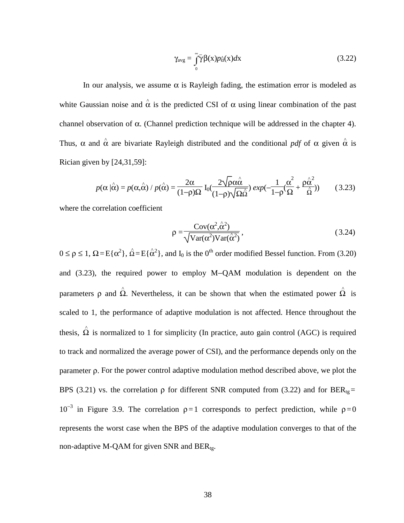$$
\gamma_{\text{avg}} = \int_{0}^{\infty} \overline{\gamma} \beta(x) p_{\alpha}(x) dx \tag{3.22}
$$

In our analysis, we assume  $\alpha$  is Rayleigh fading, the estimation error is modeled as white Gaussian noise and  $\hat{\alpha}$  is the predicted CSI of  $\alpha$  using linear combination of the past channel observation of  $\alpha$ . (Channel prediction technique will be addressed in the chapter 4). Thus,  $\alpha$  and  $\hat{\alpha}$  are bivariate Rayleigh distributed and the conditional *pdf* of  $\alpha$  given  $\hat{\alpha}$  is Rician given by [24,31,59]:

$$
p(\alpha|\hat{\alpha}) = p(\alpha, \hat{\alpha}) / p(\hat{\alpha}) = \frac{2\alpha}{(1-\rho)\Omega} I_0 \frac{2\sqrt{\rho\alpha\hat{\alpha}}}{(1-\rho)\sqrt{\Omega\hat{\alpha}}} exp(-\frac{1}{1-\rho}(\frac{\alpha^2}{\Omega} + \frac{\rho\hat{\alpha}^2}{\hat{\alpha}}))
$$
(3.23)

where the correlation coefficient

$$
\rho = \frac{\text{Cov}(\alpha^2, \hat{\alpha}^2)}{\sqrt{\text{Var}(\alpha^2)\text{Var}(\hat{\alpha}^2)}},
$$
\n(3.24)

 $0 \le \rho \le 1$ ,  $\Omega = E\{\alpha^2\}$ ,  $\hat{\Omega} = E\{\hat{\alpha}^2\}$ , and  $I_0$  is the 0<sup>th</sup> order modified Bessel function. From (3.20) and (3.23), the required power to employ M−QAM modulation is dependent on the parameters  $\rho$  and  $\hat{\Omega}$ . Nevertheless, it can be shown that when the estimated power  $\hat{\Omega}$  is scaled to 1, the performance of adaptive modulation is not affected. Hence throughout the thesis,  $\hat{\Omega}$  is normalized to 1 for simplicity (In practice, auto gain control (AGC) is required to track and normalized the average power of CSI), and the performance depends only on the parameter ρ. For the power control adaptive modulation method described above, we plot the BPS (3.21) vs. the correlation  $\rho$  for different SNR computed from (3.22) and for BER<sub>tg</sub>= 10<sup>-3</sup> in Figure 3.9. The correlation  $ρ = 1$  corresponds to perfect prediction, while  $ρ = 0$ represents the worst case when the BPS of the adaptive modulation converges to that of the non-adaptive M-QAM for given SNR and  $BER_{tr}$ .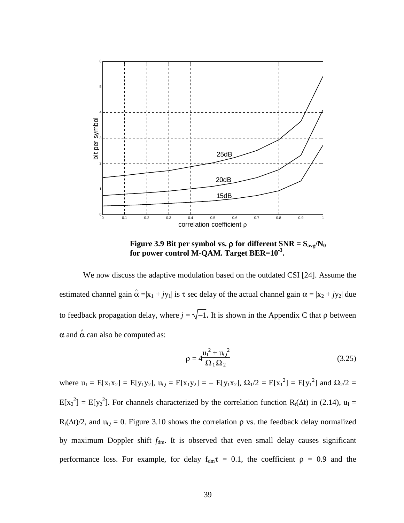

**Figure 3.9 Bit per symbol vs.**  $ρ$  **for different SNR = S<sub>avg</sub>/N<sub>0</sub> for power control M-QAM. Target BER=10-3.** 

We now discuss the adaptive modulation based on the outdated CSI [24]. Assume the estimated channel gain  $\hat{\alpha} = |x_1 + jy_1|$  is  $\tau$  sec delay of the actual channel gain  $\alpha = |x_2 + jy_2|$  due to feedback propagation delay, where  $j = \sqrt{-1}$ . It is shown in the Appendix C that  $\rho$  between  $\alpha$  and  $\hat{\alpha}$  can also be computed as:

$$
\rho = 4 \frac{u_1^2 + u_0^2}{\Omega_1 \Omega_2}
$$
\n(3.25)

where  $u_1 = E[x_1x_2] = E[y_1y_2]$ ,  $u_0 = E[x_1y_2] = -E[y_1x_2]$ ,  $\Omega_1/2 = E[x_1^2] = E[y_1^2]$  and  $\Omega_2/2 =$  $E[x_2^2] = E[y_2^2]$ . For channels characterized by the correlation function R<sub>t</sub>( $\Delta t$ ) in (2.14), u<sub>I</sub> = R<sub>t</sub>( $\Delta t$ )/2, and u<sub>Q</sub> = 0. Figure 3.10 shows the correlation  $\rho$  vs. the feedback delay normalized by maximum Doppler shift  $f_{dm}$ . It is observed that even small delay causes significant performance loss. For example, for delay  $f_{dm}\tau = 0.1$ , the coefficient  $\rho = 0.9$  and the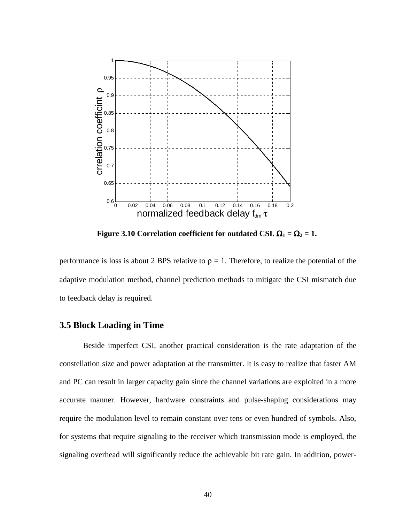

**Figure 3.10 Correlation coefficient for outdated CSI.**  $\Omega_1 = \Omega_2 = 1$ **.** 

performance is loss is about 2 BPS relative to  $\rho = 1$ . Therefore, to realize the potential of the adaptive modulation method, channel prediction methods to mitigate the CSI mismatch due to feedback delay is required.

## **3.5 Block Loading in Time**

Beside imperfect CSI, another practical consideration is the rate adaptation of the constellation size and power adaptation at the transmitter. It is easy to realize that faster AM and PC can result in larger capacity gain since the channel variations are exploited in a more accurate manner. However, hardware constraints and pulse-shaping considerations may require the modulation level to remain constant over tens or even hundred of symbols. Also, for systems that require signaling to the receiver which transmission mode is employed, the signaling overhead will significantly reduce the achievable bit rate gain. In addition, power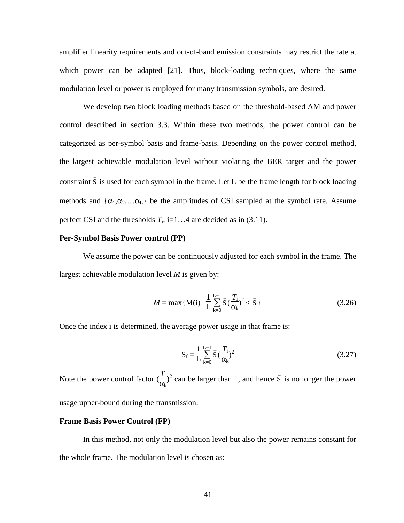amplifier linearity requirements and out-of-band emission constraints may restrict the rate at which power can be adapted [21]. Thus, block-loading techniques, where the same modulation level or power is employed for many transmission symbols, are desired.

We develop two block loading methods based on the threshold-based AM and power control described in section 3.3. Within these two methods, the power control can be categorized as per-symbol basis and frame-basis. Depending on the power control method, the largest achievable modulation level without violating the BER target and the power constraint  $\bar{S}$  is used for each symbol in the frame. Let L be the frame length for block loading methods and  $\{\alpha_1, \alpha_2, \dots, \alpha_L\}$  be the amplitudes of CSI sampled at the symbol rate. Assume perfect CSI and the thresholds  $T_i$ , i=1...4 are decided as in (3.11).

## **Per-Symbol Basis Power control (PP)**

We assume the power can be continuously adjusted for each symbol in the frame. The largest achievable modulation level *M* is given by:

$$
M = \max\{M(i) \mid \frac{1}{L} \sum_{k=0}^{L-1} \bar{S}(\frac{T_i}{\alpha_k})^2 < \bar{S}\}\tag{3.26}
$$

Once the index i is determined, the average power usage in that frame is:

$$
S_{f} = \frac{1}{L} \sum_{k=0}^{L-1} \bar{S} \left( \frac{T_{i}}{\alpha_{k}} \right)^{2}
$$
 (3.27)

Note the power control factor  $\left(\frac{T_i}{T}\right)$  $\frac{I_i}{\alpha_k}$ <sup>2</sup> can be larger than 1, and hence  $\bar{S}$  is no longer the power usage upper-bound during the transmission.

## **Frame Basis Power Control (FP)**

In this method, not only the modulation level but also the power remains constant for the whole frame. The modulation level is chosen as: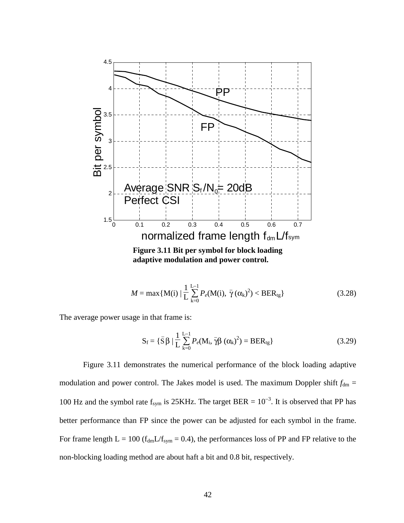

$$
M = \max\{M(i) \mid \frac{1}{L} \sum_{k=0}^{L-1} P_e(M(i), \bar{\gamma}(\alpha_k)^2) < BER_{tg}\}\tag{3.28}
$$

The average power usage in that frame is:

$$
S_f = \{\bar{S}\beta \mid \frac{1}{L} \sum_{k=0}^{L-1} P_e(M_i, \bar{\gamma}\beta (\alpha_k)^2) = BER_{tg}\}\
$$
 (3.29)

Figure 3.11 demonstrates the numerical performance of the block loading adaptive modulation and power control. The Jakes model is used. The maximum Doppler shift  $f_{dm}$  = 100 Hz and the symbol rate  $f_{sym}$  is 25KHz. The target BER =  $10^{-3}$ . It is observed that PP has better performance than FP since the power can be adjusted for each symbol in the frame. For frame length  $L = 100$  ( $f_{dm}L/f_{sym} = 0.4$ ), the performances loss of PP and FP relative to the non-blocking loading method are about haft a bit and 0.8 bit, respectively.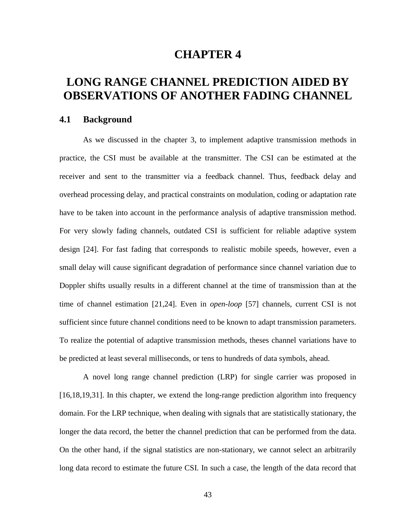# **CHAPTER 4**

# **LONG RANGE CHANNEL PREDICTION AIDED BY OBSERVATIONS OF ANOTHER FADING CHANNEL**

## **4.1 Background**

As we discussed in the chapter 3, to implement adaptive transmission methods in practice, the CSI must be available at the transmitter. The CSI can be estimated at the receiver and sent to the transmitter via a feedback channel. Thus, feedback delay and overhead processing delay, and practical constraints on modulation, coding or adaptation rate have to be taken into account in the performance analysis of adaptive transmission method. For very slowly fading channels, outdated CSI is sufficient for reliable adaptive system design [24]. For fast fading that corresponds to realistic mobile speeds, however, even a small delay will cause significant degradation of performance since channel variation due to Doppler shifts usually results in a different channel at the time of transmission than at the time of channel estimation [21,24]. Even in *open-loop* [57] channels, current CSI is not sufficient since future channel conditions need to be known to adapt transmission parameters. To realize the potential of adaptive transmission methods, theses channel variations have to be predicted at least several milliseconds, or tens to hundreds of data symbols, ahead.

A novel long range channel prediction (LRP) for single carrier was proposed in [16,18,19,31]. In this chapter, we extend the long-range prediction algorithm into frequency domain. For the LRP technique, when dealing with signals that are statistically stationary, the longer the data record, the better the channel prediction that can be performed from the data. On the other hand, if the signal statistics are non-stationary, we cannot select an arbitrarily long data record to estimate the future CSI. In such a case, the length of the data record that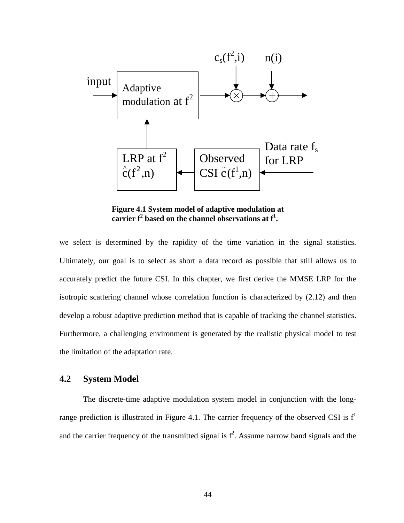

**Figure 4.1 System model of adaptive modulation at**  carrier  $f^2$  based on the channel observations at  $f^1$ .

we select is determined by the rapidity of the time variation in the signal statistics. Ultimately, our goal is to select as short a data record as possible that still allows us to accurately predict the future CSI. In this chapter, we first derive the MMSE LRP for the isotropic scattering channel whose correlation function is characterized by (2.12) and then develop a robust adaptive prediction method that is capable of tracking the channel statistics. Furthermore, a challenging environment is generated by the realistic physical model to test the limitation of the adaptation rate.

## **4.2 System Model**

The discrete-time adaptive modulation system model in conjunction with the longrange prediction is illustrated in Figure 4.1. The carrier frequency of the observed CSI is  $f<sup>1</sup>$ and the carrier frequency of the transmitted signal is  $f^2$ . Assume narrow band signals and the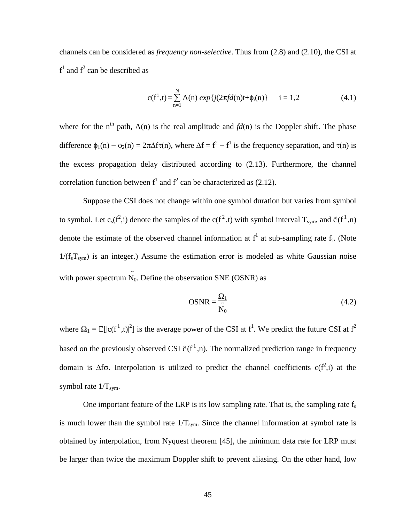channels can be considered as *frequency non-selective*. Thus from (2.8) and (2.10), the CSI at  $f<sup>1</sup>$  and  $f<sup>2</sup>$  can be described as

$$
c(f^{i},t) = \sum_{n=1}^{N} A(n) \exp\{j(2\pi fd(n)t + \phi_{i}(n)\} \qquad i = 1,2
$$
 (4.1)

where for the n<sup>th</sup> path, A(n) is the real amplitude and  $fd(n)$  is the Doppler shift. The phase difference  $\phi_1(n) - \phi_2(n) = 2\pi\Delta f\tau(n)$ , where  $\Delta f = f^2 - f^1$  is the frequency separation, and  $\tau(n)$  is the excess propagation delay distributed according to (2.13). Furthermore, the channel correlation function between  $f<sup>1</sup>$  and  $f<sup>2</sup>$  can be characterized as (2.12).

Suppose the CSI does not change within one symbol duration but varies from symbol to symbol. Let  $c_s(f^2, i)$  denote the samples of the  $c(f^2, t)$  with symbol interval  $T_{sym}$ , and  $\tilde{c}(f^1, n)$ denote the estimate of the observed channel information at  $f^1$  at sub-sampling rate  $f_s$ . (Note  $1/(f_sT_{sym})$  is an integer.) Assume the estimation error is modeled as white Gaussian noise with power spectrum  $\tilde{N}_0$ . Define the observation SNE (OSNR) as

$$
OSNR = \frac{\Omega_1}{\tilde{N}_0}
$$
\n(4.2)

where  $\Omega_1 = E[|c(f^1,t)|^2]$  is the average power of the CSI at  $f^1$ . We predict the future CSI at  $f^2$ based on the previously observed CSI  $\tilde{c}(f^1,n)$ . The normalized prediction range in frequency domain is  $\Delta f\sigma$ . Interpolation is utilized to predict the channel coefficients c( $f^2$ ,i) at the symbol rate  $1/T_{\text{sym}}$ .

One important feature of the LRP is its low sampling rate. That is, the sampling rate  $f_s$ is much lower than the symbol rate  $1/T_{sym}$ . Since the channel information at symbol rate is obtained by interpolation, from Nyquest theorem [45], the minimum data rate for LRP must be larger than twice the maximum Doppler shift to prevent aliasing. On the other hand, low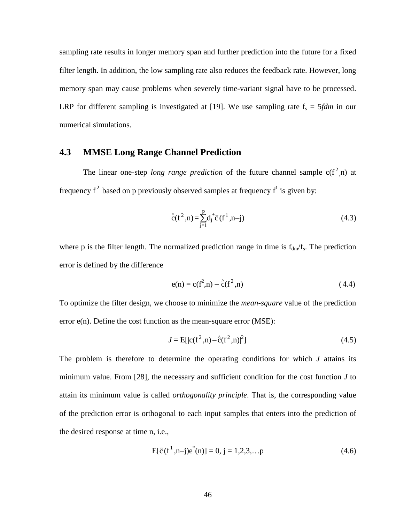sampling rate results in longer memory span and further prediction into the future for a fixed filter length. In addition, the low sampling rate also reduces the feedback rate. However, long memory span may cause problems when severely time-variant signal have to be processed. LRP for different sampling is investigated at [19]. We use sampling rate  $f_s = 5fdm$  in our numerical simulations.

## **4.3 MMSE Long Range Channel Prediction**

The linear one-step *long range prediction* of the future channel sample  $c(f^2, n)$  at frequency  $f^2$  based on p previously observed samples at frequency  $f^1$  is given by:

$$
\hat{c}(f^2, n) = \sum_{j=1}^{p} d_j \tilde{c}(f^1, n-j)
$$
\n(4.3)

where p is the filter length. The normalized prediction range in time is  $f_{dm}/f_s$ . The prediction error is defined by the difference

$$
e(n) = c(f^2, n) - \hat{c}(f^2, n)
$$
\n(4.4)

To optimize the filter design, we choose to minimize the *mean-square* value of the prediction error e(n). Define the cost function as the mean-square error (MSE):

$$
J = E[|c(f^2, n) - \hat{c}(f^2, n)|^2]
$$
\n(4.5)

The problem is therefore to determine the operating conditions for which *J* attains its minimum value. From [28], the necessary and sufficient condition for the cost function *J* to attain its minimum value is called *orthogonality principle*. That is, the corresponding value of the prediction error is orthogonal to each input samples that enters into the prediction of the desired response at time n, i.e.,

$$
E[\tilde{c}(f^1, n-j)e^*(n)] = 0, j = 1, 2, 3, \dots p
$$
 (4.6)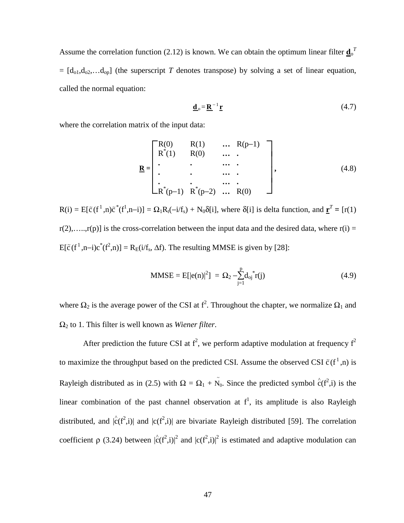Assume the correlation function (2.12) is known. We can obtain the optimum linear filter  $\underline{\mathbf{d}}_0^T$  $=[d_{01},d_{02},...d_{0p}]$  (the superscript *T* denotes transpose) by solving a set of linear equation, called the normal equation:

$$
\mathbf{d}_o = \mathbf{R}^{-1} \mathbf{r} \tag{4.7}
$$

where the correlation matrix of the input data:

$$
\mathbf{R} = \begin{bmatrix} R(0) & R(1) & \dots & R(p-1) \\ R^{*}(1) & R(0) & \dots & R(p-1) \\ \vdots & \vdots & \ddots & \vdots \\ R^{*}(p-1) & R^{*}(p-2) & \dots & R(0) \end{bmatrix},
$$
(4.8)

 $R(i) = E[\tilde{c}(f^1, n)\tilde{c}^*(f^1, n-i)] = \Omega_1 R_t(-i/f_s) + N_0 \delta[i]$ , where  $\delta[i]$  is delta function, and  $\underline{\mathbf{r}}^T = [r(1)$  $r(2), \ldots, r(p)$  is the cross-correlation between the input data and the desired data, where  $r(i) =$  $E[\tilde{c}(f^1, n-i)c^*(f^2, n)] = R_E(i/f_s, \Delta f)$ . The resulting MMSE is given by [28]:

MMSE = E[
$$
|e(n)|^2
$$
] =  $\Omega_2 - \sum_{j=1}^{p} d_{oj}^* r(j)$  (4.9)

where  $\Omega_2$  is the average power of the CSI at  $f^2$ . Throughout the chapter, we normalize  $\Omega_1$  and Ω2 to 1. This filter is well known as *Wiener filter*.

After prediction the future CSI at  $f^2$ , we perform adaptive modulation at frequency  $f^2$ to maximize the throughput based on the predicted CSI. Assume the observed CSI  $\tilde{c}(f^1,n)$  is Rayleigh distributed as in (2.5) with  $\Omega = \Omega_1 + \tilde{N}_0$ . Since the predicted symbol  $\hat{c}(f^2, i)$  is the linear combination of the past channel observation at  $f^1$ , its amplitude is also Rayleigh distributed, and  $|\hat{c}(f^2,i)|$  and  $|c(f^2,i)|$  are bivariate Rayleigh distributed [59]. The correlation coefficient  $\rho$  (3.24) between  $|\hat{c}(f^2,i)|^2$  and  $|c(f^2,i)|^2$  is estimated and adaptive modulation can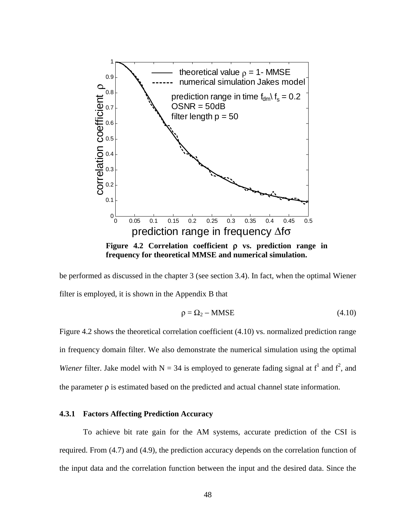

**Figure 4.2 Correlation coefficient** ρ **vs. prediction range in frequency for theoretical MMSE and numerical simulation.** 

be performed as discussed in the chapter 3 (see section 3.4). In fact, when the optimal Wiener filter is employed, it is shown in the Appendix B that

$$
\rho = \Omega_2 - \text{MMSE} \tag{4.10}
$$

Figure 4.2 shows the theoretical correlation coefficient (4.10) vs. normalized prediction range in frequency domain filter. We also demonstrate the numerical simulation using the optimal *Wiener* filter. Jake model with  $N = 34$  is employed to generate fading signal at  $f^1$  and  $f^2$ , and the parameter ρ is estimated based on the predicted and actual channel state information.

## **4.3.1 Factors Affecting Prediction Accuracy**

To achieve bit rate gain for the AM systems, accurate prediction of the CSI is required. From (4.7) and (4.9), the prediction accuracy depends on the correlation function of the input data and the correlation function between the input and the desired data. Since the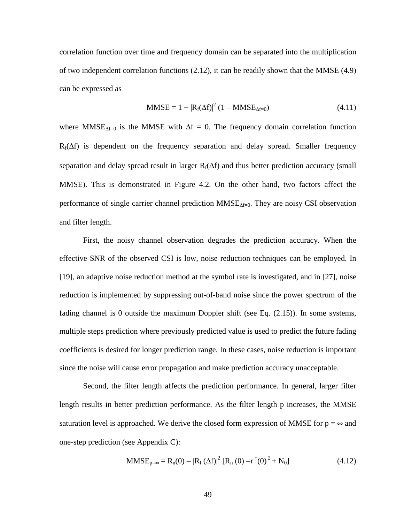correlation function over time and frequency domain can be separated into the multiplication of two independent correlation functions (2.12), it can be readily shown that the MMSE (4.9) can be expressed as

$$
MMSE = 1 - |R_f(\Delta f)|^2 (1 - MMSE_{\Delta f = 0}) \qquad (4.11)
$$

where MMSE<sub> $\Delta f=0$ </sub> is the MMSE with  $\Delta f = 0$ . The frequency domain correlation function  $R_f(\Delta f)$  is dependent on the frequency separation and delay spread. Smaller frequency separation and delay spread result in larger  $R_f(\Delta f)$  and thus better prediction accuracy (small MMSE). This is demonstrated in Figure 4.2. On the other hand, two factors affect the performance of single carrier channel prediction MMSE<sub>∆f=0</sub>. They are noisy CSI observation and filter length.

First, the noisy channel observation degrades the prediction accuracy. When the effective SNR of the observed CSI is low, noise reduction techniques can be employed. In [19], an adaptive noise reduction method at the symbol rate is investigated, and in [27], noise reduction is implemented by suppressing out-of-band noise since the power spectrum of the fading channel is 0 outside the maximum Doppler shift (see Eq. (2.15)). In some systems, multiple steps prediction where previously predicted value is used to predict the future fading coefficients is desired for longer prediction range. In these cases, noise reduction is important since the noise will cause error propagation and make prediction accuracy unacceptable.

Second, the filter length affects the prediction performance. In general, larger filter length results in better prediction performance. As the filter length p increases, the MMSE saturation level is approached. We derive the closed form expression of MMSE for  $p = \infty$  and one-step prediction (see Appendix C):

$$
MMSE_{p=\infty} = R_n(0) - |R_f(\Delta f)|^2 [R_n(0) - r^+(0)^2 + N_0]
$$
(4.12)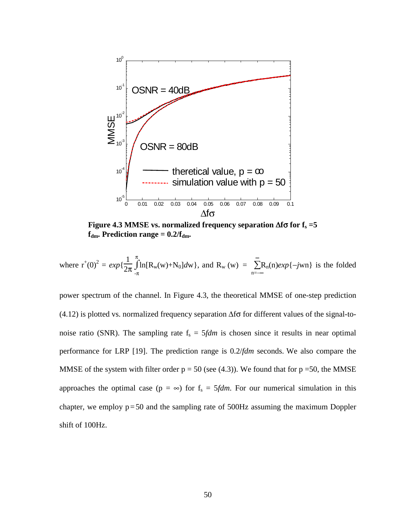

**Figure 4.3 MMSE vs. normalized frequency separation**  $\Delta f \sigma$  **for**  $f_s = 5$  $f_{dm}$ . Prediction range =  $0.2/f_{dm}$ .

where 
$$
r^+(0)^2 = exp\{\frac{1}{2\pi}\int_{-\pi}^{\pi} \ln[R_w(w) + N_0]dw\}
$$
, and  $R_w(w) = \sum_{n=-\infty}^{\infty} R_n(n)exp\{-jwn\}$  is the folded

power spectrum of the channel. In Figure 4.3, the theoretical MMSE of one-step prediction (4.12) is plotted vs. normalized frequency separation  $\Delta f \sigma$  for different values of the signal-tonoise ratio (SNR). The sampling rate  $f_s = 5fdm$  is chosen since it results in near optimal performance for LRP [19]. The prediction range is 0.2/*fdm* seconds. We also compare the MMSE of the system with filter order  $p = 50$  (see (4.3)). We found that for  $p = 50$ , the MMSE approaches the optimal case ( $p = \infty$ ) for  $f_s = 5$ *fdm*. For our numerical simulation in this chapter, we employ  $p = 50$  and the sampling rate of  $500$ Hz assuming the maximum Doppler shift of 100Hz.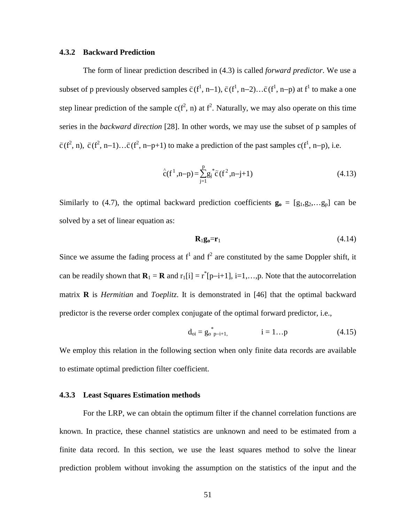### **4.3.2 Backward Prediction**

The form of linear prediction described in (4.3) is called *forward predictor*. We use a subset of p previously observed samples  $\tilde{c}(f^1, n-1)$ ,  $\tilde{c}(f^1, n-2)$ ... $\tilde{c}(f^1, n-p)$  at  $f^1$  to make a one step linear prediction of the sample  $c(f^2, n)$  at  $f^2$ . Naturally, we may also operate on this time series in the *backward direction* [28]. In other words, we may use the subset of p samples of  $\tilde{c}(f^2, n)$ ,  $\tilde{c}(f^2, n-1) \dots \tilde{c}(f^2, n-p+1)$  to make a prediction of the past samples  $c(f^1, n-p)$ , i.e.

$$
\hat{c}(f^1, n-p) = \sum_{j=1}^{p} g_j^* \tilde{c}(f^2, n-j+1)
$$
\n(4.13)

Similarly to (4.7), the optimal backward prediction coefficients  $\mathbf{g}_0 = [g_1, g_2, \dots g_p]$  can be solved by a set of linear equation as:

$$
\mathbf{R}_1 \mathbf{g}_0 = \mathbf{r}_1 \tag{4.14}
$$

Since we assume the fading process at  $f^1$  and  $f^2$  are constituted by the same Doppler shift, it can be readily shown that  $\mathbf{R}_1 = \mathbf{R}$  and  $r_1[i] = r^*[p-i+1]$ , i=1,...,p. Note that the autocorrelation matrix **R** is *Hermitian* and *Toeplitz*. It is demonstrated in [46] that the optimal backward predictor is the reverse order complex conjugate of the optimal forward predictor, i.e.,

$$
d_{oi} = g_{o \ p-i+1}^{*},
$$
  $i = 1...p$  (4.15)

We employ this relation in the following section when only finite data records are available to estimate optimal prediction filter coefficient.

#### **4.3.3 Least Squares Estimation methods**

For the LRP, we can obtain the optimum filter if the channel correlation functions are known. In practice, these channel statistics are unknown and need to be estimated from a finite data record. In this section, we use the least squares method to solve the linear prediction problem without invoking the assumption on the statistics of the input and the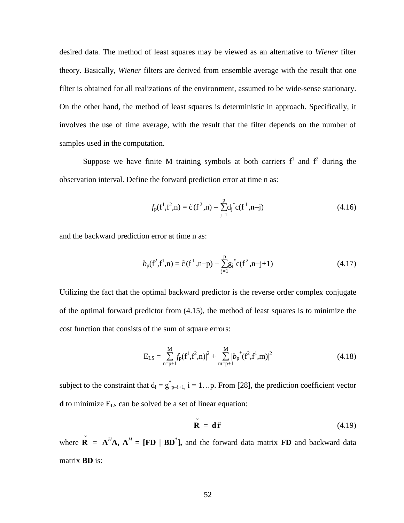desired data. The method of least squares may be viewed as an alternative to *Wiener* filter theory. Basically, *Wiener* filters are derived from ensemble average with the result that one filter is obtained for all realizations of the environment, assumed to be wide-sense stationary. On the other hand, the method of least squares is deterministic in approach. Specifically, it involves the use of time average, with the result that the filter depends on the number of samples used in the computation.

Suppose we have finite M training symbols at both carriers  $f^1$  and  $f^2$  during the observation interval. Define the forward prediction error at time n as:

$$
f_{p}(f^{1}, f^{2}, n) = \tilde{c}(f^{2}, n) - \sum_{j=1}^{p} d_{j}^{*} c(f^{1}, n-j)
$$
(4.16)

and the backward prediction error at time n as:

$$
b_{p}(f^{2},f^{1},n) = \tilde{c}(f^{1},n-p) - \sum_{j=1}^{p} g_{j}^{*} c(f^{2},n-j+1)
$$
 (4.17)

Utilizing the fact that the optimal backward predictor is the reverse order complex conjugate of the optimal forward predictor from (4.15), the method of least squares is to minimize the cost function that consists of the sum of square errors:

$$
E_{LS} = \sum_{n=p+1}^{M} |f_p(f^1, f^2, n)|^2 + \sum_{m=p+1}^{M} |b_p^*(f^2, f^1, m)|^2
$$
(4.18)

subject to the constraint that  $d_i = g_{p-i+1}^*$ ,  $i = 1...p$ . From [28], the prediction coefficient vector **d** to minimize E<sub>LS</sub> can be solved be a set of linear equation:

$$
\tilde{\mathbf{R}} = \mathbf{d}\tilde{\mathbf{r}} \tag{4.19}
$$

where  $\tilde{\mathbf{R}} = \mathbf{A}^H \mathbf{A}$ ,  $\mathbf{A}^H = [\mathbf{FD} \mid \mathbf{BD}^*]$ , and the forward data matrix **FD** and backward data matrix **BD** is: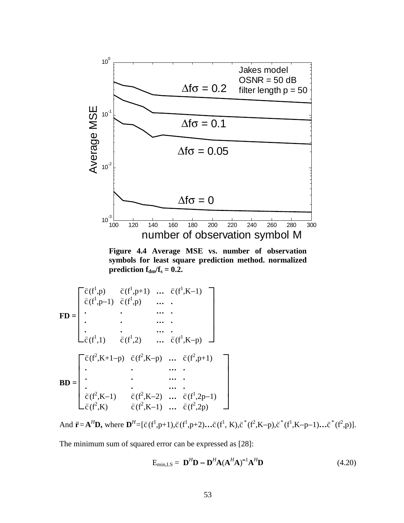

**Figure 4.4 Average MSE vs. number of observation symbols for least square prediction method. normalized prediction**  $f_{dm}/f_s = 0.2$ **.** 

$$
\mathbf{FD} = \begin{bmatrix} \tilde{c}(f^{1}, p) & \tilde{c}(f^{1}, p+1) & \dots & \tilde{c}(f^{1}, K-1) \\ \tilde{c}(f^{1}, p-1) & \tilde{c}(f^{1}, p) & \dots & \dots \\ \vdots & \vdots & \vdots & \vdots \\ \tilde{c}(f^{1}, 1) & \tilde{c}(f^{1}, 2) & \dots & \tilde{c}(f^{1}, K-p) \end{bmatrix}
$$

$$
\mathbf{BD} = \begin{bmatrix} \tilde{c}(f^{2}, K+1-p) & \tilde{c}(f^{2}, K-p) & \dots & \tilde{c}(f^{2}, p+1) \\ \vdots & \vdots & \dots & \vdots \\ \tilde{c}(f^{2}, K-1) & \tilde{c}(f^{2}, K-2) & \dots & \tilde{c}(f^{1}, 2p-1) \\ \vdots & \vdots & \vdots & \vdots \\ \tilde{c}(f^{2}, K) & \tilde{c}(f^{2}, K-1) & \dots & \tilde{c}(f^{2}, 2p) \end{bmatrix}
$$

And  $\tilde{\mathbf{r}} = \mathbf{A}^H \mathbf{D}$ , where  $\mathbf{D}^H = [\tilde{c}(f^1, p+1), \tilde{c}(f^1, p+2), \dots, \tilde{c}(f^1, K), \tilde{c}^*(f^2, K-p), \tilde{c}^*(f^1, K-p-1), \dots, \tilde{c}^*(f^2, p)].$ 

The minimum sum of squared error can be expressed as [28]:

$$
\mathbf{E}_{\min,LS} = \mathbf{D}^H \mathbf{D} - \mathbf{D}^H \mathbf{A} (\mathbf{A}^H \mathbf{A})^{-1} \mathbf{A}^H \mathbf{D}
$$
(4.20)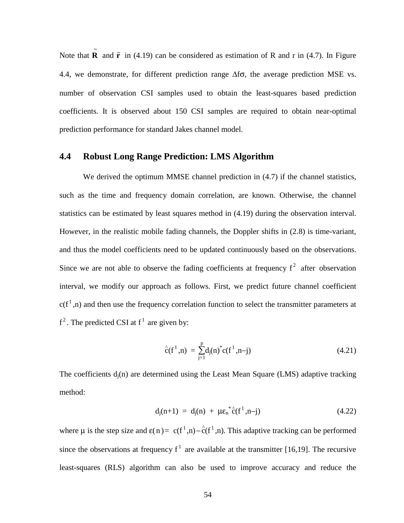Note that  $\tilde{\mathbf{R}}$  and  $\tilde{\mathbf{r}}$  in (4.19) can be considered as estimation of R and r in (4.7). In Figure 4.4, we demonstrate, for different prediction range  $\Delta f\sigma$ , the average prediction MSE vs. number of observation CSI samples used to obtain the least-squares based prediction coefficients. It is observed about 150 CSI samples are required to obtain near-optimal prediction performance for standard Jakes channel model.

## **4.4 Robust Long Range Prediction: LMS Algorithm**

We derived the optimum MMSE channel prediction in  $(4.7)$  if the channel statistics, such as the time and frequency domain correlation, are known. Otherwise, the channel statistics can be estimated by least squares method in (4.19) during the observation interval. However, in the realistic mobile fading channels, the Doppler shifts in (2.8) is time-variant, and thus the model coefficients need to be updated continuously based on the observations. Since we are not able to observe the fading coefficients at frequency  $f^2$  after observation interval, we modify our approach as follows. First, we predict future channel coefficient  $c(f<sup>1</sup> n)$  and then use the frequency correlation function to select the transmitter parameters at  $f^2$ . The predicted CSI at  $f^1$  are given by:

$$
\hat{c}(f^1, n) = \sum_{j=1}^{p} d_j(n)^* c(f^1, n-j)
$$
\n(4.21)

The coefficients  $d_i(n)$  are determined using the Least Mean Square (LMS) adaptive tracking method:

$$
d_j(n+1) = d_j(n) + \mu \varepsilon_n^* \hat{c}(f^1, n-j) \qquad (4.22)
$$

where  $\mu$  is the step size and  $\varepsilon(n) = c(f^1, n) - c(f^1, n)$ . This adaptive tracking can be performed since the observations at frequency  $f^1$  are available at the transmitter [16,19]. The recursive least-squares (RLS) algorithm can also be used to improve accuracy and reduce the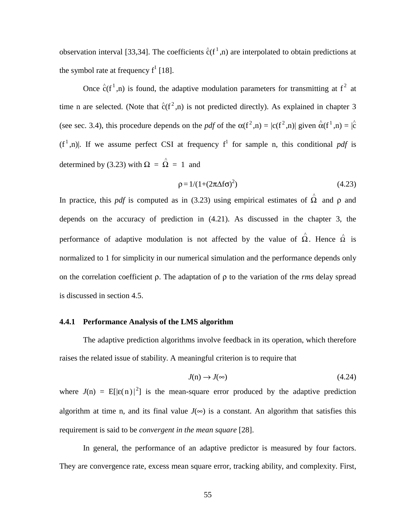observation interval [33,34]. The coefficients  $\hat{c}(f^1,n)$  are interpolated to obtain predictions at the symbol rate at frequency  $f^1$  [18].

Once  $\hat{c}(f^1,n)$  is found, the adaptive modulation parameters for transmitting at  $f^2$  at time n are selected. (Note that  $\hat{c}(f^2,n)$  is not predicted directly). As explained in chapter 3 (see sec. 3.4), this procedure depends on the *pdf* of the  $\alpha(f^2, n) = |c(f^2, n)|$  given  $\alpha(f^1, n) = |\hat{c}|$  $(f<sup>1</sup>, n)$ . If we assume perfect CSI at frequency  $f<sup>1</sup>$  for sample n, this conditional *pdf* is determined by (3.23) with  $\Omega = \hat{\Omega} = 1$  and

$$
\rho = 1/(1 + (2\pi\Delta f\sigma)^2) \tag{4.23}
$$

In practice, this *pdf* is computed as in (3.23) using empirical estimates of  $\hat{\Omega}$  and  $\rho$  and depends on the accuracy of prediction in (4.21). As discussed in the chapter 3, the performance of adaptive modulation is not affected by the value of  $\hat{\Omega}$ . Hence  $\hat{\Omega}$  is normalized to 1 for simplicity in our numerical simulation and the performance depends only on the correlation coefficient ρ. The adaptation of ρ to the variation of the *rms* delay spread is discussed in section 4.5.

## **4.4.1 Performance Analysis of the LMS algorithm**

The adaptive prediction algorithms involve feedback in its operation, which therefore raises the related issue of stability. A meaningful criterion is to require that

$$
J(n) \to J(\infty) \tag{4.24}
$$

where  $J(n) = E[|\varepsilon(n)|^2]$  is the mean-square error produced by the adaptive prediction algorithm at time n, and its final value  $J(\infty)$  is a constant. An algorithm that satisfies this requirement is said to be *convergent in the mean square* [28].

In general, the performance of an adaptive predictor is measured by four factors. They are convergence rate, excess mean square error, tracking ability, and complexity. First,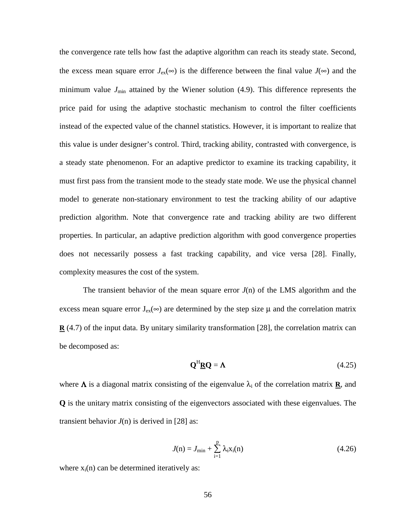the convergence rate tells how fast the adaptive algorithm can reach its steady state. Second, the excess mean square error  $J_{ex}(\infty)$  is the difference between the final value  $J(\infty)$  and the minimum value  $J_{\text{min}}$  attained by the Wiener solution (4.9). This difference represents the price paid for using the adaptive stochastic mechanism to control the filter coefficients instead of the expected value of the channel statistics. However, it is important to realize that this value is under designer's control. Third, tracking ability, contrasted with convergence, is a steady state phenomenon. For an adaptive predictor to examine its tracking capability, it must first pass from the transient mode to the steady state mode. We use the physical channel model to generate non-stationary environment to test the tracking ability of our adaptive prediction algorithm. Note that convergence rate and tracking ability are two different properties. In particular, an adaptive prediction algorithm with good convergence properties does not necessarily possess a fast tracking capability, and vice versa [28]. Finally, complexity measures the cost of the system.

The transient behavior of the mean square error  $J(n)$  of the LMS algorithm and the excess mean square error  $J_{ex}(\infty)$  are determined by the step size  $\mu$  and the correlation matrix **R** (4.7) of the input data. By unitary similarity transformation [28], the correlation matrix can be decomposed as:

$$
\mathbf{Q}^{\mathrm{H}}\mathbf{\underline{R}}\mathbf{Q} = \mathbf{\Lambda} \tag{4.25}
$$

where  $\Lambda$  is a diagonal matrix consisting of the eigenvalue  $\lambda_i$  of the correlation matrix **R**, and **Q** is the unitary matrix consisting of the eigenvectors associated with these eigenvalues. The transient behavior  $J(n)$  is derived in [28] as:

$$
J(n) = J_{\min} + \sum_{i=1}^{p} \lambda_i x_i(n)
$$
 (4.26)

where  $x_i(n)$  can be determined iteratively as: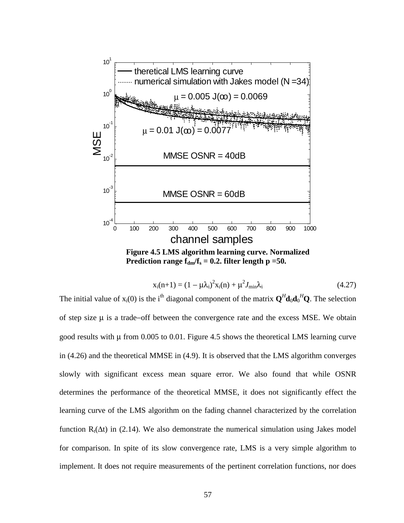

$$
x_i(n+1) = (1 - \mu \lambda_i)^2 x_i(n) + \mu^2 J_{\min} \lambda_i
$$
 (4.27)

The initial value of  $x_i(0)$  is the i<sup>th</sup> diagonal component of the matrix  $\mathbf{Q}^H \mathbf{d}_0 \mathbf{d}_0^H \mathbf{Q}$ . The selection of step size µ is a trade−off between the convergence rate and the excess MSE. We obtain good results with  $\mu$  from 0.005 to 0.01. Figure 4.5 shows the theoretical LMS learning curve in (4.26) and the theoretical MMSE in (4.9). It is observed that the LMS algorithm converges slowly with significant excess mean square error. We also found that while OSNR determines the performance of the theoretical MMSE, it does not significantly effect the learning curve of the LMS algorithm on the fading channel characterized by the correlation function R<sub>t</sub>( $\Delta t$ ) in (2.14). We also demonstrate the numerical simulation using Jakes model for comparison. In spite of its slow convergence rate, LMS is a very simple algorithm to implement. It does not require measurements of the pertinent correlation functions, nor does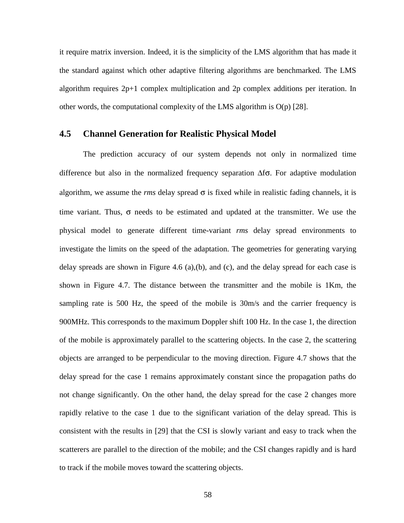it require matrix inversion. Indeed, it is the simplicity of the LMS algorithm that has made it the standard against which other adaptive filtering algorithms are benchmarked. The LMS algorithm requires  $2p+1$  complex multiplication and  $2p$  complex additions per iteration. In other words, the computational complexity of the LMS algorithm is  $O(p)$  [28].

## **4.5 Channel Generation for Realistic Physical Model**

The prediction accuracy of our system depends not only in normalized time difference but also in the normalized frequency separation ∆fσ. For adaptive modulation algorithm, we assume the *rms* delay spread  $\sigma$  is fixed while in realistic fading channels, it is time variant. Thus,  $\sigma$  needs to be estimated and updated at the transmitter. We use the physical model to generate different time-variant *rms* delay spread environments to investigate the limits on the speed of the adaptation. The geometries for generating varying delay spreads are shown in Figure 4.6 (a),(b), and (c), and the delay spread for each case is shown in Figure 4.7. The distance between the transmitter and the mobile is 1Km, the sampling rate is 500 Hz, the speed of the mobile is 30m/s and the carrier frequency is 900MHz. This corresponds to the maximum Doppler shift 100 Hz. In the case 1, the direction of the mobile is approximately parallel to the scattering objects. In the case 2, the scattering objects are arranged to be perpendicular to the moving direction. Figure 4.7 shows that the delay spread for the case 1 remains approximately constant since the propagation paths do not change significantly. On the other hand, the delay spread for the case 2 changes more rapidly relative to the case 1 due to the significant variation of the delay spread. This is consistent with the results in [29] that the CSI is slowly variant and easy to track when the scatterers are parallel to the direction of the mobile; and the CSI changes rapidly and is hard to track if the mobile moves toward the scattering objects.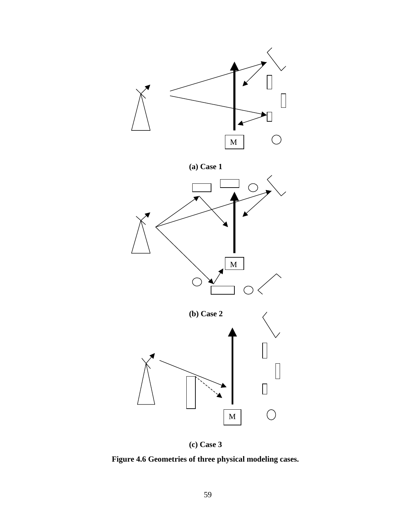

**(c) Case 3**

**Figure 4.6 Geometries of three physical modeling cases.**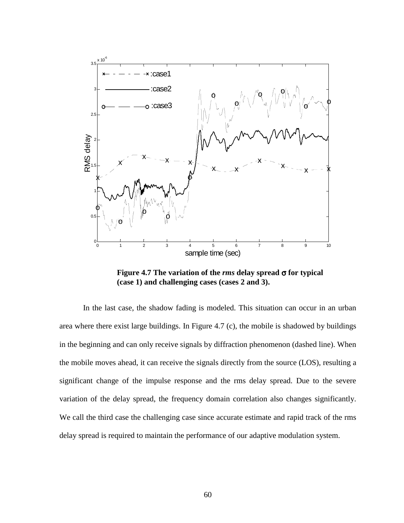

**Figure 4.7 The variation of the** *rms* **delay spread** σ **for typical (case 1) and challenging cases (cases 2 and 3).** 

In the last case, the shadow fading is modeled. This situation can occur in an urban area where there exist large buildings. In Figure 4.7 (c), the mobile is shadowed by buildings in the beginning and can only receive signals by diffraction phenomenon (dashed line). When the mobile moves ahead, it can receive the signals directly from the source (LOS), resulting a significant change of the impulse response and the rms delay spread. Due to the severe variation of the delay spread, the frequency domain correlation also changes significantly. We call the third case the challenging case since accurate estimate and rapid track of the rms delay spread is required to maintain the performance of our adaptive modulation system.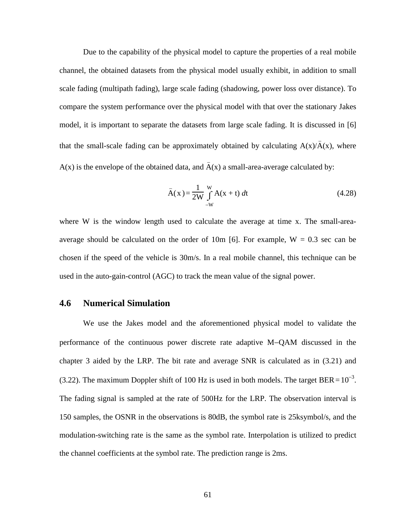Due to the capability of the physical model to capture the properties of a real mobile channel, the obtained datasets from the physical model usually exhibit, in addition to small scale fading (multipath fading), large scale fading (shadowing, power loss over distance). To compare the system performance over the physical model with that over the stationary Jakes model, it is important to separate the datasets from large scale fading. It is discussed in [6] that the small-scale fading can be approximately obtained by calculating  $A(x)/\overline{A}(x)$ , where A(x) is the envelope of the obtained data, and  $\overline{A}(x)$  a small-area-average calculated by:

$$
\bar{A}(x) = \frac{1}{2W} \int_{-W}^{W} A(x+t) dt
$$
 (4.28)

where W is the window length used to calculate the average at time x. The small-areaaverage should be calculated on the order of 10m [6]. For example,  $W = 0.3$  sec can be chosen if the speed of the vehicle is 30m/s. In a real mobile channel, this technique can be used in the auto-gain-control (AGC) to track the mean value of the signal power.

## **4.6 Numerical Simulation**

We use the Jakes model and the aforementioned physical model to validate the performance of the continuous power discrete rate adaptive M−QAM discussed in the chapter 3 aided by the LRP. The bit rate and average SNR is calculated as in (3.21) and (3.22). The maximum Doppler shift of 100 Hz is used in both models. The target BER =  $10^{-3}$ . The fading signal is sampled at the rate of 500Hz for the LRP. The observation interval is 150 samples, the OSNR in the observations is 80dB, the symbol rate is 25ksymbol/s, and the modulation-switching rate is the same as the symbol rate. Interpolation is utilized to predict the channel coefficients at the symbol rate. The prediction range is 2ms.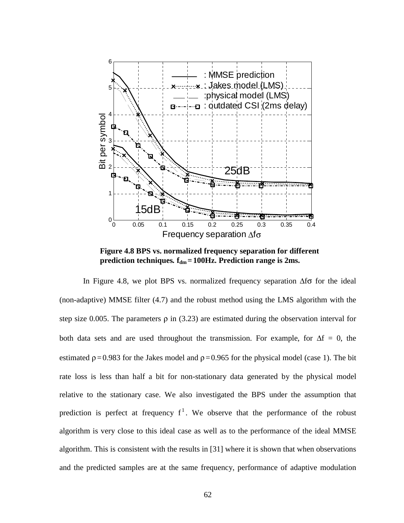

**Figure 4.8 BPS vs. normalized frequency separation for different prediction techniques.**  $f_{dm} = 100$ Hz. Prediction range is 2ms.

In Figure 4.8, we plot BPS vs. normalized frequency separation  $\Delta f \sigma$  for the ideal (non-adaptive) MMSE filter (4.7) and the robust method using the LMS algorithm with the step size 0.005. The parameters  $\rho$  in (3.23) are estimated during the observation interval for both data sets and are used throughout the transmission. For example, for  $\Delta f = 0$ , the estimated  $p = 0.983$  for the Jakes model and  $p = 0.965$  for the physical model (case 1). The bit rate loss is less than half a bit for non-stationary data generated by the physical model relative to the stationary case. We also investigated the BPS under the assumption that prediction is perfect at frequency  $f^1$ . We observe that the performance of the robust algorithm is very close to this ideal case as well as to the performance of the ideal MMSE algorithm. This is consistent with the results in [31] where it is shown that when observations and the predicted samples are at the same frequency, performance of adaptive modulation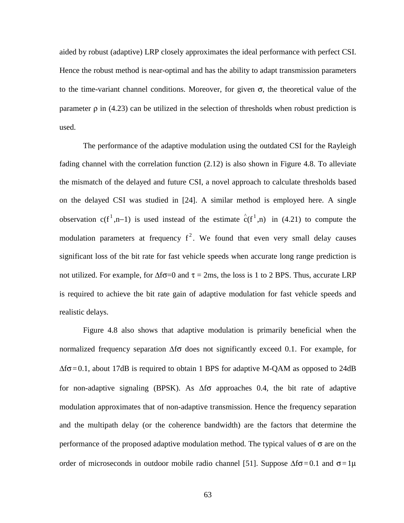aided by robust (adaptive) LRP closely approximates the ideal performance with perfect CSI. Hence the robust method is near-optimal and has the ability to adapt transmission parameters to the time-variant channel conditions. Moreover, for given  $\sigma$ , the theoretical value of the parameter  $\rho$  in (4.23) can be utilized in the selection of thresholds when robust prediction is used.

The performance of the adaptive modulation using the outdated CSI for the Rayleigh fading channel with the correlation function (2.12) is also shown in Figure 4.8. To alleviate the mismatch of the delayed and future CSI, a novel approach to calculate thresholds based on the delayed CSI was studied in [24]. A similar method is employed here. A single observation  $c(f^1, n-1)$  is used instead of the estimate  $\hat{c}(f^1, n)$  in (4.21) to compute the modulation parameters at frequency  $f^2$ . We found that even very small delay causes significant loss of the bit rate for fast vehicle speeds when accurate long range prediction is not utilized. For example, for  $\Delta f\sigma=0$  and  $\tau = 2$ ms, the loss is 1 to 2 BPS. Thus, accurate LRP is required to achieve the bit rate gain of adaptive modulation for fast vehicle speeds and realistic delays.

Figure 4.8 also shows that adaptive modulation is primarily beneficial when the normalized frequency separation ∆fσ does not significantly exceed 0.1. For example, for  $\Delta f \sigma = 0.1$ , about 17dB is required to obtain 1 BPS for adaptive M-QAM as opposed to 24dB for non-adaptive signaling (BPSK). As ∆fσ approaches 0.4, the bit rate of adaptive modulation approximates that of non-adaptive transmission. Hence the frequency separation and the multipath delay (or the coherence bandwidth) are the factors that determine the performance of the proposed adaptive modulation method. The typical values of  $\sigma$  are on the order of microseconds in outdoor mobile radio channel [51]. Suppose  $\Delta f \sigma = 0.1$  and  $\sigma = 1\mu$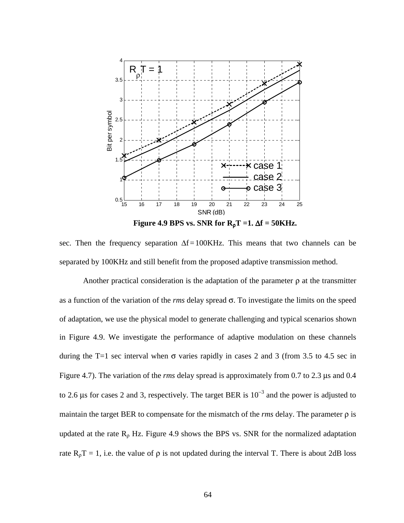

**Figure 4.9 BPS vs. SNR for**  $R_pT = 1$ **.**  $\Delta f = 50$ **KHz.** 

sec. Then the frequency separation  $\Delta f = 100K$ Hz. This means that two channels can be separated by 100KHz and still benefit from the proposed adaptive transmission method.

Another practical consideration is the adaptation of the parameter  $\rho$  at the transmitter as a function of the variation of the *rms* delay spread σ. To investigate the limits on the speed of adaptation, we use the physical model to generate challenging and typical scenarios shown in Figure 4.9. We investigate the performance of adaptive modulation on these channels during the T=1 sec interval when  $\sigma$  varies rapidly in cases 2 and 3 (from 3.5 to 4.5 sec in Figure 4.7). The variation of the *rms* delay spread is approximately from 0.7 to 2.3 µs and 0.4 to 2.6 µs for cases 2 and 3, respectively. The target BER is  $10^{-3}$  and the power is adjusted to maintain the target BER to compensate for the mismatch of the *rms* delay. The parameter ρ is updated at the rate  $R_p$  Hz. Figure 4.9 shows the BPS vs. SNR for the normalized adaptation rate  $R_\rho T = 1$ , i.e. the value of  $\rho$  is not updated during the interval T. There is about 2dB loss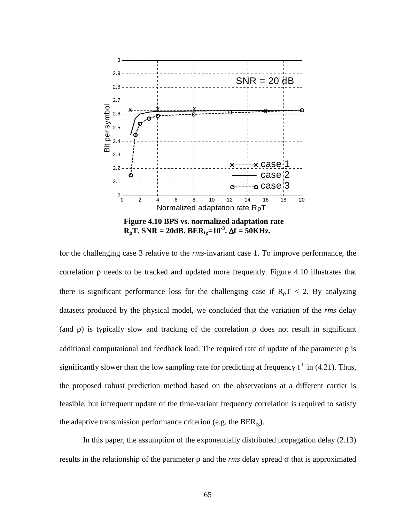

for the challenging case 3 relative to the *rms*-invariant case 1. To improve performance, the correlation ρ needs to be tracked and updated more frequently. Figure 4.10 illustrates that there is significant performance loss for the challenging case if  $R<sub>0</sub>T < 2$ . By analyzing datasets produced by the physical model, we concluded that the variation of the *rms* delay (and  $\rho$ ) is typically slow and tracking of the correlation  $\rho$  does not result in significant additional computational and feedback load. The required rate of update of the parameter  $\rho$  is significantly slower than the low sampling rate for predicting at frequency  $f^1$  in (4.21). Thus, the proposed robust prediction method based on the observations at a different carrier is feasible, but infrequent update of the time-variant frequency correlation is required to satisfy the adaptive transmission performance criterion (e.g. the  $BER_{tg}$ ).

In this paper, the assumption of the exponentially distributed propagation delay (2.13) results in the relationship of the parameter ρ and the *rms* delay spread σ that is approximated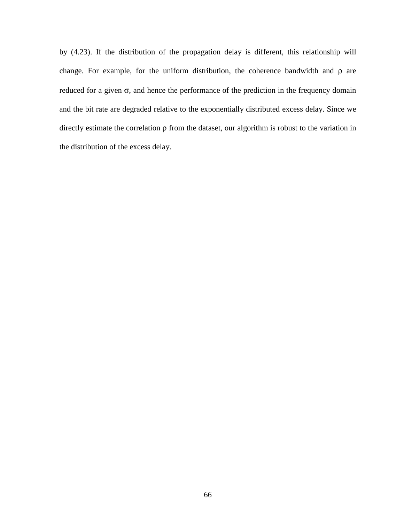by (4.23). If the distribution of the propagation delay is different, this relationship will change. For example, for the uniform distribution, the coherence bandwidth and ρ are reduced for a given  $\sigma$ , and hence the performance of the prediction in the frequency domain and the bit rate are degraded relative to the exponentially distributed excess delay. Since we directly estimate the correlation ρ from the dataset, our algorithm is robust to the variation in the distribution of the excess delay.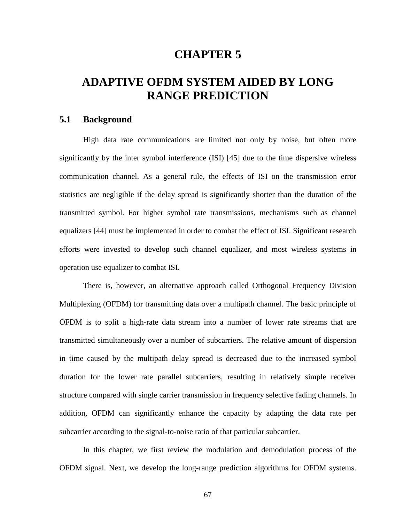## **CHAPTER 5**

# **ADAPTIVE OFDM SYSTEM AIDED BY LONG RANGE PREDICTION**

## **5.1 Background**

High data rate communications are limited not only by noise, but often more significantly by the inter symbol interference (ISI) [45] due to the time dispersive wireless communication channel. As a general rule, the effects of ISI on the transmission error statistics are negligible if the delay spread is significantly shorter than the duration of the transmitted symbol. For higher symbol rate transmissions, mechanisms such as channel equalizers [44] must be implemented in order to combat the effect of ISI. Significant research efforts were invested to develop such channel equalizer, and most wireless systems in operation use equalizer to combat ISI.

There is, however, an alternative approach called Orthogonal Frequency Division Multiplexing (OFDM) for transmitting data over a multipath channel. The basic principle of OFDM is to split a high-rate data stream into a number of lower rate streams that are transmitted simultaneously over a number of subcarriers. The relative amount of dispersion in time caused by the multipath delay spread is decreased due to the increased symbol duration for the lower rate parallel subcarriers, resulting in relatively simple receiver structure compared with single carrier transmission in frequency selective fading channels. In addition, OFDM can significantly enhance the capacity by adapting the data rate per subcarrier according to the signal-to-noise ratio of that particular subcarrier.

In this chapter, we first review the modulation and demodulation process of the OFDM signal. Next, we develop the long-range prediction algorithms for OFDM systems.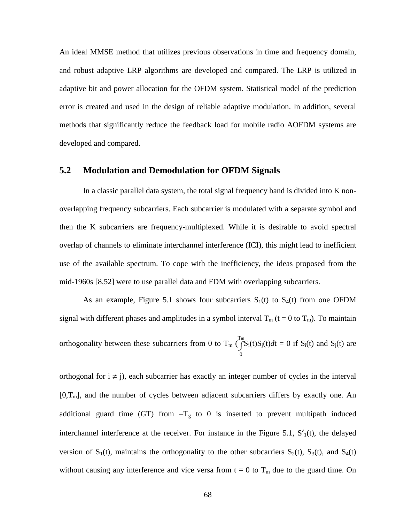An ideal MMSE method that utilizes previous observations in time and frequency domain, and robust adaptive LRP algorithms are developed and compared. The LRP is utilized in adaptive bit and power allocation for the OFDM system. Statistical model of the prediction error is created and used in the design of reliable adaptive modulation. In addition, several methods that significantly reduce the feedback load for mobile radio AOFDM systems are developed and compared.

## **5.2 Modulation and Demodulation for OFDM Signals**

In a classic parallel data system, the total signal frequency band is divided into K nonoverlapping frequency subcarriers. Each subcarrier is modulated with a separate symbol and then the K subcarriers are frequency-multiplexed. While it is desirable to avoid spectral overlap of channels to eliminate interchannel interference (ICI), this might lead to inefficient use of the available spectrum. To cope with the inefficiency, the ideas proposed from the mid-1960s [8,52] were to use parallel data and FDM with overlapping subcarriers.

As an example, Figure 5.1 shows four subcarriers  $S_1(t)$  to  $S_4(t)$  from one OFDM signal with different phases and amplitudes in a symbol interval  $T_m$  (t = 0 to  $T_m$ ). To maintain orthogonality between these subcarriers from 0 to  $T_m$  ( $\widehat{f}$  $\boldsymbol{0}$  $T_m^m S_i(t) S_j(t) dt = 0$  if  $S_i(t)$  and  $S_j(t)$  are

orthogonal for  $i \neq j$ , each subcarrier has exactly an integer number of cycles in the interval  $[0,T_m]$ , and the number of cycles between adjacent subcarriers differs by exactly one. An additional guard time (GT) from  $-T_g$  to 0 is inserted to prevent multipath induced interchannel interference at the receiver. For instance in the Figure 5.1,  $S'_{1}(t)$ , the delayed version of  $S_1(t)$ , maintains the orthogonality to the other subcarriers  $S_2(t)$ ,  $S_3(t)$ , and  $S_4(t)$ without causing any interference and vice versa from  $t = 0$  to  $T_m$  due to the guard time. On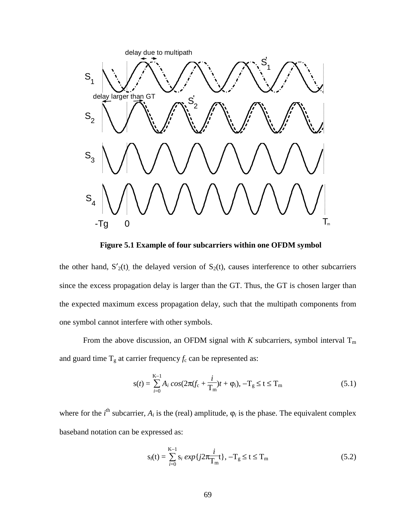

**Figure 5.1 Example of four subcarriers within one OFDM symbol** 

the other hand,  $S'_{2}(t)$ , the delayed version of  $S_{2}(t)$ , causes interference to other subcarriers since the excess propagation delay is larger than the GT. Thus, the GT is chosen larger than the expected maximum excess propagation delay, such that the multipath components from one symbol cannot interfere with other symbols.

From the above discussion, an OFDM signal with  $K$  subcarriers, symbol interval  $T_m$ and guard time  $T_g$  at carrier frequency  $f_c$  can be represented as:

$$
s(t) = \sum_{i=0}^{K-1} A_i \cos(2\pi (f_c + \frac{i}{T_m})t + \varphi_i), -T_g \le t \le T_m
$$
\n(5.1)

where for the  $i^{\text{th}}$  subcarrier,  $A_i$  is the (real) amplitude,  $\varphi_i$  is the phase. The equivalent complex baseband notation can be expressed as:

$$
s_{l}(t) = \sum_{i=0}^{K-1} s_{i} \exp\{j2\pi \frac{i}{T_{m}}t\}, -T_{g} \le t \le T_{m}
$$
 (5.2)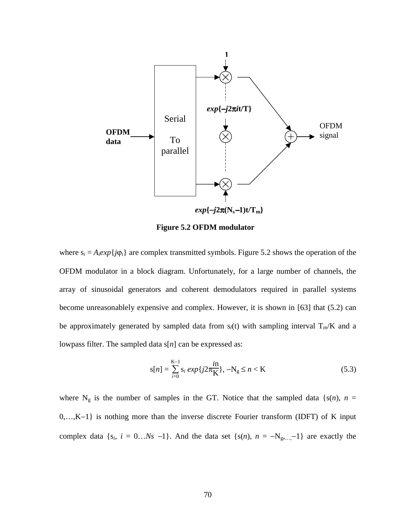

**Figure 5.2 OFDM modulator** 

where  $s_i = A_i exp\{j\varphi_i\}$  are complex transmitted symbols. Figure 5.2 shows the operation of the OFDM modulator in a block diagram. Unfortunately, for a large number of channels, the array of sinusoidal generators and coherent demodulators required in parallel systems become unreasonablely expensive and complex. However, it is shown in [63] that (5.2) can be approximately generated by sampled data from  $s_l(t)$  with sampling interval  $T_m/K$  and a lowpass filter. The sampled data s[*n*] can be expressed as:

$$
s[n] = \sum_{i=0}^{K-1} s_i \exp\{j2\pi \frac{i n}{K}\}, -N_g \le n < K
$$
\n(5.3)

where  $N_g$  is the number of samples in the GT. Notice that the sampled data { $s(n)$ , *n* = 0,…,K−1} is nothing more than the inverse discrete Fourier transform (IDFT) of K input complex data { $s_i$ ,  $i = 0...Ns -1$ }. And the data set { $s(n)$ ,  $n = -N_{g,...} -1$ } are exactly the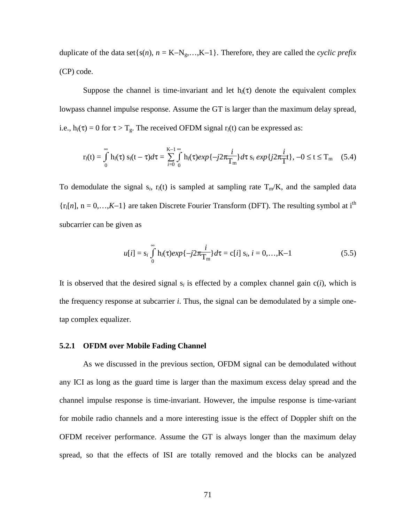duplicate of the data set $\{s(n), n = K-N_g,...,K-1\}$ . Therefore, they are called the *cyclic prefix* (CP) code.

Suppose the channel is time-invariant and let  $h_l(\tau)$  denote the equivalent complex lowpass channel impulse response. Assume the GT is larger than the maximum delay spread, i.e.,  $h_l(\tau) = 0$  for  $\tau > T_g$ . The received OFDM signal  $r_l(t)$  can be expressed as:

$$
r_{l}(t) = \int_{0}^{\infty} h_{l}(\tau) s_{l}(t-\tau) d\tau = \sum_{i=0}^{K-1} \int_{0}^{\infty} h_{l}(\tau) exp\{-j2\pi \frac{i}{T_{m}}\} d\tau s_{i} exp\{j2\pi \frac{i}{T}t\}, -0 \le t \le T_{m} \quad (5.4)
$$

To demodulate the signal  $s_i$ ,  $r_i(t)$  is sampled at sampling rate  $T_m/K$ , and the sampled data  ${r_l[n], n = 0,..., K-1}$  are taken Discrete Fourier Transform (DFT). The resulting symbol at i<sup>th</sup> subcarrier can be given as

$$
u[i] = s_i \int_0^\infty h_i(\tau) \exp\{-j2\pi \frac{i}{T_m}\} d\tau = c[i] \ s_i, \ i = 0, \dots, K-1
$$
 (5.5)

It is observed that the desired signal  $s_i$  is effected by a complex channel gain  $c(i)$ , which is the frequency response at subcarrier *i*. Thus, the signal can be demodulated by a simple onetap complex equalizer.

#### **5.2.1 OFDM over Mobile Fading Channel**

As we discussed in the previous section, OFDM signal can be demodulated without any ICI as long as the guard time is larger than the maximum excess delay spread and the channel impulse response is time-invariant. However, the impulse response is time-variant for mobile radio channels and a more interesting issue is the effect of Doppler shift on the OFDM receiver performance. Assume the GT is always longer than the maximum delay spread, so that the effects of ISI are totally removed and the blocks can be analyzed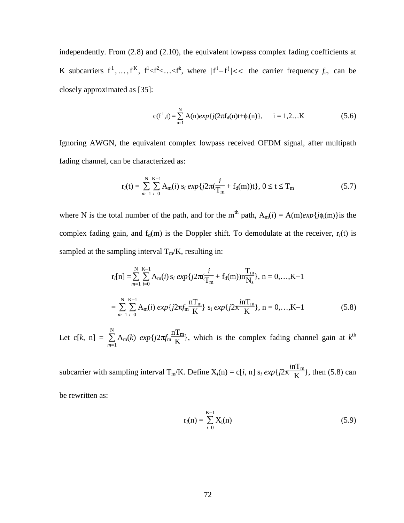independently. From (2.8) and (2.10), the equivalent lowpass complex fading coefficients at K subcarriers  $f^1, \ldots, f^K$ ,  $f^1 < f^2 < \ldots < f^k$ , where  $|f^i - f^j| < \epsilon$  the carrier frequency  $f_c$ , can be closely approximated as [35]:

$$
c(f^{i},t) = \sum_{n=1}^{N} A(n) exp{j(2\pi f_{d}(n)t + \phi_{i}(n)}, \quad i = 1,2...K
$$
 (5.6)

Ignoring AWGN, the equivalent complex lowpass received OFDM signal, after multipath fading channel, can be characterized as:

$$
r_{l}(t) = \sum_{m=1}^{N} \sum_{i=0}^{K-1} A_{m}(i) s_{i} exp\{j2\pi(\frac{i}{T_{m}} + f_{d}(m))t\}, 0 \le t \le T_{m}
$$
 (5.7)

where N is the total number of the path, and for the m<sup>th</sup> path,  $A_m(i) = A(m)exp{j\phi_i(m)}$  is the complex fading gain, and  $f_d(m)$  is the Doppler shift. To demodulate at the receiver,  $r_l(t)$  is sampled at the sampling interval  $T_m/K$ , resulting in:

$$
r_l[n] = \sum_{m=1}^{N} \sum_{i=0}^{K-1} A_m(i) s_i \exp\{j2\pi(\frac{i}{T_m} + f_d(m))n\frac{T_m}{N_s}\}, n = 0,...,K-1
$$
  
= 
$$
\sum_{m=1}^{N} \sum_{i=0}^{K-1} A_m(i) \exp\{j2\pi f_m \frac{nT_m}{K}\} s_i \exp\{j2\pi \frac{nT_m}{K}\}, n = 0,...,K-1
$$
 (5.8)

Let c[ $k$ , n] =  $\sum$ *m*=1 N  $A<sub>m</sub>(k)$  *exp*{ $j2πf<sub>m</sub>$  $nT_m$  $\frac{f_{\text{m}}}{K}$ , which is the complex fading channel gain at  $k^{\text{th}}$ 

subcarrier with sampling interval  $T_m/K$ . Define  $X_i(n) = c[i, n]$  s<sub>i</sub>  $exp\{j2\pi$  $inT<sub>m</sub>$  $\frac{H_{\text{m}}}{K}$ , then (5.8) can

be rewritten as:

$$
r_l(n) = \sum_{i=0}^{K-1} X_i(n)
$$
 (5.9)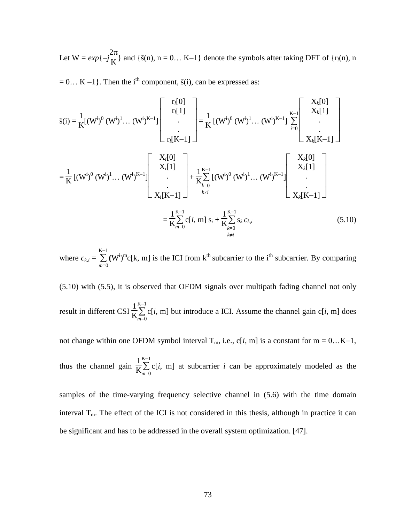Let  $W = exp{-j}$  $\frac{2\pi}{K}$ } and { $\tilde{s}(n)$ , n = 0... K-1} denote the symbols after taking DFT of { $r_l(n)$ , n

 $= 0... K - 1$ . Then the i<sup>th</sup> component,  $\tilde{s}(i)$ , can be expressed as:

$$
\tilde{s}(i) = \frac{1}{K}[(W^{i})^{0} (W^{i})^{1} ... (W^{i})^{K-1}] \begin{bmatrix} r_{l}[0] \\ r_{l}[1] \\ \vdots \\ r_{l}[K-1] \end{bmatrix} = \frac{1}{K}[(W^{i})^{0} (W^{i})^{1} ... (W^{i})^{K-1}] \begin{bmatrix} X_{k}[0] \\ \vdots \\ X_{k}[K-1] \end{bmatrix}
$$

$$
= \frac{1}{K}[(W^{i})^{0} (W^{i})^{1} ... (W^{i})^{K-1}] \begin{bmatrix} X_{i}[0] \\ X_{i}[1] \\ \vdots \\ X_{i}[K-1] \end{bmatrix} + \frac{1}{K} \sum_{k=0}^{K-1} [(W^{i})^{0} (W^{i})^{1} ... (W^{i})^{K-1}] \begin{bmatrix} X_{k}[0] \\ X_{k}[1] \\ \vdots \\ X_{k}[K-1] \end{bmatrix}
$$

$$
= \frac{1}{K} \sum_{m=0}^{K-1} c[i, m] s_{i} + \frac{1}{K} \sum_{k=0}^{K-1} s_{k} c_{k,i} \qquad (5.10)
$$

where  $c_{k,i} = \sum$ *m*=0  $\sum^{\kappa-1}$  (W<sup>i</sup>)<sup>m</sup>c[k, m] is the ICI from k<sup>th</sup> subcarrier to the i<sup>th</sup> subcarrier. By comparing

(5.10) with (5.5), it is observed that OFDM signals over multipath fading channel not only result in different CSI  $\frac{1}{K}\sum_{m=0}^{K-1}$ K−1  $c[i, m]$  but introduce a ICI. Assume the channel gain  $c[i, m]$  does

not change within one OFDM symbol interval  $T_m$ , i.e., c[*i*, m] is a constant for m = 0…K-1,

thus the channel gain  $\frac{1}{K}\sum_{m=0}^{K-1}$ K−1  $c[i, m]$  at subcarrier  $i$  can be approximately modeled as the

samples of the time-varying frequency selective channel in (5.6) with the time domain interval  $T_m$ . The effect of the ICI is not considered in this thesis, although in practice it can be significant and has to be addressed in the overall system optimization. [47].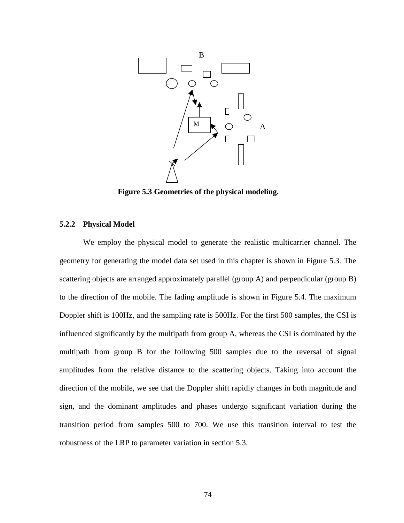

**Figure 5.3 Geometries of the physical modeling.** 

#### **5.2.2 Physical Model**

We employ the physical model to generate the realistic multicarrier channel. The geometry for generating the model data set used in this chapter is shown in Figure 5.3. The scattering objects are arranged approximately parallel (group A) and perpendicular (group B) to the direction of the mobile. The fading amplitude is shown in Figure 5.4. The maximum Doppler shift is 100Hz, and the sampling rate is 500Hz. For the first 500 samples, the CSI is influenced significantly by the multipath from group A, whereas the CSI is dominated by the multipath from group B for the following 500 samples due to the reversal of signal amplitudes from the relative distance to the scattering objects. Taking into account the direction of the mobile, we see that the Doppler shift rapidly changes in both magnitude and sign, and the dominant amplitudes and phases undergo significant variation during the transition period from samples 500 to 700. We use this transition interval to test the robustness of the LRP to parameter variation in section 5.3.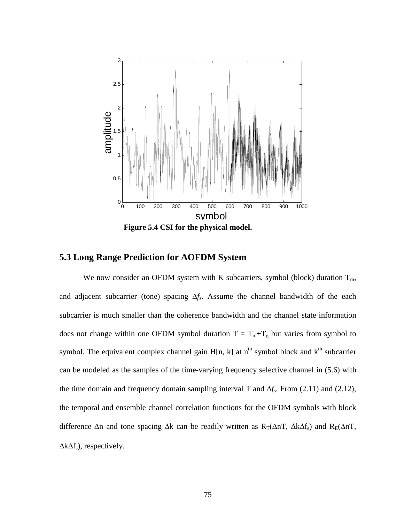

## **5.3 Long Range Prediction for AOFDM System**

We now consider an OFDM system with K subcarriers, symbol (block) duration  $T_m$ , and adjacent subcarrier (tone) spacing ∆*f*s. Assume the channel bandwidth of the each subcarrier is much smaller than the coherence bandwidth and the channel state information does not change within one OFDM symbol duration  $T = T_m + T_g$  but varies from symbol to symbol. The equivalent complex channel gain  $H[n, k]$  at  $n^{th}$  symbol block and  $k^{th}$  subcarrier can be modeled as the samples of the time-varying frequency selective channel in (5.6) with the time domain and frequency domain sampling interval T and ∆*f*s. From (2.11) and (2.12), the temporal and ensemble channel correlation functions for the OFDM symbols with block difference  $\Delta$ n and tone spacing  $\Delta$ k can be readily written as R<sub>T</sub>( $\Delta$ nT,  $\Delta$ k $\Delta$ f<sub>s</sub>) and R<sub>E</sub>( $\Delta$ nT,  $\Delta k \Delta f_s$ ), respectively.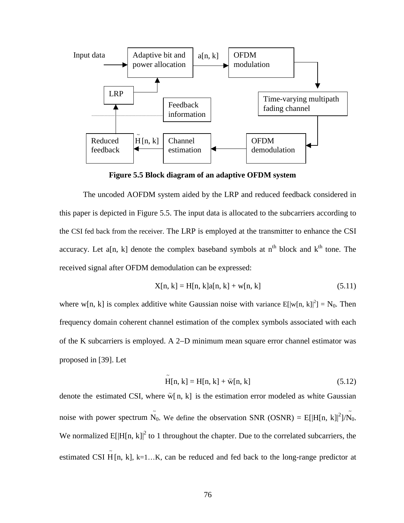

**Figure 5.5 Block diagram of an adaptive OFDM system** 

The uncoded AOFDM system aided by the LRP and reduced feedback considered in this paper is depicted in Figure 5.5. The input data is allocated to the subcarriers according to the CSI fed back from the receiver. The LRP is employed at the transmitter to enhance the CSI accuracy. Let a[n, k] denote the complex baseband symbols at  $n<sup>th</sup>$  block and  $k<sup>th</sup>$  tone. The received signal after OFDM demodulation can be expressed:

$$
X[n, k] = H[n, k]a[n, k] + w[n, k]
$$
\n(5.11)

where w[n, k] is complex additive white Gaussian noise with variance  $E[|w[n, k]|^2] = N_0$ . Then frequency domain coherent channel estimation of the complex symbols associated with each of the K subcarriers is employed. A 2−D minimum mean square error channel estimator was proposed in [39]. Let

$$
\widetilde{H}[n,k] = H[n,k] + \widetilde{w}[n,k]
$$
\n(5.12)

denote the estimated CSI, where  $\tilde{w}[n, k]$  is the estimation error modeled as white Gaussian noise with power spectrum  $\tilde{N}_0$ . We define the observation SNR (OSNR) = E[|H[n, k]|<sup>2</sup>]/ $\tilde{N}_0$ . We normalized  $E[|H[n, k]|^2$  to 1 throughout the chapter. Due to the correlated subcarriers, the estimated CSI  $\tilde{H}[n, k]$ , k=1...K, can be reduced and fed back to the long-range predictor at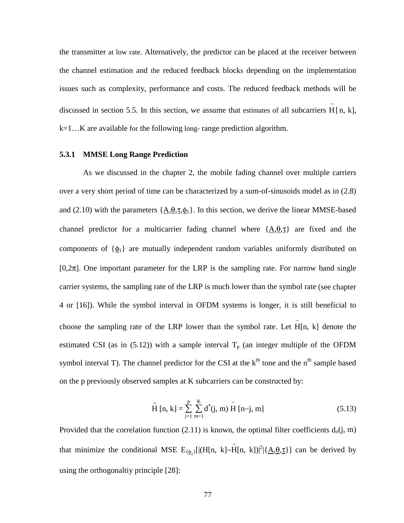the transmitter at low rate. Alternatively, the predictor can be placed at the receiver between the channel estimation and the reduced feedback blocks depending on the implementation issues such as complexity, performance and costs. The reduced feedback methods will be discussed in section 5.5. In this section, we assume that estimates of all subcarriers  $\tilde{H}[n, k]$ , k=1…K are available for the following long- range prediction algorithm.

#### **5.3.1 MMSE Long Range Prediction**

As we discussed in the chapter 2, the mobile fading channel over multiple carriers over a very short period of time can be characterized by a sum-of-sinusoids model as in (2.8) and (2.10) with the parameters  $\{\underline{A}, \underline{\theta}, \underline{\tau}, \underline{\phi}_1\}$ . In this section, we derive the linear MMSE-based channel predictor for a multicarrier fading channel where  $\{\underline{A}, \underline{\theta}, \underline{\tau}\}\$  are fixed and the components of  $\{\phi_1\}$  are mutually independent random variables uniformly distributed on [0,2 $\pi$ ]. One important parameter for the LRP is the sampling rate. For narrow band single carrier systems, the sampling rate of the LRP is much lower than the symbol rate (see chapter 4 or [16]). While the symbol interval in OFDM systems is longer, it is still beneficial to choose the sampling rate of the LRP lower than the symbol rate. Let  $\tilde{H}[n, k]$  denote the estimated CSI (as in  $(5.12)$ ) with a sample interval  $T_p$  (an integer multiple of the OFDM symbol interval T). The channel predictor for the CSI at the  $k<sup>th</sup>$  tone and the  $n<sup>th</sup>$  sample based on the p previously observed samples at K subcarriers can be constructed by:

$$
\hat{H}[n,k] = \sum_{j=1}^{p} \sum_{m=1}^{K} d^{*}(j, m) \tilde{H}[n-j, m]
$$
\n(5.13)

Provided that the correlation function (2.11) is known, the optimal filter coefficients  $d_0(j, m)$ that minimize the conditional MSE  $E_{\{\phi_1\}}[(H[n, k] - \hat{H}[n, k])|^2 | {\Delta, \theta, \tau} ]$  can be derived by using the orthogonaltiy principle [28]: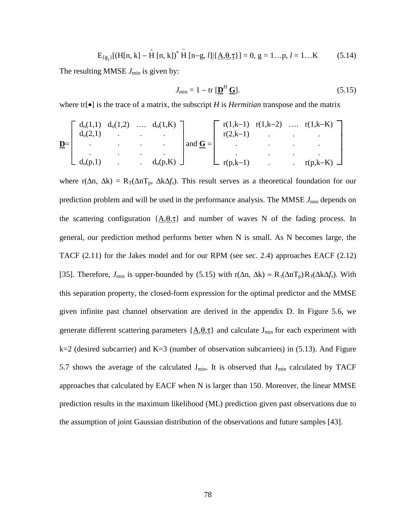$$
E_{\{\phi_l\}}[(H[n, k] - \hat{H}[n, k])^* \tilde{H}[n-g, l] | {\underline{A, \theta, \tau}}] = 0, g = 1...p, l = 1...K
$$
 (5.14)

The resulting MMSE  $J_{\text{min}}$  is given by:

$$
J_{\min} = 1 - \text{tr} \left[ \underline{\mathbf{D}}^H \underline{\mathbf{G}} \right]. \tag{5.15}
$$

where tr[•] is the trace of a matrix, the subscript *H* is *Hermitian* transpose and the matrix

$$
\underline{\mathbf{D}} = \begin{bmatrix} d_o(1,1) & d_o(1,2) & \dots & d_o(1,K) \\ d_o(2,1) & \cdot & \cdot & \cdot \\ \cdot & \cdot & \cdot & \cdot \\ \cdot & \cdot & \cdot & \cdot \\ d_o(p,1) & \cdot & \cdot & d_o(p,K) \end{bmatrix} \text{ and } \underline{\mathbf{G}} = \begin{bmatrix} r(1,k-1) & r(1,k-2) & \dots & r(1,k-K) \\ r(2,k-1) & \cdot & \cdot & \cdot \\ \cdot & \cdot & \cdot & \cdot \\ \cdot & \cdot & \cdot & \cdot \\ r(p,k-1) & \cdot & \cdot & r(p,k-K) \end{bmatrix}
$$

where r( $\Delta n$ ,  $\Delta k$ ) = R<sub>T</sub>( $\Delta n$ T<sub>p</sub>,  $\Delta k \Delta f_s$ ). This result serves as a theoretical foundation for our prediction problem and will be used in the performance analysis. The MMSE  $J_{\text{min}}$  depends on the scattering configuration  ${A, \theta, \tau}$  and number of waves N of the fading process. In general, our prediction method performs better when N is small. As N becomes large, the TACF (2.11) for the Jakes model and for our RPM (see sec. 2.4) approaches EACF (2.12) [35]. Therefore, *J*<sub>min</sub> is upper-bounded by (5.15) with r( $\Delta n$ ,  $\Delta k$ ) ≈ R<sub>t</sub>( $\Delta n$ T<sub>p</sub>)R<sub>f</sub>( $\Delta k \Delta f$ <sub>s</sub>). With this separation property, the closed-form expression for the optimal predictor and the MMSE given infinite past channel observation are derived in the appendix D. In Figure 5.6, we generate different scattering parameters  $\{A, \theta, \tau\}$  and calculate J<sub>min</sub> for each experiment with  $k=2$  (desired subcarrier) and  $K=3$  (number of observation subcarriers) in (5.13). And Figure 5.7 shows the average of the calculated  $J_{min}$ . It is observed that  $J_{min}$  calculated by TACF approaches that calculated by EACF when N is larger than 150. Moreover, the linear MMSE prediction results in the maximum likelihood (ML) prediction given past observations due to the assumption of joint Gaussian distribution of the observations and future samples [43].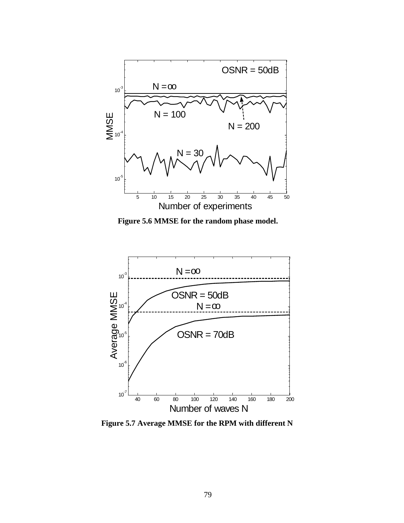

**Figure 5.6 MMSE for the random phase model.** 



**Figure 5.7 Average MMSE for the RPM with different N**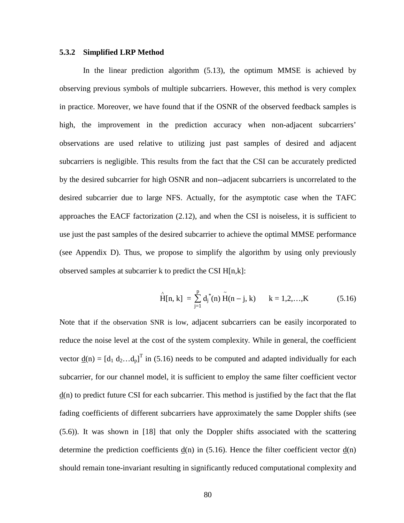#### **5.3.2 Simplified LRP Method**

In the linear prediction algorithm (5.13), the optimum MMSE is achieved by observing previous symbols of multiple subcarriers. However, this method is very complex in practice. Moreover, we have found that if the OSNR of the observed feedback samples is high, the improvement in the prediction accuracy when non-adjacent subcarriers' observations are used relative to utilizing just past samples of desired and adjacent subcarriers is negligible. This results from the fact that the CSI can be accurately predicted by the desired subcarrier for high OSNR and non--adjacent subcarriers is uncorrelated to the desired subcarrier due to large NFS. Actually, for the asymptotic case when the TAFC approaches the EACF factorization (2.12), and when the CSI is noiseless, it is sufficient to use just the past samples of the desired subcarrier to achieve the optimal MMSE performance (see Appendix D). Thus, we propose to simplify the algorithm by using only previously observed samples at subcarrier k to predict the CSI H[n,k]:

$$
\hat{H}[n, k] = \sum_{j=1}^{p} d_j^{*}(n) \tilde{H}(n-j, k) \qquad k = 1, 2, ..., K \qquad (5.16)
$$

Note that if the observation SNR is low, adjacent subcarriers can be easily incorporated to reduce the noise level at the cost of the system complexity. While in general, the coefficient vector <u>d</u>(n) =  $[d_1 d_2...d_p]^T$  in (5.16) needs to be computed and adapted individually for each subcarrier, for our channel model, it is sufficient to employ the same filter coefficient vector  $\underline{d}$ (n) to predict future CSI for each subcarrier. This method is justified by the fact that the flat fading coefficients of different subcarriers have approximately the same Doppler shifts (see (5.6)). It was shown in [18] that only the Doppler shifts associated with the scattering determine the prediction coefficients  $d(n)$  in (5.16). Hence the filter coefficient vector  $d(n)$ should remain tone-invariant resulting in significantly reduced computational complexity and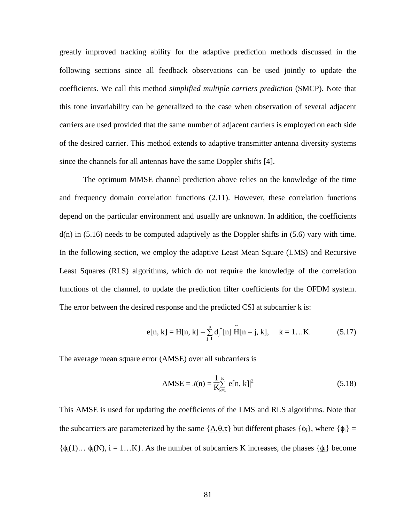greatly improved tracking ability for the adaptive prediction methods discussed in the following sections since all feedback observations can be used jointly to update the coefficients. We call this method *simplified multiple carriers prediction* (SMCP). Note that this tone invariability can be generalized to the case when observation of several adjacent carriers are used provided that the same number of adjacent carriers is employed on each side of the desired carrier. This method extends to adaptive transmitter antenna diversity systems since the channels for all antennas have the same Doppler shifts [4].

The optimum MMSE channel prediction above relies on the knowledge of the time and frequency domain correlation functions (2.11). However, these correlation functions depend on the particular environment and usually are unknown. In addition, the coefficients  $d(n)$  in (5.16) needs to be computed adaptively as the Doppler shifts in (5.6) vary with time. In the following section, we employ the adaptive Least Mean Square (LMS) and Recursive Least Squares (RLS) algorithms, which do not require the knowledge of the correlation functions of the channel, to update the prediction filter coefficients for the OFDM system. The error between the desired response and the predicted CSI at subcarrier k is:

$$
e[n, k] = H[n, k] - \sum_{j=1}^{p} d_j^*[n] \tilde{H}[n-j, k], \quad k = 1...K.
$$
 (5.17)

The average mean square error (AMSE) over all subcarriers is

$$
AMSE = J(n) = \frac{1}{K} \sum_{k=1}^{K} |e[n, k]|^2
$$
 (5.18)

This AMSE is used for updating the coefficients of the LMS and RLS algorithms. Note that the subcarriers are parameterized by the same  $\{\underline{A}, \underline{\theta}, \underline{\tau}\}$  but different phases  $\{\underline{\phi}_i\}$ , where  $\{\underline{\phi}_i\}$  =  $\{\phi_i(1) \dots \phi_i(N), i = 1 \dots K\}$ . As the number of subcarriers K increases, the phases  $\{\phi_i\}$  become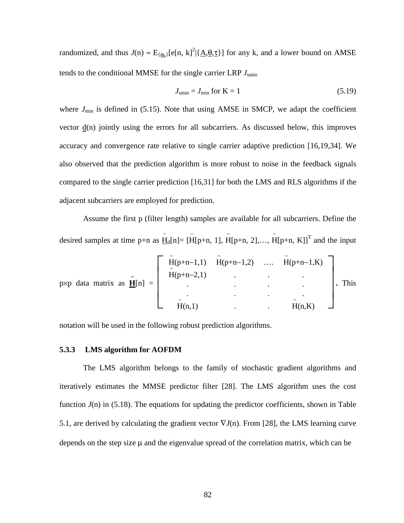randomized, and thus  $J(n) \approx E_{\{\phi_k\}}[e[n, k]^2 | {\underline{A, \theta, \tau}}]$  for any k, and a lower bound on AMSE tends to the conditional MMSE for the single carrier LRP *J*smin

$$
J_{\text{smin}} = J_{\text{min}} \text{ for } K = 1 \tag{5.19}
$$

where  $J_{\text{min}}$  is defined in (5.15). Note that using AMSE in SMCP, we adapt the coefficient vector d(n) jointly using the errors for all subcarriers. As discussed below, this improves accuracy and convergence rate relative to single carrier adaptive prediction [16,19,34]. We also observed that the prediction algorithm is more robust to noise in the feedback signals compared to the single carrier prediction [16,31] for both the LMS and RLS algorithms if the adjacent subcarriers are employed for prediction.

Assume the first p (filter length) samples are available for all subcarriers. Define the desired samples at time p+n as  $H_{d}[n] = [\tilde{H}[p+n, 1], \tilde{H}[p+n, 2],..., \tilde{H}[p+n, K]]^{T}$  and the input

$$
p\times p \text{ data matrix as } \underline{\tilde{\mathbf{H}}}[n] = \begin{bmatrix} \tilde{H}(p+n-1,1) & \tilde{H}(p+n-1,2) & \dots & \tilde{H}(p+n-1,K) \\ \tilde{H}(p+n-2,1) & \cdot & \cdot & \cdot \\ \cdot & \cdot & \cdot & \cdot \\ \cdot & \cdot & \cdot & \cdot \\ \cdot & \cdot & \cdot & \cdot \\ \cdot & \cdot & \cdot & \cdot \\ \cdot & \cdot & \cdot & \cdot \\ \cdot & \cdot & \cdot & \cdot \\ \cdot & \cdot & \cdot & \cdot \\ \cdot & \cdot & \cdot & \cdot \\ \cdot & \cdot & \cdot & \cdot \end{bmatrix} . \text{ This}
$$

notation will be used in the following robust prediction algorithms.

#### **5.3.3 LMS algorithm for AOFDM**

The LMS algorithm belongs to the family of stochastic gradient algorithms and iteratively estimates the MMSE predictor filter [28]. The LMS algorithm uses the cost function  $J(n)$  in (5.18). The equations for updating the predictor coefficients, shown in Table 5.1, are derived by calculating the gradient vector  $\nabla J(n)$ . From [28], the LMS learning curve depends on the step size  $\mu$  and the eigenvalue spread of the correlation matrix, which can be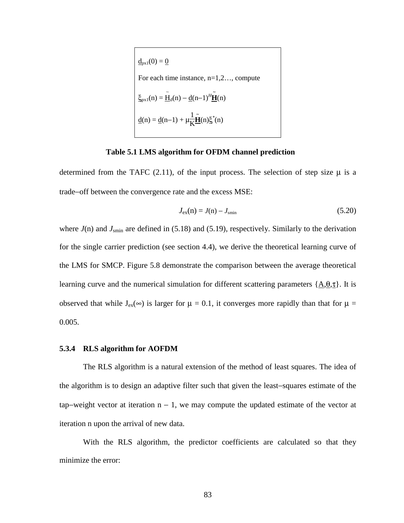$$
\underline{d}_{px1}(0) = \underline{0}
$$
  
For each time instance, n=1,2..., compute  

$$
\underline{\xi}_{px1}(n) = \underline{\tilde{H}}_d(n) - \underline{d}(n-1)^H \underline{\tilde{H}}(n)
$$

$$
\underline{d}(n) = \underline{d}(n-1) + \mu \underline{\tilde{H}}(\underline{n}) \underline{\xi}^*(n)
$$

#### **Table 5.1 LMS algorithm for OFDM channel prediction**

determined from the TAFC  $(2.11)$ , of the input process. The selection of step size  $\mu$  is a trade−off between the convergence rate and the excess MSE:

$$
J_{\rm ex}(n) = J(n) - J_{\rm smin} \tag{5.20}
$$

where  $J(n)$  and  $J_{\text{smin}}$  are defined in (5.18) and (5.19), respectively. Similarly to the derivation for the single carrier prediction (see section 4.4), we derive the theoretical learning curve of the LMS for SMCP. Figure 5.8 demonstrate the comparison between the average theoretical learning curve and the numerical simulation for different scattering parameters  $\{\underline{A}, \underline{\theta}, \underline{\tau}\}\$ . It is observed that while  $J_{ex}(\infty)$  is larger for  $\mu = 0.1$ , it converges more rapidly than that for  $\mu =$ 0.005.

#### **5.3.4 RLS algorithm for AOFDM**

The RLS algorithm is a natural extension of the method of least squares. The idea of the algorithm is to design an adaptive filter such that given the least−squares estimate of the tap–weight vector at iteration  $n - 1$ , we may compute the updated estimate of the vector at iteration n upon the arrival of new data.

With the RLS algorithm, the predictor coefficients are calculated so that they minimize the error: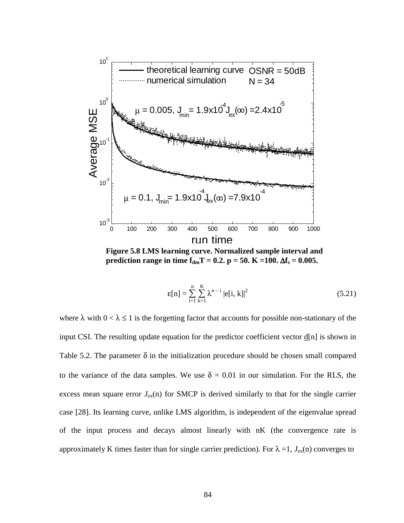

**Figure 5.8 LMS learning curve. Normalized sample interval and prediction range in time**  $f_{dm}T = 0.2$ **.**  $p = 50$ **.**  $K = 100$ **.**  $\Delta f_s = 0.005$ **.** 

$$
\varepsilon[n] = \sum_{i=1}^{n} \sum_{k=1}^{K} \lambda^{n-i} |e[i, k]|^{2}
$$
 (5.21)

where  $\lambda$  with  $0 < \lambda \le 1$  is the forgetting factor that accounts for possible non-stationary of the input CSI. The resulting update equation for the predictor coefficient vector d[n] is shown in Table 5.2. The parameter  $\delta$  in the initialization procedure should be chosen small compared to the variance of the data samples. We use  $\delta = 0.01$  in our simulation. For the RLS, the excess mean square error  $J_{ex}(n)$  for SMCP is derived similarly to that for the single carrier case [28]. Its learning curve, unlike LMS algorithm, is independent of the eigenvalue spread of the input process and decays almost linearly with nK (the convergence rate is approximately K times faster than for single carrier prediction). For  $\lambda = 1$ ,  $J_{ex}(n)$  converges to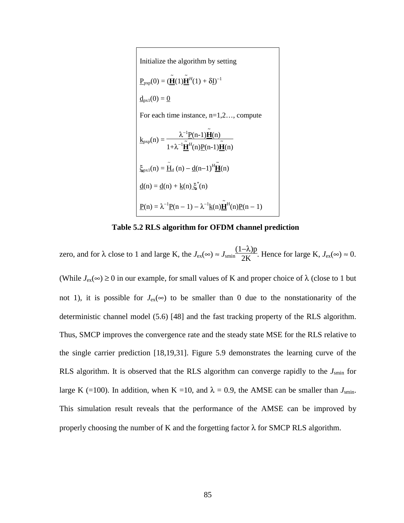Initialize the algorithm by setting

\n
$$
\underline{P}_{pxp}(0) = (\underline{\tilde{H}}(1)\underline{\tilde{H}}^{H}(1) + \delta \underline{I})^{-1}
$$
\n
$$
\underline{d}_{px1}(0) = \underline{0}
$$
\nFor each time instance, n=1,2..., compute

\n
$$
\underline{k}_{pxp}(n) = \frac{\lambda^{-1}\underline{P}(n-1)\underline{\tilde{H}}(n)}{1 + \lambda^{-1}\underline{\tilde{H}}^{H}(n)\underline{P}(n-1)\underline{\tilde{H}}(n)}
$$
\n
$$
\underline{\xi}_{px1}(n) = \underline{\tilde{H}}_{d}(n) - \underline{d}(n-1)^{H}\underline{\tilde{H}}(n)
$$
\n
$$
\underline{d}(n) = \underline{d}(n) + \underline{k}(n)\underline{\xi}^{*}(n)
$$
\n
$$
\underline{P}(n) = \lambda^{-1}\underline{P}(n-1) - \lambda^{-1}\underline{k}(n)\underline{\tilde{H}}^{H}(n)\underline{P}(n-1)
$$

**Table 5.2 RLS algorithm for OFDM channel prediction** 

zero, and for  $\lambda$  close to 1 and large K, the  $J_{\text{ex}}(\infty) \approx J_{\text{smin}}$ (1−λ)p  $\frac{\Delta V_{\text{P}}}{2K}$ . Hence for large K,  $J_{\text{ex}}(\infty) \approx 0$ . (While  $J_{ex}(\infty) \ge 0$  in our example, for small values of K and proper choice of  $\lambda$  (close to 1 but not 1), it is possible for  $J_{ex}(\infty)$  to be smaller than 0 due to the nonstationarity of the deterministic channel model (5.6) [48] and the fast tracking property of the RLS algorithm. Thus, SMCP improves the convergence rate and the steady state MSE for the RLS relative to the single carrier prediction [18,19,31]. Figure 5.9 demonstrates the learning curve of the RLS algorithm. It is observed that the RLS algorithm can converge rapidly to the  $J<sub>smin</sub>$  for large K (=100). In addition, when K =10, and  $\lambda = 0.9$ , the AMSE can be smaller than  $J_{\text{smin}}$ . This simulation result reveals that the performance of the AMSE can be improved by properly choosing the number of K and the forgetting factor  $\lambda$  for SMCP RLS algorithm.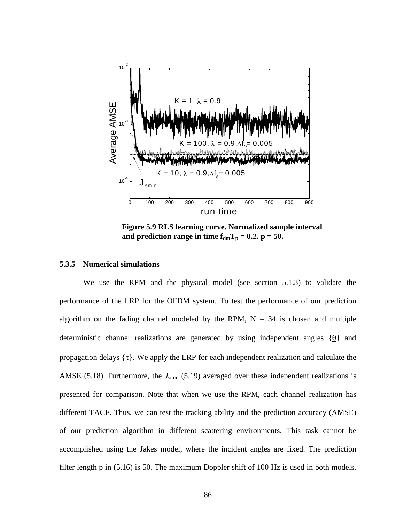

**Figure 5.9 RLS learning curve. Normalized sample interval**  and prediction range in time  $f_{dm}T_p = 0.2$ .  $p = 50$ .

#### **5.3.5 Numerical simulations**

We use the RPM and the physical model (see section 5.1.3) to validate the performance of the LRP for the OFDM system. To test the performance of our prediction algorithm on the fading channel modeled by the RPM,  $N = 34$  is chosen and multiple deterministic channel realizations are generated by using independent angles  $\{\theta\}$  and propagation delays  $\{\underline{\tau}\}\$ . We apply the LRP for each independent realization and calculate the AMSE (5.18). Furthermore, the  $J_{\text{smin}}$  (5.19) averaged over these independent realizations is presented for comparison. Note that when we use the RPM, each channel realization has different TACF. Thus, we can test the tracking ability and the prediction accuracy (AMSE) of our prediction algorithm in different scattering environments. This task cannot be accomplished using the Jakes model, where the incident angles are fixed. The prediction filter length p in (5.16) is 50. The maximum Doppler shift of 100 Hz is used in both models.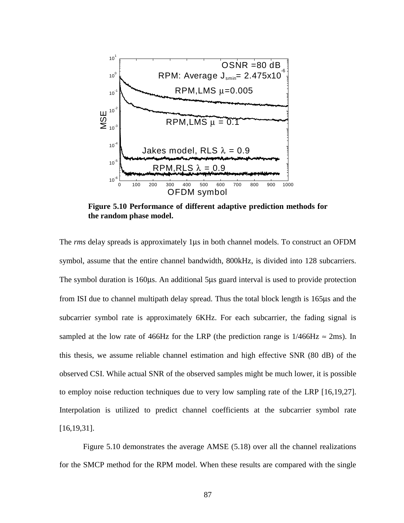

**Figure 5.10 Performance of different adaptive prediction methods for the random phase model.** 

The *rms* delay spreads is approximately 1µs in both channel models. To construct an OFDM symbol, assume that the entire channel bandwidth, 800kHz, is divided into 128 subcarriers. The symbol duration is 160µs. An additional 5µs guard interval is used to provide protection from ISI due to channel multipath delay spread. Thus the total block length is 165µs and the subcarrier symbol rate is approximately 6KHz. For each subcarrier, the fading signal is sampled at the low rate of 466Hz for the LRP (the prediction range is  $1/466\text{Hz} \approx 2\text{ms}$ ). In this thesis, we assume reliable channel estimation and high effective SNR (80 dB) of the observed CSI. While actual SNR of the observed samples might be much lower, it is possible to employ noise reduction techniques due to very low sampling rate of the LRP [16,19,27]. Interpolation is utilized to predict channel coefficients at the subcarrier symbol rate [16,19,31].

Figure 5.10 demonstrates the average AMSE (5.18) over all the channel realizations for the SMCP method for the RPM model. When these results are compared with the single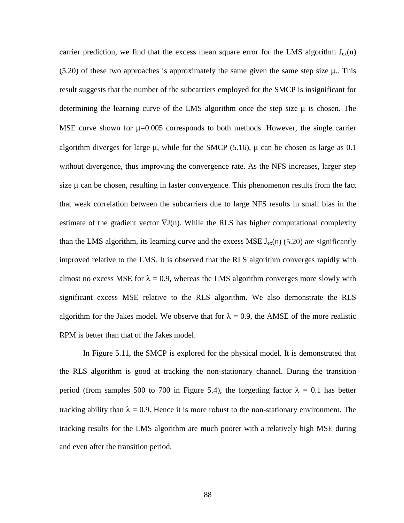carrier prediction, we find that the excess mean square error for the LMS algorithm  $J_{ex}(n)$  $(5.20)$  of these two approaches is approximately the same given the same step size  $\mu$ . This result suggests that the number of the subcarriers employed for the SMCP is insignificant for determining the learning curve of the LMS algorithm once the step size  $\mu$  is chosen. The MSE curve shown for  $\mu$ =0.005 corresponds to both methods. However, the single carrier algorithm diverges for large  $\mu$ , while for the SMCP (5.16),  $\mu$  can be chosen as large as 0.1 without divergence, thus improving the convergence rate. As the NFS increases, larger step size  $\mu$  can be chosen, resulting in faster convergence. This phenomenon results from the fact that weak correlation between the subcarriers due to large NFS results in small bias in the estimate of the gradient vector  $\nabla J(n)$ . While the RLS has higher computational complexity than the LMS algorithm, its learning curve and the excess MSE  $J_{ex}(n)$  (5.20) are significantly improved relative to the LMS. It is observed that the RLS algorithm converges rapidly with almost no excess MSE for  $\lambda = 0.9$ , whereas the LMS algorithm converges more slowly with significant excess MSE relative to the RLS algorithm. We also demonstrate the RLS algorithm for the Jakes model. We observe that for  $\lambda = 0.9$ , the AMSE of the more realistic RPM is better than that of the Jakes model.

In Figure 5.11, the SMCP is explored for the physical model. It is demonstrated that the RLS algorithm is good at tracking the non-stationary channel. During the transition period (from samples 500 to 700 in Figure 5.4), the forgetting factor  $\lambda = 0.1$  has better tracking ability than  $\lambda = 0.9$ . Hence it is more robust to the non-stationary environment. The tracking results for the LMS algorithm are much poorer with a relatively high MSE during and even after the transition period.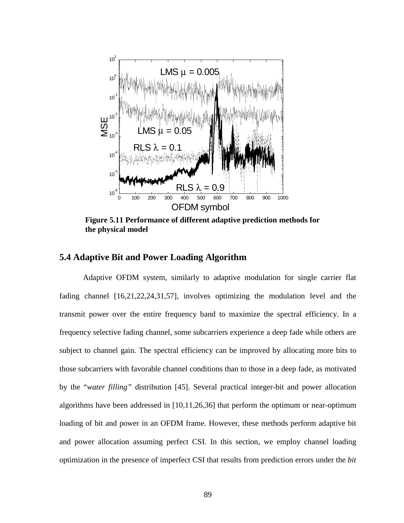

**Figure 5.11 Performance of different adaptive prediction methods for the physical model** 

## **5.4 Adaptive Bit and Power Loading Algorithm**

Adaptive OFDM system, similarly to adaptive modulation for single carrier flat fading channel [16,21,22,24,31,57], involves optimizing the modulation level and the transmit power over the entire frequency band to maximize the spectral efficiency. In a frequency selective fading channel, some subcarriers experience a deep fade while others are subject to channel gain. The spectral efficiency can be improved by allocating more bits to those subcarriers with favorable channel conditions than to those in a deep fade, as motivated by the "*water filling"* distribution [45]. Several practical integer-bit and power allocation algorithms have been addressed in [10,11,26,36] that perform the optimum or near-optimum loading of bit and power in an OFDM frame. However, these methods perform adaptive bit and power allocation assuming perfect CSI. In this section, we employ channel loading optimization in the presence of imperfect CSI that results from prediction errors under the *bit*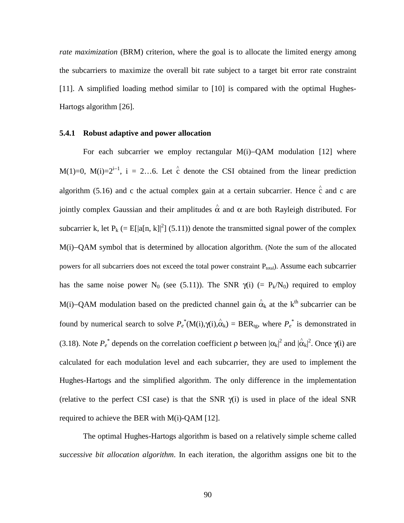*rate maximization* (BRM) criterion, where the goal is to allocate the limited energy among the subcarriers to maximize the overall bit rate subject to a target bit error rate constraint [11]. A simplified loading method similar to [10] is compared with the optimal Hughes-Hartogs algorithm [26].

#### **5.4.1 Robust adaptive and power allocation**

For each subcarrier we employ rectangular M(i)−QAM modulation [12] where M(1)=0, M(i)= $2^{i-1}$ , i = 2...6. Let  $\hat{c}$  denote the CSI obtained from the linear prediction algorithm (5.16) and c the actual complex gain at a certain subcarrier. Hence  $\hat{c}$  and c are jointly complex Gaussian and their amplitudes  $\hat{\alpha}$  and α are both Rayleigh distributed. For subcarrier k, let  $P_k (= E[|a[n, k]|^2] (5.11))$  denote the transmitted signal power of the complex M(i)−QAM symbol that is determined by allocation algorithm. (Note the sum of the allocated powers for all subcarriers does not exceed the total power constraint P<sub>total</sub>). Assume each subcarrier has the same noise power N<sub>0</sub> (see (5.11)). The SNR  $\gamma(i)$  (= P<sub>k</sub>/N<sub>0</sub>) required to employ M(i)–QAM modulation based on the predicted channel gain  $\hat{\alpha}_k$  at the k<sup>th</sup> subcarrier can be found by numerical search to solve  $P_e^*(M(i), \hat{\alpha}_k) = BER_{tg}$ , where  $P_e^*$  is demonstrated in (3.18). Note  $P_e^*$  depends on the correlation coefficient  $\rho$  between  $|\alpha_k|^2$  and  $|\hat{\alpha}_k|^2$ . Once  $\gamma(i)$  are calculated for each modulation level and each subcarrier, they are used to implement the Hughes-Hartogs and the simplified algorithm. The only difference in the implementation (relative to the perfect CSI case) is that the SNR  $\gamma(i)$  is used in place of the ideal SNR required to achieve the BER with M(i)-QAM [12].

The optimal Hughes-Hartogs algorithm is based on a relatively simple scheme called *successive bit allocation algorithm*. In each iteration, the algorithm assigns one bit to the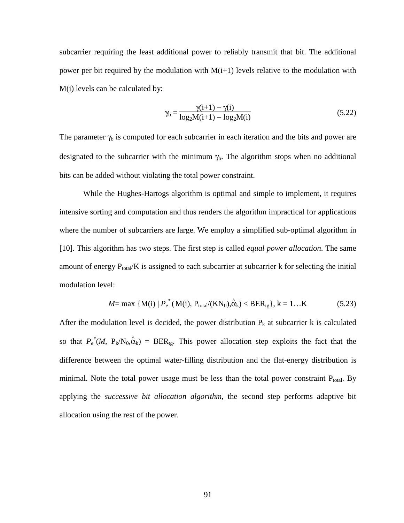subcarrier requiring the least additional power to reliably transmit that bit. The additional power per bit required by the modulation with  $M(i+1)$  levels relative to the modulation with M(i) levels can be calculated by:

$$
\gamma_{b} = \frac{\gamma(i+1) - \gamma(i)}{\log_{2}M(i+1) - \log_{2}M(i)}
$$
(5.22)

The parameter  $\gamma_b$  is computed for each subcarrier in each iteration and the bits and power are designated to the subcarrier with the minimum  $\gamma_b$ . The algorithm stops when no additional bits can be added without violating the total power constraint.

While the Hughes-Hartogs algorithm is optimal and simple to implement, it requires intensive sorting and computation and thus renders the algorithm impractical for applications where the number of subcarriers are large. We employ a simplified sub-optimal algorithm in [10]. This algorithm has two steps. The first step is called *equal power allocation*. The same amount of energy  $P_{total}/K$  is assigned to each subcarrier at subcarrier k for selecting the initial modulation level:

$$
M = \max \{ M(i) | P_e^*(M(i), P_{total}/(KN_0), \hat{\alpha}_k) < BER_{tg} \}, k = 1...K \tag{5.23}
$$

After the modulation level is decided, the power distribution  $P_k$  at subcarrier k is calculated so that  $P_e^*(M, P_k/N_0, \hat{\alpha}_k) = BER_{tg}$ . This power allocation step exploits the fact that the difference between the optimal water-filling distribution and the flat-energy distribution is minimal. Note the total power usage must be less than the total power constraint  $P_{total}$ . By applying the *successive bit allocation algorithm,* the second step performs adaptive bit allocation using the rest of the power.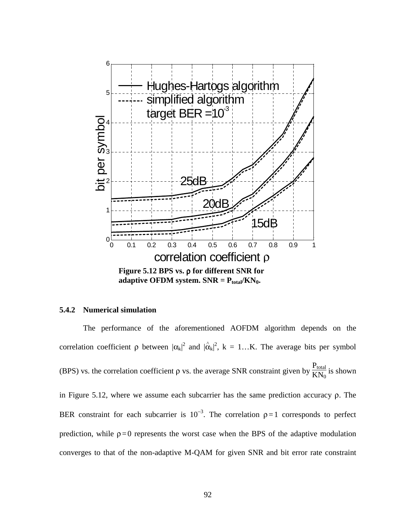

adaptive OFDM system.  $SNR = P_{total}/KN_0$ .

## **5.4.2 Numerical simulation**

The performance of the aforementioned AOFDM algorithm depends on the correlation coefficient  $\rho$  between  $|\alpha_k|^2$  and  $|\hat{\alpha}_k|^2$ ,  $k = 1...K$ . The average bits per symbol (BPS) vs. the correlation coefficient  $\rho$  vs. the average SNR constraint given by  $\frac{P_{total}}{V N}$  $\frac{1}{KN_0}$  is shown in Figure 5.12, where we assume each subcarrier has the same prediction accuracy ρ. The BER constraint for each subcarrier is  $10^{-3}$ . The correlation  $\rho = 1$  corresponds to perfect prediction, while  $\rho = 0$  represents the worst case when the BPS of the adaptive modulation converges to that of the non-adaptive M-QAM for given SNR and bit error rate constraint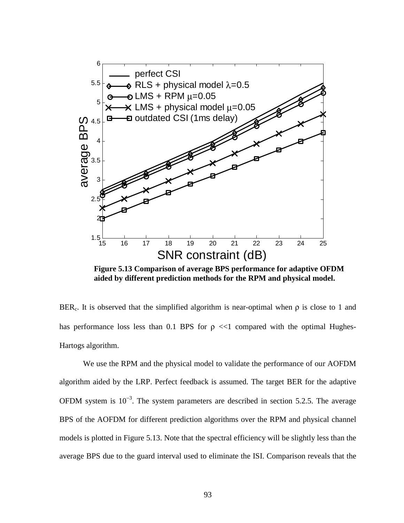

**Figure 5.13 Comparison of average BPS performance for adaptive OFDM aided by different prediction methods for the RPM and physical model.** 

BER<sub>c</sub>. It is observed that the simplified algorithm is near-optimal when  $\rho$  is close to 1 and has performance loss less than 0.1 BPS for  $\rho \ll 1$  compared with the optimal Hughes-Hartogs algorithm.

We use the RPM and the physical model to validate the performance of our AOFDM algorithm aided by the LRP. Perfect feedback is assumed. The target BER for the adaptive OFDM system is  $10^{-3}$ . The system parameters are described in section 5.2.5. The average BPS of the AOFDM for different prediction algorithms over the RPM and physical channel models is plotted in Figure 5.13. Note that the spectral efficiency will be slightly less than the average BPS due to the guard interval used to eliminate the ISI. Comparison reveals that the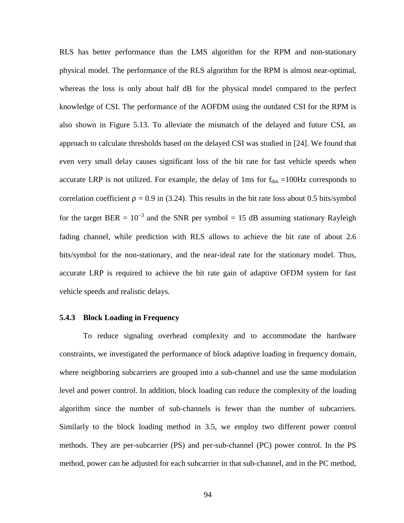RLS has better performance than the LMS algorithm for the RPM and non-stationary physical model. The performance of the RLS algorithm for the RPM is almost near-optimal, whereas the loss is only about half dB for the physical model compared to the perfect knowledge of CSI. The performance of the AOFDM using the outdated CSI for the RPM is also shown in Figure 5.13. To alleviate the mismatch of the delayed and future CSI, an approach to calculate thresholds based on the delayed CSI was studied in [24]. We found that even very small delay causes significant loss of the bit rate for fast vehicle speeds when accurate LRP is not utilized. For example, the delay of 1ms for  $f_{dm} = 100$ Hz corresponds to correlation coefficient  $\rho = 0.9$  in (3.24). This results in the bit rate loss about 0.5 bits/symbol for the target BER =  $10^{-3}$  and the SNR per symbol = 15 dB assuming stationary Rayleigh fading channel, while prediction with RLS allows to achieve the bit rate of about 2.6 bits/symbol for the non-stationary, and the near-ideal rate for the stationary model. Thus, accurate LRP is required to achieve the bit rate gain of adaptive OFDM system for fast vehicle speeds and realistic delays.

#### **5.4.3 Block Loading in Frequency**

To reduce signaling overhead complexity and to accommodate the hardware constraints, we investigated the performance of block adaptive loading in frequency domain, where neighboring subcarriers are grouped into a sub-channel and use the same modulation level and power control. In addition, block loading can reduce the complexity of the loading algorithm since the number of sub-channels is fewer than the number of subcarriers. Similarly to the block loading method in 3.5, we employ two different power control methods. They are per-subcarrier (PS) and per-sub-channel (PC) power control. In the PS method, power can be adjusted for each subcarrier in that sub-channel, and in the PC method,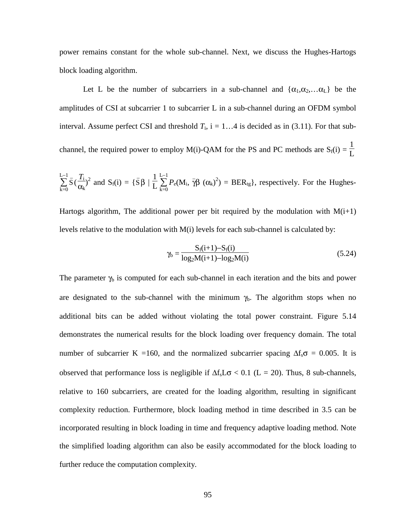power remains constant for the whole sub-channel. Next, we discuss the Hughes-Hartogs block loading algorithm.

Let L be the number of subcarriers in a sub-channel and  $\{\alpha_1, \alpha_2, \dots \alpha_L\}$  be the amplitudes of CSI at subcarrier 1 to subcarrier L in a sub-channel during an OFDM symbol interval. Assume perfect CSI and threshold  $T_i$ , i = 1...4 is decided as in (3.11). For that subchannel, the required power to employ M(i)-QAM for the PS and PC methods are  $S_f(i)$  = 1 L

$$
\sum_{k=0}^{L-1} \bar{S} \left( \frac{T_i}{\alpha_k} \right)^2 \text{ and } S_f(i) = \{ \bar{S} \beta \mid \frac{1}{L} \sum_{k=0}^{L-1} P_e(M_i, \bar{\gamma} \beta (\alpha_k)^2) = BER_{tg} \}, \text{ respectively. For the Hughes-
$$

Hartogs algorithm, The additional power per bit required by the modulation with  $M(i+1)$ levels relative to the modulation with  $M(i)$  levels for each sub-channel is calculated by:

$$
\gamma_{b} = \frac{S_{f}(i+1) - S_{f}(i)}{\log_{2}M(i+1) - \log_{2}M(i)}
$$
(5.24)

The parameter  $\gamma_b$  is computed for each sub-channel in each iteration and the bits and power are designated to the sub-channel with the minimum  $\gamma_b$ . The algorithm stops when no additional bits can be added without violating the total power constraint. Figure 5.14 demonstrates the numerical results for the block loading over frequency domain. The total number of subcarrier K =160, and the normalized subcarrier spacing  $\Delta f_s \sigma = 0.005$ . It is observed that performance loss is negligible if  $\Delta f_s L\sigma < 0.1$  (L = 20). Thus, 8 sub-channels, relative to 160 subcarriers, are created for the loading algorithm, resulting in significant complexity reduction. Furthermore, block loading method in time described in 3.5 can be incorporated resulting in block loading in time and frequency adaptive loading method. Note the simplified loading algorithm can also be easily accommodated for the block loading to further reduce the computation complexity.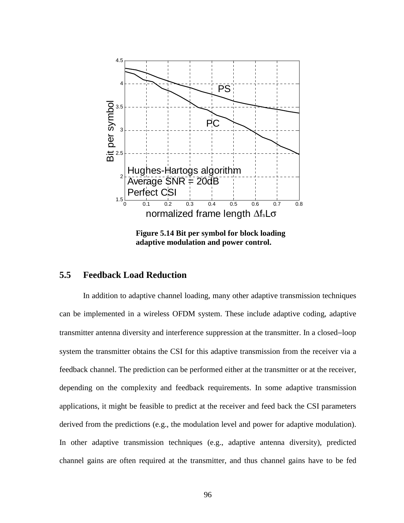

**Figure 5.14 Bit per symbol for block loading adaptive modulation and power control.** 

### **5.5 Feedback Load Reduction**

In addition to adaptive channel loading, many other adaptive transmission techniques can be implemented in a wireless OFDM system. These include adaptive coding, adaptive transmitter antenna diversity and interference suppression at the transmitter. In a closed−loop system the transmitter obtains the CSI for this adaptive transmission from the receiver via a feedback channel. The prediction can be performed either at the transmitter or at the receiver, depending on the complexity and feedback requirements. In some adaptive transmission applications, it might be feasible to predict at the receiver and feed back the CSI parameters derived from the predictions (e.g., the modulation level and power for adaptive modulation). In other adaptive transmission techniques (e.g., adaptive antenna diversity), predicted channel gains are often required at the transmitter, and thus channel gains have to be fed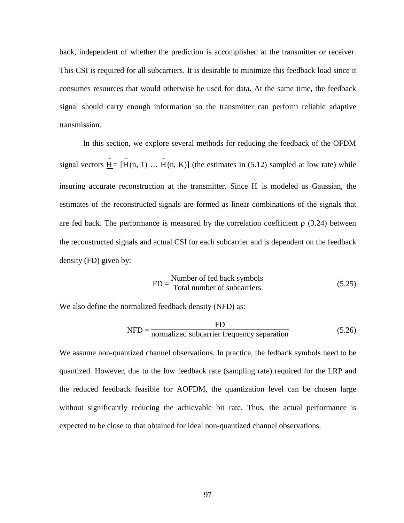back, independent of whether the prediction is accomplished at the transmitter or receiver. This CSI is required for all subcarriers. It is desirable to minimize this feedback load since it consumes resources that would otherwise be used for data. At the same time, the feedback signal should carry enough information so the transmitter can perform reliable adaptive transmission.

In this section, we explore several methods for reducing the feedback of the OFDM signal vectors  $\tilde{\mathbf{H}} = [\tilde{\mathbf{H}}(\mathbf{n}, 1) \dots \tilde{\mathbf{H}}(\mathbf{n}, \mathbf{K})]$  (the estimates in (5.12) sampled at low rate) while insuring accurate reconstruction at the transmitter. Since  $\tilde{H}$  is modeled as Gaussian, the estimates of the reconstructed signals are formed as linear combinations of the signals that are fed back. The performance is measured by the correlation coefficient  $\rho$  (3.24) between the reconstructed signals and actual CSI for each subcarrier and is dependent on the feedback density (FD) given by:

$$
FD = \frac{Number of fed back symbols}{Total number of subcarriers}
$$
 (5.25)

We also define the normalized feedback density (NFD) as:

$$
NFD = \frac{FD}{normalized subcarrier frequency separation}
$$
 (5.26)

We assume non-quantized channel observations. In practice, the fedback symbols need to be quantized. However, due to the low feedback rate (sampling rate) required for the LRP and the reduced feedback feasible for AOFDM, the quantization level can be chosen large without significantly reducing the achievable bit rate. Thus, the actual performance is expected to be close to that obtained for ideal non-quantized channel observations.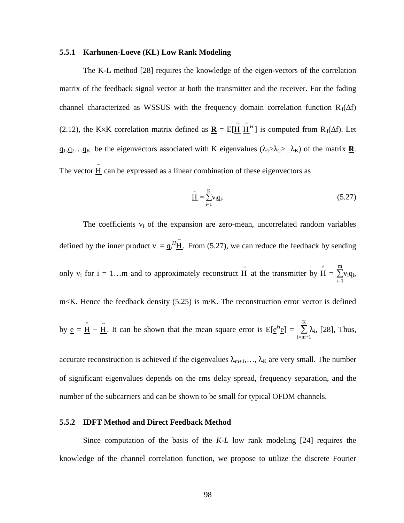#### **5.5.1 Karhunen-Loeve (KL) Low Rank Modeling**

The K-L method [28] requires the knowledge of the eigen-vectors of the correlation matrix of the feedback signal vector at both the transmitter and the receiver. For the fading channel characterized as WSSUS with the frequency domain correlation function  $R_f(\Delta f)$ (2.12), the K×K correlation matrix defined as  $\underline{\mathbf{R}} = E[\tilde{\mathbf{H}} \tilde{\mathbf{H}}^H]$  is computed from R<sub>f</sub>( $\Delta f$ ). Let  $q_1, q_2, \ldots, q_K$  be the eigenvectors associated with K eigenvalues  $(\lambda_1 > \lambda_2 > ... \lambda_K)$  of the matrix **R**. The vector  $\tilde{H}$  can be expressed as a linear combination of these eigenvectors as

$$
\underline{\tilde{\mathbf{H}}} = \sum_{i=1}^{K} v_i \underline{\mathbf{q}}_i.
$$
\n(5.27)

The coefficients  $v_i$  of the expansion are zero-mean, uncorrelated random variables defined by the inner product  $v_i = g_i^H \tilde{H}$ . From (5.27), we can reduce the feedback by sending only v<sub>i</sub> for i = 1...m and to approximately reconstruct  $\tilde{H}$  at the transmitter by  $\hat{H} = \sum_{n=1}^{m}$  $i=1$ m  $v_i \underline{q}_i$ , m<K. Hence the feedback density (5.25) is m/K. The reconstruction error vector is defined by <u>e</u> =  $\hat{H}$  –  $\tilde{H}$ . It can be shown that the mean square error is E[ $e^{H}e$ ] =  $\sum_{n=1}^{K}$ i=m+1 K  $\lambda_i$ , [28], Thus,

accurate reconstruction is achieved if the eigenvalues  $\lambda_{m+1},...,\lambda_{K}$  are very small. The number of significant eigenvalues depends on the rms delay spread, frequency separation, and the number of the subcarriers and can be shown to be small for typical OFDM channels.

#### **5.5.2 IDFT Method and Direct Feedback Method**

Since computation of the basis of the *K-L* low rank modeling [24] requires the knowledge of the channel correlation function, we propose to utilize the discrete Fourier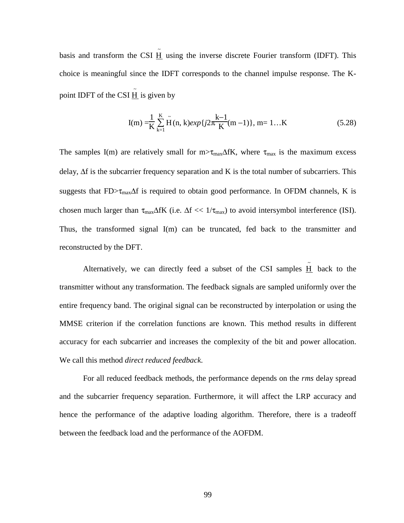basis and transform the CSI  $\tilde{H}$  using the inverse discrete Fourier transform (IDFT). This choice is meaningful since the IDFT corresponds to the channel impulse response. The Kpoint IDFT of the CSI  $\tilde{H}$  is given by

$$
I(m) = \frac{1}{K} \sum_{k=1}^{K} \tilde{H}(n, k) exp\{j2\pi \frac{k-1}{K}(m-1)\}, m = 1...K
$$
 (5.28)

The samples I(m) are relatively small for m> $\tau_{\text{max}}\Delta fK$ , where  $\tau_{\text{max}}$  is the maximum excess delay, ∆f is the subcarrier frequency separation and K is the total number of subcarriers. This suggests that FD> $\tau_{\text{max}}\Delta f$  is required to obtain good performance. In OFDM channels, K is chosen much larger than  $\tau_{\text{max}}\Delta fK$  (i.e.  $\Delta f \ll 1/\tau_{\text{max}}$ ) to avoid intersymbol interference (ISI). Thus, the transformed signal I(m) can be truncated, fed back to the transmitter and reconstructed by the DFT.

Alternatively, we can directly feed a subset of the CSI samples  $\tilde{H}$  back to the transmitter without any transformation. The feedback signals are sampled uniformly over the entire frequency band. The original signal can be reconstructed by interpolation or using the MMSE criterion if the correlation functions are known. This method results in different accuracy for each subcarrier and increases the complexity of the bit and power allocation. We call this method *direct reduced feedback*.

For all reduced feedback methods, the performance depends on the *rms* delay spread and the subcarrier frequency separation. Furthermore, it will affect the LRP accuracy and hence the performance of the adaptive loading algorithm. Therefore, there is a tradeoff between the feedback load and the performance of the AOFDM.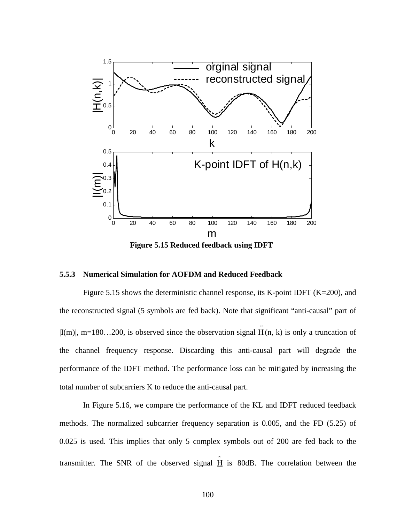

**Figure 5.15 Reduced feedback using IDFT** 

#### **5.5.3 Numerical Simulation for AOFDM and Reduced Feedback**

Figure 5.15 shows the deterministic channel response, its K-point IDFT ( $K=200$ ), and the reconstructed signal (5 symbols are fed back). Note that significant "anti-causal" part of  $|I(m)|$ , m=180...200, is observed since the observation signal  $\tilde{H}(n, k)$  is only a truncation of the channel frequency response. Discarding this anti-causal part will degrade the performance of the IDFT method. The performance loss can be mitigated by increasing the total number of subcarriers K to reduce the anti-causal part.

In Figure 5.16, we compare the performance of the KL and IDFT reduced feedback methods. The normalized subcarrier frequency separation is 0.005, and the FD (5.25) of 0.025 is used. This implies that only 5 complex symbols out of 200 are fed back to the transmitter. The SNR of the observed signal  $\tilde{H}$  is 80dB. The correlation between the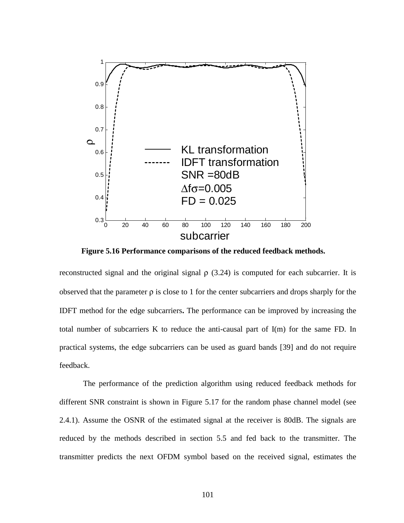

**Figure 5.16 Performance comparisons of the reduced feedback methods.** 

reconstructed signal and the original signal  $\rho$  (3.24) is computed for each subcarrier. It is observed that the parameter  $\rho$  is close to 1 for the center subcarriers and drops sharply for the IDFT method for the edge subcarriers**.** The performance can be improved by increasing the total number of subcarriers K to reduce the anti-causal part of I(m) for the same FD. In practical systems, the edge subcarriers can be used as guard bands [39] and do not require feedback.

The performance of the prediction algorithm using reduced feedback methods for different SNR constraint is shown in Figure 5.17 for the random phase channel model (see 2.4.1). Assume the OSNR of the estimated signal at the receiver is 80dB. The signals are reduced by the methods described in section 5.5 and fed back to the transmitter. The transmitter predicts the next OFDM symbol based on the received signal, estimates the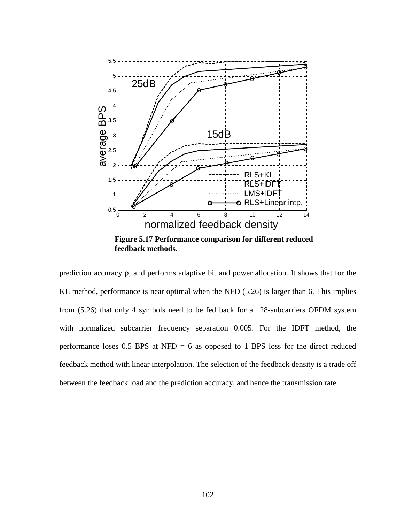

prediction accuracy ρ, and performs adaptive bit and power allocation. It shows that for the KL method, performance is near optimal when the NFD (5.26) is larger than 6. This implies from (5.26) that only 4 symbols need to be fed back for a 128-subcarriers OFDM system with normalized subcarrier frequency separation 0.005. For the IDFT method, the performance loses  $0.5$  BPS at NFD = 6 as opposed to 1 BPS loss for the direct reduced feedback method with linear interpolation. The selection of the feedback density is a trade off between the feedback load and the prediction accuracy, and hence the transmission rate.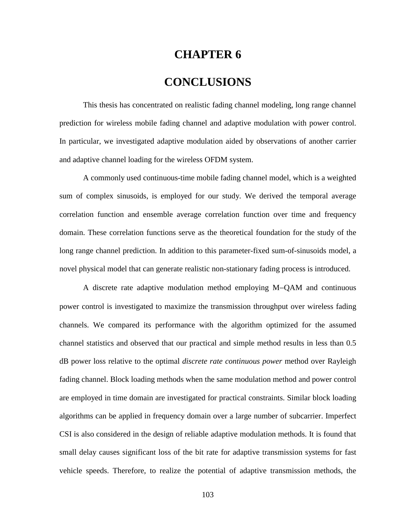### **CHAPTER 6**

## **CONCLUSIONS**

This thesis has concentrated on realistic fading channel modeling, long range channel prediction for wireless mobile fading channel and adaptive modulation with power control. In particular, we investigated adaptive modulation aided by observations of another carrier and adaptive channel loading for the wireless OFDM system.

A commonly used continuous-time mobile fading channel model, which is a weighted sum of complex sinusoids, is employed for our study. We derived the temporal average correlation function and ensemble average correlation function over time and frequency domain. These correlation functions serve as the theoretical foundation for the study of the long range channel prediction. In addition to this parameter-fixed sum-of-sinusoids model, a novel physical model that can generate realistic non-stationary fading process is introduced.

A discrete rate adaptive modulation method employing M−QAM and continuous power control is investigated to maximize the transmission throughput over wireless fading channels. We compared its performance with the algorithm optimized for the assumed channel statistics and observed that our practical and simple method results in less than 0.5 dB power loss relative to the optimal *discrete rate continuous power* method over Rayleigh fading channel. Block loading methods when the same modulation method and power control are employed in time domain are investigated for practical constraints. Similar block loading algorithms can be applied in frequency domain over a large number of subcarrier. Imperfect CSI is also considered in the design of reliable adaptive modulation methods. It is found that small delay causes significant loss of the bit rate for adaptive transmission systems for fast vehicle speeds. Therefore, to realize the potential of adaptive transmission methods, the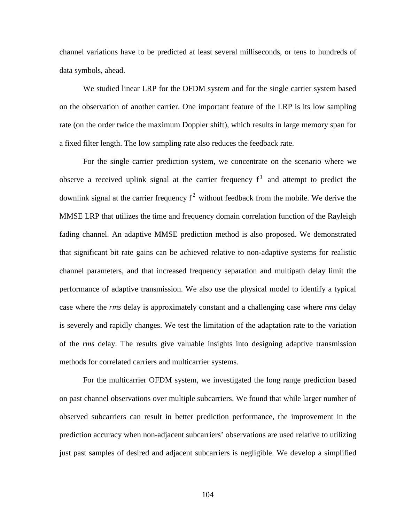channel variations have to be predicted at least several milliseconds, or tens to hundreds of data symbols, ahead.

We studied linear LRP for the OFDM system and for the single carrier system based on the observation of another carrier. One important feature of the LRP is its low sampling rate (on the order twice the maximum Doppler shift), which results in large memory span for a fixed filter length. The low sampling rate also reduces the feedback rate.

For the single carrier prediction system, we concentrate on the scenario where we observe a received uplink signal at the carrier frequency  $f^1$  and attempt to predict the downlink signal at the carrier frequency  $f^2$  without feedback from the mobile. We derive the MMSE LRP that utilizes the time and frequency domain correlation function of the Rayleigh fading channel. An adaptive MMSE prediction method is also proposed. We demonstrated that significant bit rate gains can be achieved relative to non-adaptive systems for realistic channel parameters, and that increased frequency separation and multipath delay limit the performance of adaptive transmission. We also use the physical model to identify a typical case where the *rms* delay is approximately constant and a challenging case where *rms* delay is severely and rapidly changes. We test the limitation of the adaptation rate to the variation of the *rms* delay. The results give valuable insights into designing adaptive transmission methods for correlated carriers and multicarrier systems.

For the multicarrier OFDM system, we investigated the long range prediction based on past channel observations over multiple subcarriers. We found that while larger number of observed subcarriers can result in better prediction performance, the improvement in the prediction accuracy when non-adjacent subcarriers' observations are used relative to utilizing just past samples of desired and adjacent subcarriers is negligible. We develop a simplified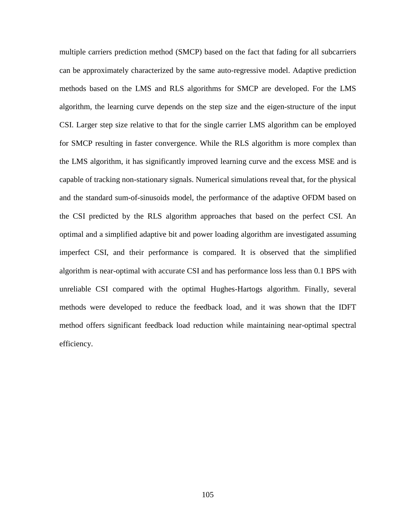multiple carriers prediction method (SMCP) based on the fact that fading for all subcarriers can be approximately characterized by the same auto-regressive model. Adaptive prediction methods based on the LMS and RLS algorithms for SMCP are developed. For the LMS algorithm, the learning curve depends on the step size and the eigen-structure of the input CSI. Larger step size relative to that for the single carrier LMS algorithm can be employed for SMCP resulting in faster convergence. While the RLS algorithm is more complex than the LMS algorithm, it has significantly improved learning curve and the excess MSE and is capable of tracking non-stationary signals. Numerical simulations reveal that, for the physical and the standard sum-of-sinusoids model, the performance of the adaptive OFDM based on the CSI predicted by the RLS algorithm approaches that based on the perfect CSI. An optimal and a simplified adaptive bit and power loading algorithm are investigated assuming imperfect CSI, and their performance is compared. It is observed that the simplified algorithm is near-optimal with accurate CSI and has performance loss less than 0.1 BPS with unreliable CSI compared with the optimal Hughes-Hartogs algorithm. Finally, several methods were developed to reduce the feedback load, and it was shown that the IDFT method offers significant feedback load reduction while maintaining near-optimal spectral efficiency.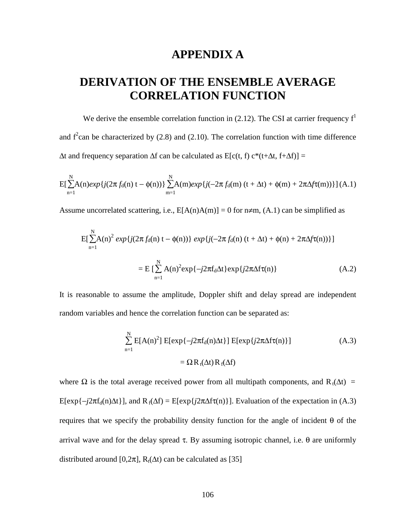### **APPENDIX A**

# **DERIVATION OF THE ENSEMBLE AVERAGE CORRELATION FUNCTION**

We derive the ensemble correlation function in  $(2.12)$ . The CSI at carrier frequency  $f<sup>1</sup>$ and  $f^2$ can be characterized by (2.8) and (2.10). The correlation function with time difference  $\Delta t$  and frequency separation  $\Delta f$  can be calculated as E[c(t, f) c<sup>\*</sup>(t+ $\Delta t$ , f+ $\Delta f$ )] =

$$
E[\sum_{n=1}^{N} A(n)exp\{j(2\pi f_d(n) t - \phi(n))\}\sum_{m=1}^{N} A(m)exp\{j(-2\pi f_d(m) (t + \Delta t) + \phi(m) + 2\pi \Delta f \tau(m))\}](A.1)
$$

Assume uncorrelated scattering, i.e.,  $E[A(n)A(m)] = 0$  for  $n \neq m$ , (A.1) can be simplified as

$$
E[\sum_{n=1}^{N} A(n)^{2} exp\{j(2\pi f_{d}(n) t - \phi(n))\} exp\{j(-2\pi f_{d}(n) (t + \Delta t) + \phi(n) + 2\pi \Delta f \tau(n))\}]
$$
  
= 
$$
E[\sum_{n=1}^{N} A(n)^{2} exp\{-j2\pi f_{d}\Delta t\} exp\{j2\pi \Delta f \tau(n)\}
$$
(A.2)

It is reasonable to assume the amplitude, Doppler shift and delay spread are independent random variables and hence the correlation function can be separated as:

$$
\sum_{n=1}^{N} E[A(n)^{2}] E[\exp\{-j2\pi f_{d}(n)\Delta t\}] E[\exp\{j2\pi\Delta f\tau(n)\}]
$$
\n
$$
= \Omega R_{t}(\Delta t) R_{f}(\Delta f)
$$
\n(A.3)

where  $\Omega$  is the total average received power from all multipath components, and R<sub>t</sub>( $\Delta t$ ) = E[exp{ $-j2\pi f_d(n)\Delta t$ }], and R<sub>f</sub>( $\Delta f$ ) = E[exp{ $j2\pi\Delta f\tau(n)$ }]. Evaluation of the expectation in (A.3) requires that we specify the probability density function for the angle of incident θ of the arrival wave and for the delay spread τ. By assuming isotropic channel, i.e.  $θ$  are uniformly distributed around [0,2 $\pi$ ], R<sub>t</sub>( $\Delta t$ ) can be calculated as [35]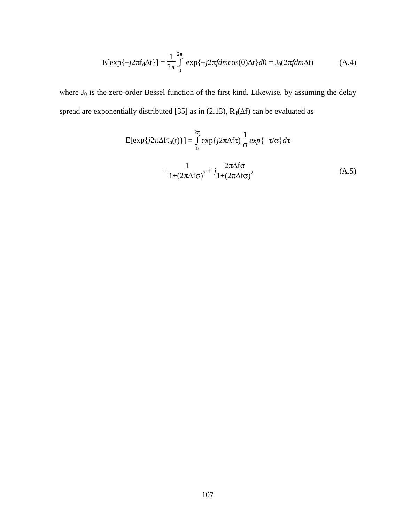$$
E[\exp\{-j2\pi f_d \Delta t\}] = \frac{1}{2\pi} \int_0^{2\pi} \exp\{-j2\pi f dm \cos(\theta)\Delta t\} d\theta = J_0(2\pi f dm \Delta t)
$$
(A.4)

where  $J_0$  is the zero-order Bessel function of the first kind. Likewise, by assuming the delay spread are exponentially distributed [35] as in (2.13),  $R_f(\Delta f)$  can be evaluated as

$$
E[\exp\{j2\pi\Delta f\tau_n(t)\}] = \int_0^{2\pi} \exp\{j2\pi\Delta f\tau\} \frac{1}{\sigma} \exp\{-\tau/\sigma\} d\tau
$$

$$
= \frac{1}{1 + (2\pi\Delta f\sigma)^2} + j\frac{2\pi\Delta f\sigma}{1 + (2\pi\Delta f\sigma)^2}
$$
(A.5)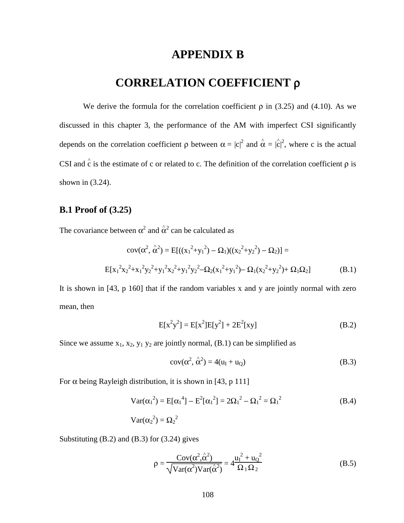### **APPENDIX B**

## **CORRELATION COEFFICIENT** ρ

We derive the formula for the correlation coefficient  $\rho$  in (3.25) and (4.10). As we discussed in this chapter 3, the performance of the AM with imperfect CSI significantly depends on the correlation coefficient  $\rho$  between  $\alpha = |c|^2$  and  $\hat{\alpha} = |\hat{c}|^2$ , where c is the actual | CSI and  $\hat{c}$  is the estimate of c or related to c. The definition of the correlation coefficient  $\rho$  is shown in (3.24).

### **B.1 Proof of (3.25)**

The covariance between  $\alpha^2$  and  $\hat{\alpha}^2$  can be calculated as

$$
cov(\alpha^2, \hat{\alpha}^2) = E[((x_1^2 + y_1^2) - \Omega_1)((x_2^2 + y_2^2) - \Omega_2)] =
$$
  
\n
$$
E[x_1^2x_2^2 + x_1^2y_2^2 + y_1^2x_2^2 + y_1^2y_2^2 - \Omega_2(x_1^2 + y_1^2) - \Omega_1(x_2^2 + y_2^2) + \Omega_1\Omega_2]
$$
 (B.1)

It is shown in [43, p 160] that if the random variables x and y are jointly normal with zero mean, then

$$
E[x^{2}y^{2}] = E[x^{2}]E[y^{2}] + 2E^{2}[xy]
$$
 (B.2)

Since we assume  $x_1$ ,  $x_2$ ,  $y_1$   $y_2$  are jointly normal, (B.1) can be simplified as

$$
cov(\alpha^2, \hat{\alpha}^2) = 4(u_I + u_Q)
$$
 (B.3)

For  $\alpha$  being Rayleigh distribution, it is shown in [43, p 111]

$$
Var(\alpha_1^2) = E[\alpha_1^4] - E^2[\alpha_1^2] = 2\Omega_1^2 - \Omega_1^2 = \Omega_1^2
$$
 (B.4)  

$$
Var(\alpha_2^2) = \Omega_2^2
$$

Substituting (B.2) and (B.3) for (3.24) gives

$$
\rho = \frac{\text{Cov}(\alpha^2, \hat{\alpha}^2)}{\sqrt{\text{Var}(\alpha^2)\text{Var}(\hat{\alpha}^2)}} = 4\frac{{u_1}^2 + {u_0}^2}{\Omega_1 \Omega_2}
$$
(B.5)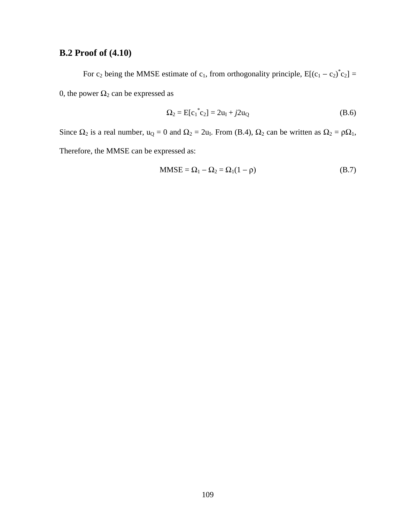## **B.2 Proof of (4.10)**

For  $c_2$  being the MMSE estimate of  $c_1$ , from orthogonality principle,  $E[(c_1 - c_2)^{*}c_2] =$ 0, the power  $\Omega_2$  can be expressed as

$$
\Omega_2 = E[c_1^*c_2] = 2u_I + j2u_Q \tag{B.6}
$$

Since  $\Omega_2$  is a real number,  $u_Q = 0$  and  $\Omega_2 = 2u_I$ . From (B.4),  $\Omega_2$  can be written as  $\Omega_2 = \rho \Omega_1$ , Therefore, the MMSE can be expressed as:

$$
MMSE = \Omega_1 - \Omega_2 = \Omega_1(1 - \rho)
$$
 (B.7)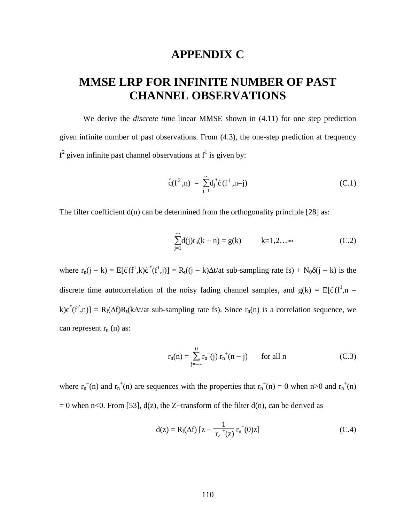### **APPENDIX C**

# **MMSE LRP FOR INFINITE NUMBER OF PAST CHANNEL OBSERVATIONS**

We derive the *discrete time* linear MMSE shown in (4.11) for one step prediction given infinite number of past observations. From (4.3), the one-step prediction at frequency  $f^2$  given infinite past channel observations at  $f^1$  is given by:

$$
\hat{c}(f^2, n) = \sum_{j=1}^{\infty} d_j^* \tilde{c}(f^1, n-j)
$$
 (C.1)

The filter coefficient  $d(n)$  can be determined from the orthogonality principle [28] as:

$$
\sum_{j=1}^{\infty} d(j)r_n(k-n) = g(k) \qquad k=1,2...\infty \qquad (C.2)
$$

where  $r_n(j - k) = E[\tilde{c}(f^1, k)\tilde{c}^*(f^1, j)] = R_t((j - k)\Delta t/\alpha t \text{ sub-sampling rate fs}) + N_0\delta(j - k) \text{ is the }$ discrete time autocorrelation of the noisy fading channel samples, and  $g(k) = E[\tilde{c}(f^1,n$  $k)c^{*}(f^{2},n) = R_{f}(\Delta f)R_{t}(k\Delta t/\Delta t)$  sub-sampling rate fs). Since  $r_{n}(n)$  is a correlation sequence, we can represent  $r_n$  (n) as:

$$
r_n(n) = \sum_{j=-\infty}^{0} r_n^{-}(j) r_n^{+}(n-j) \qquad \text{for all } n \tag{C.3}
$$

where  $r_n$ <sup>-</sup>(n) and  $r_n$ <sup>+</sup>(n) are sequences with the properties that  $r_n$ <sup>-</sup>(n) = 0 when n>0 and  $r_n$ <sup>+</sup>(n)  $= 0$  when n<0. From [53], d(z), the Z-transform of the filter d(n), can be derived as

$$
d(z) = R_f(\Delta f) [z - \frac{1}{r_z^+(z)} r_n^+(0)z]
$$
 (C.4)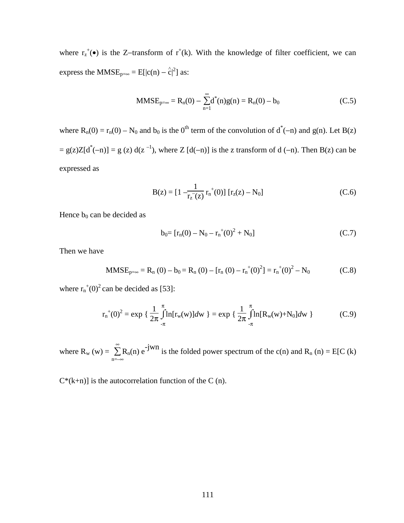where  $r_z^+$ (•) is the Z-transform of  $r^+(k)$ . With the knowledge of filter coefficient, we can express the MMSE<sub>p=∞</sub> = E[|c(n) –  $\hat{c}$ |<sup>2</sup>] as: |

$$
MMSE_{p=\infty} = R_n(0) - \sum_{n=1}^{\infty} d^*(n)g(n) = R_n(0) - b_0
$$
 (C.5)

where  $R_n(0) = r_n(0) - N_0$  and  $b_0$  is the 0<sup>th</sup> term of the convolution of  $d^*(-n)$  and  $g(n)$ . Let  $B(z)$  $= g(z)Z[d^*(-n)] = g(z) d(z^{-1})$ , where Z [d(-n)] is the z transform of d (-n). Then B(z) can be expressed as

$$
B(z) = [1 - \frac{1}{r_z(z)} r_n^+(0)] [r_z(z) - N_0]
$$
 (C.6)

Hence  $b_0$  can be decided as

$$
b_0 = [r_n(0) - N_0 - r_n^+(0)^2 + N_0]
$$
 (C.7)

Then we have

$$
MMSE_{p=\infty} = R_n (0) - b_0 = R_n (0) - [r_n (0) - r_n^+(0)^2] = r_n^+(0)^2 - N_0
$$
 (C.8)

where  $r_n^*(0)^2$  can be decided as [53]:

$$
r_{n}^{+}(0)^{2} = \exp \left\{ \frac{1}{2\pi} \int_{-\pi}^{\pi} \ln[r_{w}(w)]dw \right\} = \exp \left\{ \frac{1}{2\pi} \int_{-\pi}^{\pi} \ln[R_{w}(w) + N_{0}]dw \right\}
$$
 (C.9)

where  $R_w(w) = \sum$ n=–∞  $\sum_{n=1}^{\infty} R_n(n) e^{-jwn}$  is the folded power spectrum of the c(n) and  $R_n(n) = E[C(n)]$ 

 $C^*(k+n)$  is the autocorrelation function of the C (n).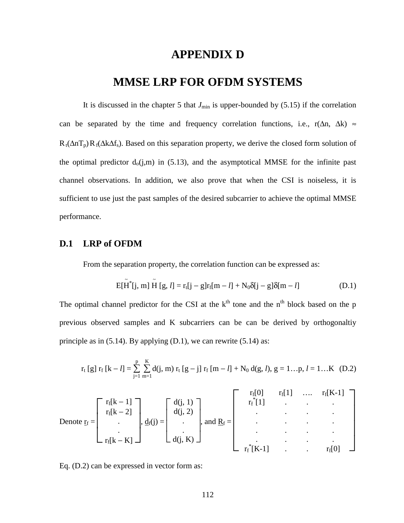### **APPENDIX D**

### **MMSE LRP FOR OFDM SYSTEMS**

It is discussed in the chapter 5 that  $J_{\text{min}}$  is upper-bounded by  $(5.15)$  if the correlation can be separated by the time and frequency correlation functions, i.e., r( $\Delta n$ ,  $\Delta k$ ) ≈  $R_t(\Delta nT_p) R_f(\Delta k \Delta f_s)$ . Based on this separation property, we derive the closed form solution of the optimal predictor  $d_0(i,m)$  in (5.13), and the asymptotical MMSE for the infinite past channel observations. In addition, we also prove that when the CSI is noiseless, it is sufficient to use just the past samples of the desired subcarrier to achieve the optimal MMSE performance.

#### **D.1 LRP of OFDM**

From the separation property, the correlation function can be expressed as:

$$
E[\tilde{H}^*[j,m]\tilde{H} [g,l] = r_t[j-g]r_f[m-l] + N_0\delta[j-g]\delta[m-l]
$$
 (D.1)

The optimal channel predictor for the CSI at the  $k<sup>th</sup>$  tone and the n<sup>th</sup> block based on the p previous observed samples and K subcarriers can be can be derived by orthogonaltiy principle as in  $(5.14)$ . By applying  $(D.1)$ , we can rewrite  $(5.14)$  as:

$$
r_t [g] r_f [k-l] = \sum_{j=1}^p \sum_{m=1}^K d(j,m) r_t [g-j] r_f [m-l] + N_0 d(g,l), g = 1...p, l = 1...K \ (D.2)
$$

Denote 
$$
\mathbf{r}_f
$$
 = 
$$
\begin{bmatrix}\nr_f[k-1] \\
r_f[k-2] \\
\vdots \\
r_f[k-K]\n\end{bmatrix},\n\underline{d}_f(j) = \begin{bmatrix}\nd(j, 1) \\
d(j, 2) \\
\vdots \\
d(j, K)\n\end{bmatrix},\n\text{ and } \underline{R}_f = \begin{bmatrix}\nr_f[0] & r_f[1] & \dots & r_f[K-1] \\
\vdots & \vdots & \ddots & \vdots \\
\vdots & \vdots & \ddots & \vdots \\
r_f^*[K-1] & \dots & r_f[0]\n\end{bmatrix}
$$

Eq. (D.2) can be expressed in vector form as: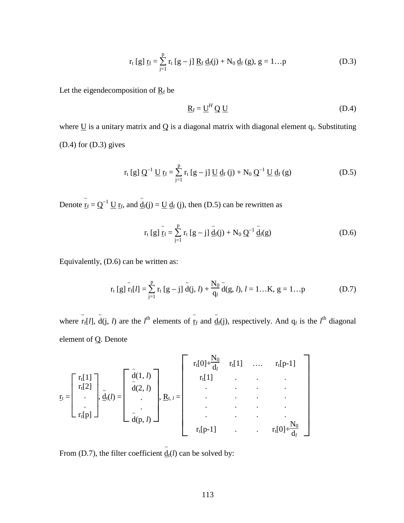$$
r_t [g] \underline{r}_f = \sum_{j=1}^p r_t [g-j] \underline{R}_f \underline{d}_f(j) + N_0 \underline{d}_f (g), g = 1...p
$$
 (D.3)

Let the eigendecomposition of  $R_f$  be

$$
\underline{\mathbf{R}}_{\text{f}} = \underline{\mathbf{U}}^H \underline{\mathbf{Q}} \underline{\mathbf{U}} \tag{D.4}
$$

where  $\underline{U}$  is a unitary matrix and  $\underline{O}$  is a diagonal matrix with diagonal element  $q_l$ . Substituting (D.4) for (D.3) gives

$$
r_{t}[g] Q^{-1} \underline{U} r_{f} = \sum_{j=1}^{p} r_{t}[g-j] \underline{U} d_{f}(j) + N_{0} Q^{-1} \underline{U} d_{f}(g)
$$
(D.5)

Denote  $\tilde{r}_f = Q^{-1} U r_f$ , and  $\tilde{d}_f(j) = U d_f(j)$ , then (D.5) can be rewritten as

$$
r_{t}[g]\tilde{\underline{r}}_{f} = \sum_{j=1}^{p} r_{t}[g-j]\tilde{\underline{d}}_{f}(j) + N_{0}Q^{-1}\tilde{\underline{d}}_{f}(g)
$$
 (D.6)

Equivalently, (D.6) can be written as:

$$
r_{t}[g]\tilde{r}_{f}[l] = \sum_{j=1}^{p} r_{t}[g-j]\tilde{d}(j,l) + \frac{N_{0}}{q_{l}}\tilde{d}(g,l), l = 1...K, g = 1...p
$$
 (D.7)

where  $\tilde{r}_f[l]$ ,  $\tilde{d}(j, l)$  are the *l*<sup>th</sup> elements of  $\tilde{r}_f$  and  $\tilde{d}_f(j)$ , respectively. And  $q_l$  is the *l*<sup>th</sup> diagonal element of Q. Denote

$$
\underline{\mathbf{r}}_{t} = \begin{bmatrix} \mathbf{r}_{t}[1] \\ \mathbf{r}_{t}[2] \\ \vdots \\ \mathbf{r}_{t}[p] \end{bmatrix}, \underline{\tilde{\mathbf{d}}}_{t}(l) = \begin{bmatrix} \tilde{\mathbf{d}}(1, l) \\ \tilde{\mathbf{d}}(2, l) \\ \vdots \\ \tilde{\mathbf{d}}(p, l) \end{bmatrix}, \underline{\mathbf{R}}_{t, l} = \begin{bmatrix} \mathbf{r}_{t}[0] + \frac{N_{0}}{d_{l}} & \mathbf{r}_{t}[1] & \dots & \mathbf{r}_{t}[p-1] \\ \vdots & \vdots & \ddots & \vdots \\ \vdots & \vdots & \ddots & \vdots \\ \mathbf{r}_{t}[p-1] & \dots & \mathbf{r}_{t}[0] + \frac{N_{0}}{d_{l}} \end{bmatrix}
$$

From (D.7), the filter coefficient  $\underline{\tilde{d}}_t(l)$  can be solved by: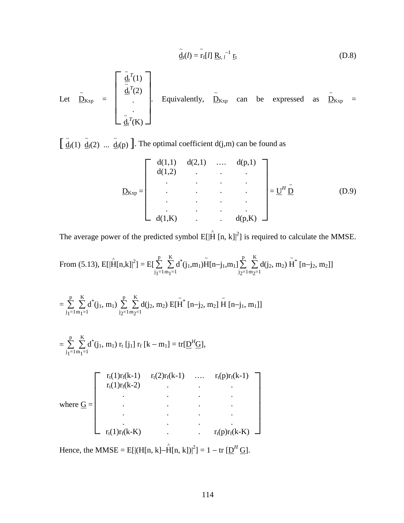$$
\tilde{\underline{\mathbf{d}}}_{t}(l) = \tilde{\mathbf{r}}_{f}[l] \underline{\mathbf{R}}_{t, l}^{-1} \underline{\mathbf{r}}_{t}
$$
 (D.8)

Let 
$$
\underline{\tilde{D}}_{Kxp} = \begin{bmatrix} \underline{\tilde{d}}_t^T(1) \\ \underline{\tilde{d}}_t^T(2) \\ \vdots \\ \underline{\tilde{d}}_t^T(K) \end{bmatrix}
$$
. Equivalently,  $\underline{\tilde{D}}_{Kxp}$  can be expressed as  $\underline{\tilde{D}}_{Kxp} = \underline{\tilde{d}}_t^T(K)$ .

 $\left[\begin{array}{cc} \tilde{d}_f(1) & \tilde{d}_f(2) & \dots & \tilde{d}_f(p) \end{array}\right]$ . The optimal coefficient d(j,m) can be found as

$$
\underline{D}_{Kxp} = \begin{bmatrix} d(1,1) & d(2,1) & \dots & d(p,1) \\ d(1,2) & \cdot & \cdot & \cdot \\ \cdot & \cdot & \cdot & \cdot \\ \cdot & \cdot & \cdot & \cdot \\ \cdot & \cdot & \cdot & \cdot \\ d(1,K) & \cdot & \cdot & d(p,K) \end{bmatrix} = \underline{U}^H \underline{\tilde{D}} \qquad (D.9)
$$

The average power of the predicted symbol  $E[|\hat{H} [n, k]|^2]$  is required to calculate the MMSE.

From (5.13), 
$$
E[|\hat{H}[n,k]|^2] = E[\sum_{j_1=1}^{p} \sum_{m_1=1}^{K} d^*(j_1, m_1) \tilde{H}[n-j_1, m_1] \sum_{j_2=1}^{p} \sum_{m_2=1}^{K} d(j_2, m_2) \tilde{H}^* [n-j_2, m_2]]
$$

$$
= \sum_{j_1=1}^p \sum_{m_1=1}^K d^*(j_1, m_1) \sum_{j_2=1}^p \sum_{m_2=1}^K d(j_2, m_2) E[\tilde{H}^* [n-j_2, m_2] \tilde{H} [n-j_1, m_1]]
$$

$$
= \sum_{j_1=1}^{p} \sum_{m_1=1}^{K} d^{*}(j_1, m_1) r_{t} [j_1] r_{f} [k-m_1] = tr[\underline{D}^{H} \underline{G}],
$$

|             |                  | $r_t(1)r_f(k-1)$ $r_t(2)r_f(k-1)$ , $r_t(p)r_f(k-1)$ |                             |  |
|-------------|------------------|------------------------------------------------------|-----------------------------|--|
|             | $r_t(1)r_f(k-2)$ |                                                      |                             |  |
| where $G =$ |                  |                                                      |                             |  |
|             |                  |                                                      |                             |  |
|             |                  |                                                      |                             |  |
|             |                  |                                                      |                             |  |
|             | $r_t(1)r_f(k-K)$ |                                                      | $r_t(p)r_f(k-K) \quad \Box$ |  |

Hence, the MMSE = E[|(H[n, k]– $\hat{H}[n, k]$ )|<sup>2</sup>] = 1 – tr [ $\underline{D}^H \underline{G}$ ].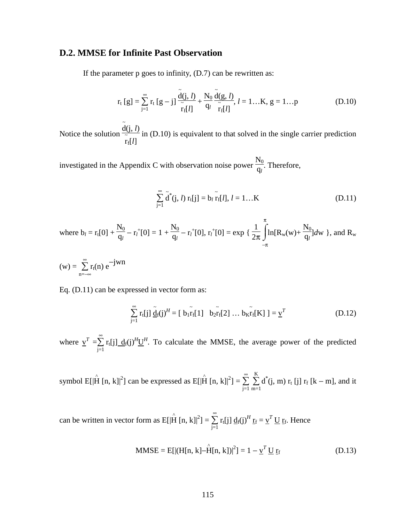### **D.2. MMSE for Infinite Past Observation**

If the parameter p goes to infinity, (D.7) can be rewritten as:

$$
r_{t}[g] = \sum_{j=1}^{\infty} r_{t}[g-j] \frac{\tilde{d}(j,l)}{\tilde{r}_{f}[l]} + \frac{N_{0}}{q_{l}} \frac{\tilde{d}(g,l)}{\tilde{r}_{f}[l]}, l = 1...K, g = 1...p
$$
 (D.10)

Notice the solution  $\frac{\tilde{d}(j, l)}{z}$ r ~ f[*l*] in (D.10) is equivalent to that solved in the single carrier prediction

investigated in the Appendix C with observation noise power  $\frac{N_0}{q_l}$ . Therefore,

$$
\sum_{j=1}^{\infty} \tilde{d}^*(j, l) r_t[j] = b_l \tilde{r}_f[l], l = 1...K
$$
 (D.11)

where 
$$
b_l = r_t[0] + \frac{N_0}{q_l} - r_l^+[0] = 1 + \frac{N_0}{q_l} - r_l^+[0]
$$
,  $r_l^+[0] = \exp\left\{\frac{1}{2\pi}\int_{-\pi}^{\pi} \ln[R_w(w) + \frac{N_0}{q_l}]dw\right\}$ , and  $R_w$ 

 $(w) = \sum$ n=−∞  $\sum_{r}^{\infty} r_t(n) e^{-jwn}$ 

Eq. (D.11) can be expressed in vector form as:

$$
\sum_{j=1}^{\infty} r_t[j] \tilde{\underline{d}}_f(j)^H = [\tilde{b}_1 \tilde{r}_f[1] \tilde{b}_2 \tilde{r}_f[2] \dots \tilde{b}_K \tilde{r}_f[K]] = \underline{v}^T
$$
 (D.12)

where  $\underline{v}^T = \sum$  $j=1$  $\sum_{i=1}^{\infty} r_t[j] \frac{d_f(j)}{d_f(j)}$  To calculate the MMSE, the average power of the predicted

symbol E[ $|\hat{H}$  [n, k]|<sup>2</sup>] can be expressed as E[ $|\hat{H}$  [n, k]|<sup>2</sup>] =  $\sum_{n=1}^{\infty}$  $j=1$  $\stackrel{\scriptscriptstyle \infty}{\sum}\stackrel{\scriptscriptstyle K}{\sum}$  $m=1$  $\sum K$  d<sup>\*</sup>(j, m)  $r_t$  [j]  $r_f$  [k – m], and it

can be written in vector form as  $E[|\hat{H}$  [n, k] $|^2] = \sum_{n=1}^{\infty}$  $j=1$  $\sum_{i=1}^{\infty} r_t[j] d_f(j)^H \underline{r}_f = \underline{v}^T \underline{U} \underline{r}_f$ . Hence

MMSE = E[|(H[n, k] - \hat{H}[n, k])|^2] = 1 - 
$$
\underline{v}^T \underline{U} \underline{r}_f
$$
 (D.13)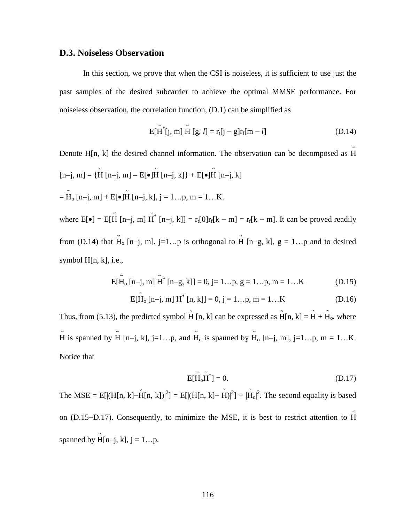### **D.3. Noiseless Observation**

In this section, we prove that when the CSI is noiseless, it is sufficient to use just the past samples of the desired subcarrier to achieve the optimal MMSE performance. For noiseless observation, the correlation function, (D.1) can be simplified as

$$
E[\tilde{H}^*[j, m] \tilde{H} [g, l] = r_t[j - g]r_f[m - l]
$$
 (D.14)

Denote  $H[n, k]$  the desired channel information. The observation can be decomposed as H  $[n-j, m] = {\tilde{H} [n-j, m] - E[●]\tilde{H} [n-j, k]} + E[●]\tilde{H} [n-j, k]}$  $= H_0$  [n-j, m] + E[•] $H$ [n-j, k], j = 1...p, m = 1...K. where  $E[\bullet] = E[\tilde{H} [n-j, m] \tilde{H}^* [n-j, k]] = r_t[0]r_f[k-m] = r_f[k-m]$ . It can be proved readily from (D.14) that  $H_0$  [n-j, m], j=1...p is orthogonal to  $H$  [n-g, k], g = 1...p and to desired symbol H[n, k], i.e.,

$$
E[\tilde{H}_o \ [n-j, m] \ \tilde{H}^* \ [n-g, k]] = 0, j = 1...p, g = 1...p, m = 1...K
$$
 (D.15)

$$
E[\tilde{H}_o [n-j, m] H^* [n, k]] = 0, j = 1...p, m = 1...K
$$
 (D.16)

Thus, from (5.13), the predicted symbol  $\hat{H}$  [n, k] can be expressed as  $\hat{H}$ [n, k] =  $\tilde{H}$  +  $\tilde{H}_0$ , where  $\tilde{H}$  is spanned by  $\tilde{H}$  [n-j, k], j=1...p, and  $\tilde{H}_0$  is spanned by  $\tilde{H}_0$  [n-j, m], j=1...p, m = 1...K. Notice that

$$
E[\tilde{H}_o\tilde{H}^*] = 0. \tag{D.17}
$$

The MSE = E[|(H[n, k]– $\hat{H}$ [n, k])|<sup>2</sup>] = E[|(H[n, k]– $\tilde{H}$ )|<sup>2</sup>] + | $\tilde{H}$ <sub>0</sub>|<sup>2</sup>. The second equality is based on (D.15−D.17). Consequently, to minimize the MSE, it is best to restrict attention to H~ spanned by  $\tilde{H}[n-j, k]$ ,  $j = 1...p$ .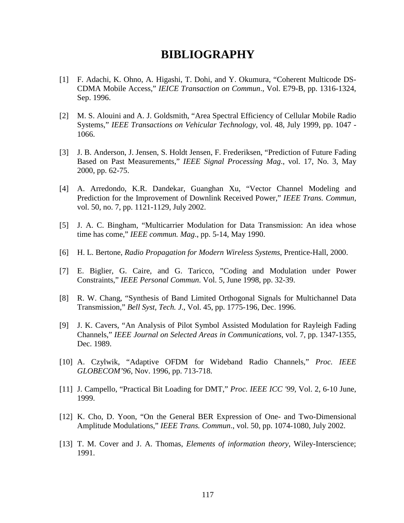### **BIBLIOGRAPHY**

- [1] F. Adachi, K. Ohno, A. Higashi, T. Dohi, and Y. Okumura, "Coherent Multicode DS-CDMA Mobile Access," *IEICE Transaction on Commun*., Vol. E79-B, pp. 1316-1324, Sep. 1996.
- [2] M. S. Alouini and A. J. Goldsmith, "Area Spectral Efficiency of Cellular Mobile Radio Systems," *IEEE Transactions on Vehicular Technology*, vol. 48, July 1999, pp. 1047 - 1066.
- [3] J. B. Anderson, J. Jensen, S. Holdt Jensen, F. Frederiksen, "Prediction of Future Fading Based on Past Measurements," *IEEE Signal Processing Mag*., vol. 17, No. 3, May 2000, pp. 62-75.
- [4] A. Arredondo, K.R. Dandekar, Guanghan Xu, "Vector Channel Modeling and Prediction for the Improvement of Downlink Received Power," *IEEE Trans. Commun*, vol. 50, no. 7, pp. 1121-1129, July 2002.
- [5] J. A. C. Bingham, "Multicarrier Modulation for Data Transmission: An idea whose time has come," *IEEE commun. Mag*., pp. 5-14, May 1990.
- [6] H. L. Bertone, *Radio Propagation for Modern Wireless Systems*, Prentice-Hall, 2000.
- [7] E. Biglier, G. Caire, and G. Taricco, "Coding and Modulation under Power Constraints," *IEEE Personal Commun*. Vol. 5, June 1998, pp. 32-39.
- [8] R. W. Chang, "Synthesis of Band Limited Orthogonal Signals for Multichannel Data Transmission," *Bell Syst, Tech. J*., Vol. 45, pp. 1775-196, Dec. 1996.
- [9] J. K. Cavers, "An Analysis of Pilot Symbol Assisted Modulation for Rayleigh Fading Channels," *IEEE Journal on Selected Areas in Communications*, vol. 7, pp. 1347-1355, Dec. 1989.
- [10] A. Czylwik, "Adaptive OFDM for Wideband Radio Channels," *Proc. IEEE GLOBECOM'96*, Nov. 1996, pp. 713-718.
- [11] J. Campello, "Practical Bit Loading for DMT," *Proc. IEEE ICC '99,* Vol. 2, 6-10 June, 1999.
- [12] K. Cho, D. Yoon, "On the General BER Expression of One- and Two-Dimensional Amplitude Modulations," *IEEE Trans. Commun*., vol. 50, pp. 1074-1080, July 2002.
- [13] T. M. Cover and J. A. Thomas, *Elements of information theory*, Wiley-Interscience; 1991.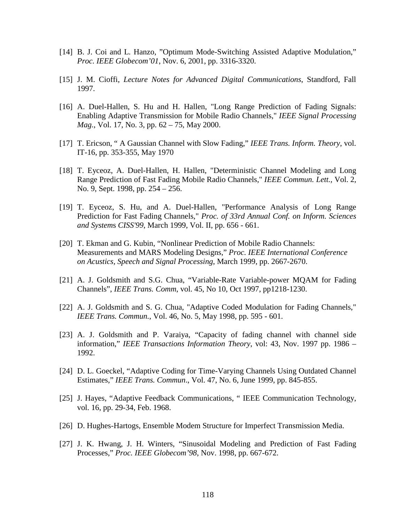- [14] B. J. Coi and L. Hanzo, "Optimum Mode-Switching Assisted Adaptive Modulation," *Proc. IEEE Globecom'01*, Nov. 6, 2001, pp. 3316-3320.
- [15] J. M. Cioffi, *Lecture Notes for Advanced Digital Communications*, Standford, Fall 1997.
- [16] A. Duel-Hallen, S. Hu and H. Hallen, "Long Range Prediction of Fading Signals: Enabling Adaptive Transmission for Mobile Radio Channels," *IEEE Signal Processing Mag.*, Vol. 17, No. 3, pp. 62 – 75, May 2000.
- [17] T. Ericson, "A Gaussian Channel with Slow Fading," *IEEE Trans. Inform. Theory*, vol. IT-16, pp. 353-355, May 1970
- [18] T. Eyceoz, A. Duel-Hallen, H. Hallen, "Deterministic Channel Modeling and Long Range Prediction of Fast Fading Mobile Radio Channels," *IEEE Commun. Lett.,* Vol. 2, No. 9, Sept. 1998, pp. 254 – 256.
- [19] T. Eyceoz, S. Hu, and A. Duel-Hallen, "Performance Analysis of Long Range Prediction for Fast Fading Channels," *Proc. of 33rd Annual Conf. on Inform. Sciences and System*s *CISS'99*, March 1999, Vol. II, pp. 656 - 661.
- [20] T. Ekman and G. Kubin, "Nonlinear Prediction of Mobile Radio Channels: Measurements and MARS Modeling Designs," *Proc. IEEE International Conference on Acustics, Speech and Signal Processing*, March 1999, pp. 2667-2670.
- [21] A. J. Goldsmith and S.G. Chua, "Variable-Rate Variable-power MOAM for Fading Channels", *IEEE Trans. Comm*, vol. 45, No 10, Oct 1997, pp1218-1230.
- [22] A. J. Goldsmith and S. G. Chua, "Adaptive Coded Modulation for Fading Channels," *IEEE Trans. Commun.*, Vol. 46, No. 5, May 1998, pp. 595 - 601.
- [23] A. J. Goldsmith and P. Varaiya, "Capacity of fading channel with channel side information," *IEEE Transactions Information Theory*, vol: 43, Nov. 1997 pp. 1986 – 1992.
- [24] D. L. Goeckel, "Adaptive Coding for Time-Varying Channels Using Outdated Channel Estimates," *IEEE Trans. Commun*., Vol. 47, No. 6, June 1999, pp. 845-855.
- [25] J. Hayes, "Adaptive Feedback Communications, " IEEE Communication Technology, vol. 16, pp. 29-34, Feb. 1968.
- [26] D. Hughes-Hartogs, Ensemble Modem Structure for Imperfect Transmission Media.
- [27] J. K. Hwang, J. H. Winters, "Sinusoidal Modeling and Prediction of Fast Fading Processes," *Proc. IEEE Globecom'98*, Nov. 1998, pp. 667-672.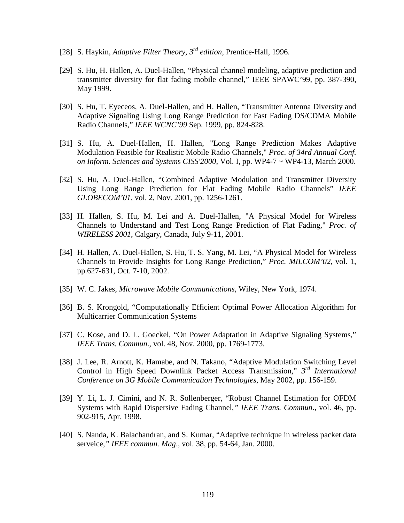- [28] S. Haykin, *Adaptive Filter Theory, 3rd edition*, Prentice-Hall, 1996.
- [29] S. Hu, H. Hallen, A. Duel-Hallen, "Physical channel modeling, adaptive prediction and transmitter diversity for flat fading mobile channel," IEEE SPAWC'99, pp. 387-390, May 1999.
- [30] S. Hu, T. Eyeceos, A. Duel-Hallen, and H. Hallen, "Transmitter Antenna Diversity and Adaptive Signaling Using Long Range Prediction for Fast Fading DS/CDMA Mobile Radio Channels," *IEEE WCNC'99* Sep. 1999, pp. 824-828.
- [31] S. Hu, A. Duel-Hallen, H. Hallen, "Long Range Prediction Makes Adaptive Modulation Feasible for Realistic Mobile Radio Channels," *Proc. of 34rd Annual Conf. on Inform. Sciences and System*s *CISS'2000*, Vol. I, pp. WP4-7 ~ WP4-13, March 2000.
- [32] S. Hu, A. Duel-Hallen, "Combined Adaptive Modulation and Transmitter Diversity Using Long Range Prediction for Flat Fading Mobile Radio Channels" *IEEE GLOBECOM'01*, vol. 2, Nov. 2001, pp. 1256-1261.
- [33] H. Hallen, S. Hu, M. Lei and A. Duel-Hallen, "A Physical Model for Wireless Channels to Understand and Test Long Range Prediction of Flat Fading," *Proc. of WIRELESS 2001*, Calgary, Canada, July 9-11, 2001.
- [34] H. Hallen, A. Duel-Hallen, S. Hu, T. S. Yang, M. Lei, "A Physical Model for Wireless Channels to Provide Insights for Long Range Prediction," *Proc. MILCOM'02*, vol. 1, pp.627-631, Oct. 7-10, 2002.
- [35] W. C. Jakes, *Microwave Mobile Communications*, Wiley, New York, 1974.
- [36] B. S. Krongold, "Computationally Efficient Optimal Power Allocation Algorithm for Multicarrier Communication Systems
- [37] C. Kose, and D. L. Goeckel, "On Power Adaptation in Adaptive Signaling Systems," *IEEE Trans. Commun*., vol. 48, Nov. 2000, pp. 1769-1773.
- [38] J. Lee, R. Arnott, K. Hamabe, and N. Takano, "Adaptive Modulation Switching Level Control in High Speed Downlink Packet Access Transmission," *3rd International Conference on 3G Mobile Communication Technologies*, May 2002, pp. 156-159.
- [39] Y. Li, L. J. Cimini, and N. R. Sollenberger, "Robust Channel Estimation for OFDM Systems with Rapid Dispersive Fading Channel*," IEEE Trans. Commun*., vol. 46, pp. 902-915, Apr. 1998.
- [40] S. Nanda, K. Balachandran, and S. Kumar, "Adaptive technique in wireless packet data serveice*," IEEE commun. Mag*., vol. 38, pp. 54-64, Jan. 2000.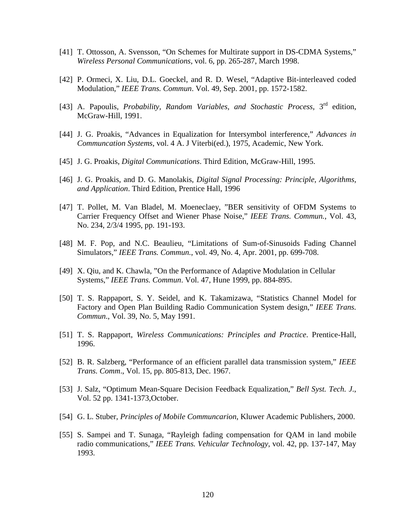- [41] T. Ottosson, A. Svensson, "On Schemes for Multirate support in DS-CDMA Systems," *Wireless Personal Communications*, vol. 6, pp. 265-287, March 1998.
- [42] P. Ormeci, X. Liu, D.L. Goeckel, and R. D. Wesel, "Adaptive Bit-interleaved coded Modulation," *IEEE Trans. Commun*. Vol. 49, Sep. 2001, pp. 1572-1582.
- [43] A. Papoulis, *Probability, Random Variables, and Stochastic Process*, 3rd edition, McGraw-Hill, 1991.
- [44] J. G. Proakis, "Advances in Equalization for Intersymbol interference," *Advances in Communcation Systems*, vol. 4 A. J Viterbi(ed.), 1975, Academic, New York.
- [45] J. G. Proakis, *Digital Communications*. Third Edition, McGraw-Hill, 1995.
- [46] J. G. Proakis, and D. G. Manolakis, *Digital Signal Processing: Principle, Algorithms, and Application*. Third Edition, Prentice Hall, 1996
- [47] T. Pollet, M. Van Bladel, M. Moeneclaey, "BER sensitivity of OFDM Systems to Carrier Frequency Offset and Wiener Phase Noise," *IEEE Trans. Commun.*, Vol. 43, No. 234, 2/3/4 1995, pp. 191-193.
- [48] M. F. Pop, and N.C. Beaulieu, "Limitations of Sum-of-Sinusoids Fading Channel Simulators," *IEEE Trans. Commun.*, vol. 49, No. 4, Apr. 2001, pp. 699-708.
- [49] X. Qiu, and K. Chawla, "On the Performance of Adaptive Modulation in Cellular Systems," *IEEE Trans. Commun*. Vol. 47, Hune 1999, pp. 884-895.
- [50] T. S. Rappaport, S. Y. Seidel, and K. Takamizawa, "Statistics Channel Model for Factory and Open Plan Building Radio Communication System design," *IEEE Trans. Commun*., Vol. 39, No. 5, May 1991.
- [51] T. S. Rappaport, *Wireless Communications: Principles and Practice*. Prentice-Hall, 1996.
- [52] B. R. Salzberg, "Performance of an efficient parallel data transmission system," *IEEE Trans. Comm*., Vol. 15, pp. 805-813, Dec. 1967.
- [53] J. Salz, "Optimum Mean-Square Decision Feedback Equalization," *Bell Syst. Tech. J*., Vol. 52 pp. 1341-1373,October.
- [54] G. L. Stuber, *Principles of Mobile Communcarion*, Kluwer Academic Publishers, 2000.
- [55] S. Sampei and T. Sunaga, "Rayleigh fading compensation for QAM in land mobile radio communications," *IEEE Trans. Vehicular Technology*, vol. 42, pp. 137-147, May 1993.